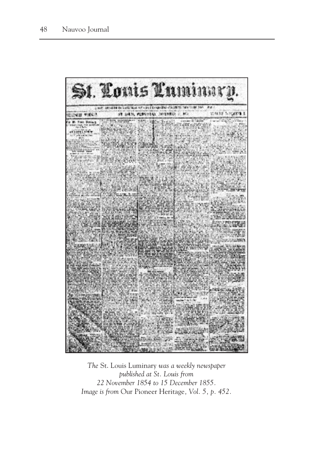

*The* St. Louis Luminary *was a weekly newspaper published at St. Louis from 22 November 1854 to 15 December 1855. Image is from* Our Pioneer Heritage*, Vol. 5, p. 452.*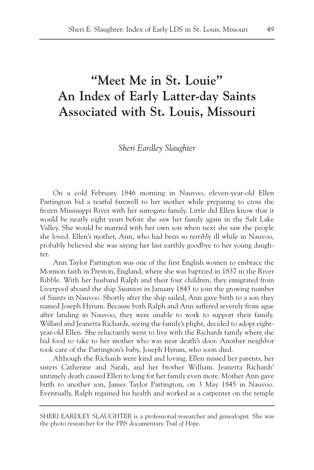# **"Meet Me in St. Louie" An Index of Early Latter-day Saints Associated with St. Louis, Missouri**

*Sheri Eardley Slaughter*

On a cold February 1846 morning in Nauvoo, eleven-year-old Ellen Partington bid a tearful farewell to her mother while preparing to cross the frozen Mississippi River with her surrogate family. Little did Ellen know that it would be nearly eight years before she saw her family again in the Salt Lake Valley. She would be married with her own son when next she saw the people she loved. Ellen's mother, Ann, who had been so terribly ill while in Nauvoo, probably believed she was saying her last earthly goodbye to her young daughter.

Ann Taylor Partington was one of the first English women to embrace the Mormon faith in Preston, England, where she was baptized in 1837 in the River Ribble. With her husband Ralph and their four children, they emigrated from Liverpool aboard the ship *Swanton* in January 1843 to join the growing number of Saints in Nauvoo. Shortly after the ship sailed, Ann gave birth to a son they named Joseph Hyrum. Because both Ralph and Ann suffered severely from ague after landing in Nauvoo, they were unable to work to support their family. Willard and Jeanetta Richards, seeing the family's plight, decided to adopt eightyear-old Ellen. She reluctantly went to live with the Richards family where she hid food to take to her mother who was near death's door. Another neighbor took care of the Partington's baby, Joseph Hyrum, who soon died.

Although the Richards were kind and loving, Ellen missed her parents, her sisters Catherine and Sarah, and her brother William. Jeanetta Richards' untimely death caused Ellen to long for her family even more. Mother Ann gave birth to another son, James Taylor Partington, on 3 May 1845 in Nauvoo. Eventually, Ralph regained his health and worked as a carpenter on the temple

SHERI EARDLEY SLAUGHTER is a professional researcher and genealogist. She was the photo researcher for the PBS documentary *Trail of Hope*.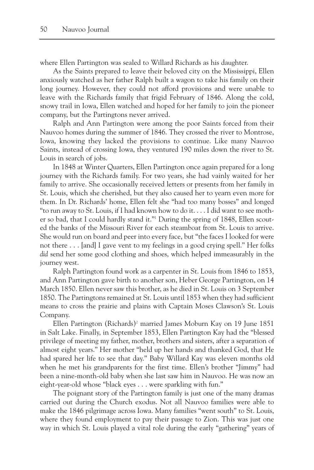where Ellen Partington was sealed to Willard Richards as his daughter.

As the Saints prepared to leave their beloved city on the Mississippi, Ellen anxiously watched as her father Ralph built a wagon to take his family on their long journey. However, they could not afford provisions and were unable to leave with the Richards family that frigid February of 1846. Along the cold, snowy trail in Iowa, Ellen watched and hoped for her family to join the pioneer company, but the Partingtons never arrived.

Ralph and Ann Partington were among the poor Saints forced from their Nauvoo homes during the summer of 1846. They crossed the river to Montrose, Iowa, knowing they lacked the provisions to continue. Like many Nauvoo Saints, instead of crossing Iowa, they ventured 190 miles down the river to St. Louis in search of jobs.

In 1848 at Winter Quarters, Ellen Partington once again prepared for a long journey with the Richards family. For two years, she had vainly waited for her family to arrive. She occasionally received letters or presents from her family in St. Louis, which she cherished, but they also caused her to yearn even more for them. In Dr. Richards' home, Ellen felt she "had too many bosses" and longed "to run away to St. Louis, if I had known how to do it. . . . I did want to see mother so bad, that I could hardly stand it."1 During the spring of 1848, Ellen scouted the banks of the Missouri River for each steamboat from St. Louis to arrive. She would run on board and peer into every face, but "the faces I looked for were not there . . . [and] I gave vent to my feelings in a good crying spell." Her folks *did* send her some good clothing and shoes, which helped immeasurably in the journey west.

Ralph Partington found work as a carpenter in St. Louis from 1846 to 1853, and Ann Partington gave birth to another son, Heber George Partington, on 14 March 1850. Ellen never saw this brother, as he died in St. Louis on 3 September 1850. The Partingtons remained at St. Louis until 1853 when they had sufficient means to cross the prairie and plains with Captain Moses Clawson's St. Louis Company.

Ellen Partington (Richards)2 married James Moburn Kay on 19 June 1851 in Salt Lake. Finally, in September 1853, Ellen Partington Kay had the "blessed privilege of meeting my father, mother, brothers and sisters, after a separation of almost eight years." Her mother "held up her hands and thanked God, that He had spared her life to see that day." Baby Willard Kay was eleven months old when he met his grandparents for the first time. Ellen's brother "Jimmy" had been a nine-month-old baby when she last saw him in Nauvoo. He was now an eight-year-old whose "black eyes . . . were sparkling with fun."

The poignant story of the Partington family is just one of the many dramas carried out during the Church exodus. Not all Nauvoo families were able to make the 1846 pilgrimage across Iowa. Many families "went south" to St. Louis, where they found employment to pay their passage to Zion. This was just one way in which St. Louis played a vital role during the early "gathering" years of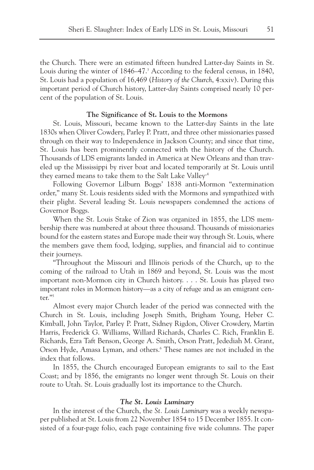the Church. There were an estimated fifteen hundred Latter-day Saints in St. Louis during the winter of  $1846-47$ <sup>3</sup> According to the federal census, in  $1840$ , St. Louis had a population of 16,469 (*History of the Church*, 4:xxiv). During this important period of Church history, Latter-day Saints comprised nearly 10 percent of the population of St. Louis.

#### **The Significance of St. Louis to the Mormons**

St. Louis, Missouri, became known to the Latter-day Saints in the late 1830s when Oliver Cowdery, Parley P. Pratt, and three other missionaries passed through on their way to Independence in Jackson County; and since that time, St. Louis has been prominently connected with the history of the Church. Thousands of LDS emigrants landed in America at New Orleans and than traveled up the Mississippi by river boat and located temporarily at St. Louis until they earned means to take them to the Salt Lake Valley<sup>.4</sup>

Following Governor Lilburn Boggs' 1838 anti-Mormon "extermination order," many St. Louis residents sided with the Mormons and sympathized with their plight. Several leading St. Louis newspapers condemned the actions of Governor Boggs.

When the St. Louis Stake of Zion was organized in 1855, the LDS membership there was numbered at about three thousand. Thousands of missionaries bound for the eastern states and Europe made their way through St. Louis, where the members gave them food, lodging, supplies, and financial aid to continue their journeys.

"Throughout the Missouri and Illinois periods of the Church, up to the coming of the railroad to Utah in 1869 and beyond, St. Louis was the most important non-Mormon city in Church history. . . . St. Louis has played two important roles in Mormon history—as a city of refuge and as an emigrant center."5

Almost every major Church leader of the period was connected with the Church in St. Louis, including Joseph Smith, Brigham Young, Heber C. Kimball, John Taylor, Parley P. Pratt, Sidney Rigdon, Oliver Crowdery, Martin Harris, Frederick G. Williams, Willard Richards, Charles C. Rich, Franklin E. Richards, Ezra Taft Benson, George A. Smith, Orson Pratt, Jedediah M. Grant, Orson Hyde, Amasa Lyman, and others.6 These names are not included in the index that follows.

In 1855, the Church encouraged European emigrants to sail to the East Coast; and by 1856, the emigrants no longer went through St. Louis on their route to Utah. St. Louis gradually lost its importance to the Church.

#### *The St. Louis Luminary*

In the interest of the Church, the *St. Louis Luminary* was a weekly newspaper published at St. Louis from 22 November 1854 to 15 December 1855. It consisted of a four-page folio, each page containing five wide columns. The paper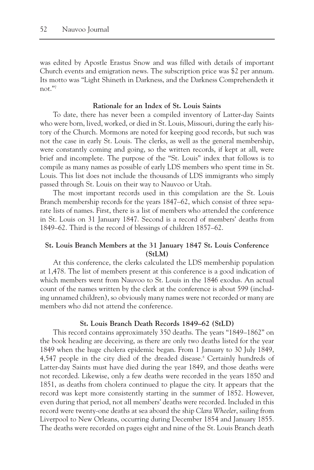was edited by Apostle Erastus Snow and was filled with details of important Church events and emigration news. The subscription price was \$2 per annum. Its motto was "Light Shineth in Darkness, and the Darkness Comprehendeth it not."7

#### **Rationale for an Index of St. Louis Saints**

To date, there has never been a compiled inventory of Latter-day Saints who were born, lived, worked, or died in St. Louis, Missouri, during the early history of the Church. Mormons are noted for keeping good records, but such was not the case in early St. Louis. The clerks, as well as the general membership, were constantly coming and going, so the written records, if kept at all, were brief and incomplete. The purpose of the "St. Louis" index that follows is to compile as many names as possible of early LDS members who spent time in St. Louis. This list does not include the thousands of LDS immigrants who simply passed through St. Louis on their way to Nauvoo or Utah.

The most important records used in this compilation are the St. Louis Branch membership records for the years 1847–62, which consist of three separate lists of names. First, there is a list of members who attended the conference in St. Louis on 31 January 1847. Second is a record of members' deaths from 1849–62. Third is the record of blessings of children 1857–62.

# **St. Louis Branch Members at the 31 January 1847 St. Louis Conference (StLM)**

At this conference, the clerks calculated the LDS membership population at 1,478. The list of members present at this conference is a good indication of which members went from Nauvoo to St. Louis in the 1846 exodus. An actual count of the names written by the clerk at the conference is about 599 (including unnamed children), so obviously many names were not recorded or many are members who did not attend the conference.

# **St. Louis Branch Death Records 1849–62 (StLD)**

This record contains approximately 350 deaths. The years "1849–1862" on the book heading are deceiving, as there are only two deaths listed for the year 1849 when the huge cholera epidemic began. From 1 January to 30 July 1849, 4,547 people in the city died of the dreaded disease.<sup>8</sup> Certainly hundreds of Latter-day Saints must have died during the year 1849, and those deaths were not recorded. Likewise, only a few deaths were recorded in the years 1850 and 1851, as deaths from cholera continued to plague the city. It appears that the record was kept more consistently starting in the summer of 1852. However, even during that period, not all members' deaths were recorded. Included in this record were twenty-one deaths at sea aboard the ship *Clara Wheeler*, sailing from Liverpool to New Orleans, occurring during December 1854 and January 1855. The deaths were recorded on pages eight and nine of the St. Louis Branch death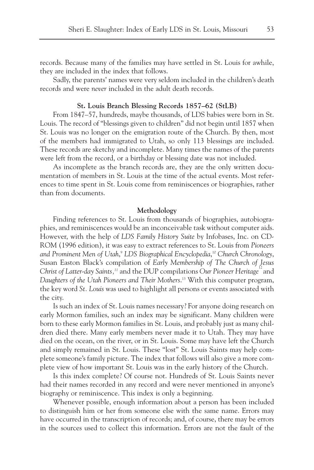records. Because many of the families may have settled in St. Louis for awhile, they are included in the index that follows.

Sadly, the parents' names were very seldom included in the children's death records and were *never* included in the adult death records.

#### **St. Louis Branch Blessing Records 1857–62 (StLB)**

From 1847–57, hundreds, maybe thousands, of LDS babies were born in St. Louis. The record of "blessings given to children" did not begin until 1857 when St. Louis was no longer on the emigration route of the Church. By then, most of the members had immigrated to Utah, so only 113 blessings are included. These records are sketchy and incomplete. Many times the names of the parents were left from the record, or a birthday or blessing date was not included.

As incomplete as the branch records are, they are the only written documentation of members in St. Louis at the time of the actual events. Most references to time spent in St. Louis come from reminiscences or biographies, rather than from documents.

#### **Methodology**

Finding references to St. Louis from thousands of biographies, autobiographies, and reminiscences would be an inconceivable task without computer aids. However, with the help of *LDS Family History Suite* by Infobases, Inc. on CD-ROM (1996 edition), it was easy to extract references to St. Louis from *Pioneers and Prominent Men of Utah*, <sup>9</sup> *LDS Biographical Encyclopedia*, <sup>10</sup> *Church Chronology*, Susan Easton Black's compilation of *Early Membership of The Church of Jesus Christ of Latter-day Saints*,<sup>11</sup> and the DUP compilations *Our Pioneer Heritage*<sup>12</sup> and *Daughters of the Utah Pioneers and Their Mothers*. <sup>13</sup> With this computer program, the key word *St. Louis* was used to highlight all persons or events associated with the city.

Is such an index of St. Louis names necessary? For anyone doing research on early Mormon families, such an index may be significant. Many children were born to these early Mormon families in St. Louis, and probably just as many children died there. Many early members never made it to Utah. They may have died on the ocean, on the river, or in St. Louis. Some may have left the Church and simply remained in St. Louis. These "lost" St. Louis Saints may help complete someone's family picture. The index that follows will also give a more complete view of how important St. Louis was in the early history of the Church.

Is this index complete? Of course not. Hundreds of St. Louis Saints never had their names recorded in any record and were never mentioned in anyone's biography or reminiscence. This index is only a beginning.

Whenever possible, enough information about a person has been included to distinguish him or her from someone else with the same name. Errors may have occurred in the transcription of records; and, of course, there may be errors in the sources used to collect this information. Errors are not the fault of the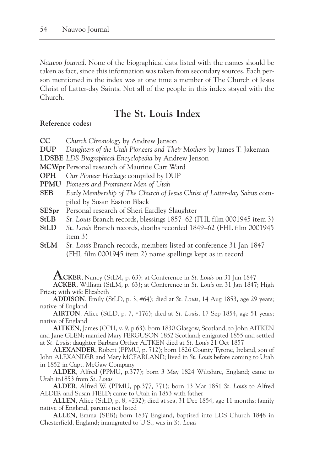*Nauvoo Journal*. None of the biographical data listed with the names should be taken as fact, since this information was taken from secondary sources. Each person mentioned in the index was at one time a member of The Church of Jesus Christ of Latter-day Saints. Not all of the people in this index stayed with the Church.

# **The St. Louis Index**

### **Reference codes:**

- **CC** *Church Chronology* by Andrew Jenson
- **DUP** *Daughters of the Utah Pioneers and Their Mothers* by James T. Jakeman
- **LDSBE** *LDS Biographical Encyclopedia* by Andrew Jenson
- **MCWpr**Personal research of Maurine Carr Ward
- **OPH** *Our Pioneer Heritage* compiled by DUP
- **PPMU** *Pioneers and Prominent Men of Utah*
- **SEB** *Early Membership of The Church of Jesus Christ of Latter-day Saints* compiled by Susan Easton Black
- **SESpr** Personal research of Sheri Eardley Slaughter
- **StLB** *St. Louis* Branch records, blessings 1857–62 (FHL film 0001945 item 3)
- **StLD** *St. Louis* Branch records, deaths recorded 1849–62 (FHL film 0001945 item 3)
- **StLM** *St. Louis* Branch records, members listed at conference 31 Jan 1847 (FHL film 0001945 item 2) name spellings kept as in record

**ACKER**, Nancy (StLM, p. 63); at Conference in *St. Louis* on 31 Jan 1847

**ACKER**, William (StLM, p. 63); at Conference in *St. Louis* on 31 Jan 1847; High Priest; with wife Elizabeth

**ADDISON**, Emily (StLD, p. 3, #64); died at *St. Louis*, 14 Aug 1853, age 29 years; native of England

**AIRTON**, Alice (StLD, p. 7, #176); died at *St. Louis*, 17 Sep 1854, age 51 years; native of England

**AITKEN**, James (OPH, v. 9, p.63); born 1830 Glasgow, Scotland, to John AITKEN and Jane GLEN; married Mary FERGUSON 1852 Scotland; emigrated 1855 and settled at *St. Louis*; daughter Barbara Orther AITKEN died at *St. Louis* 21 Oct 1857

**ALEXANDER**, Robert (PPMU, p. 712); born 1826 County Tyrone, Ireland, son of John ALEXANDER and Mary MCFARLAND; lived in *St. Louis* before coming to Utah in 1852 in Capt. McGaw Company

**ALDER**, Alfred (PPMU, p.377); born 3 May 1824 Wiltshire, England; came to Utah in1853 from *St. Louis*

**ALDER**, Alfred W. (PPMU, pp.377, 771); born 13 Mar 1851 *St. Louis* to Alfred ALDER and Susan FIELD; came to Utah in 1853 with father

**ALLEN**, Alice (StLD, p. 8, #232); died at sea, 31 Dec 1854, age 11 months; family native of England, parents not listed

**ALLEN**, Emma (SEB); born 1837 England, baptized into LDS Church 1848 in Chesterfield, England; immigrated to U.S., was in *St. Louis*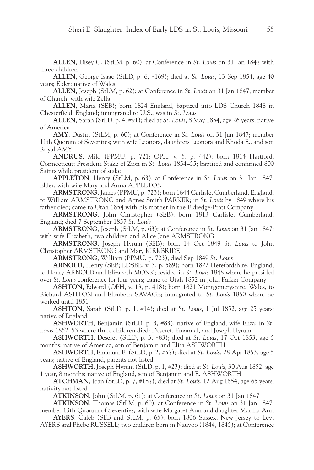**ALLEN**, Disey C. (StLM, p. 60); at Conference in *St. Louis* on 31 Jan 1847 with three children

**ALLEN**, George Isaac (StLD, p. 6, #169); died at *St. Louis*, 13 Sep 1854, age 40 years; Elder; native of Wales

**ALLEN**, Joseph (StLM, p. 62); at Conference in *St. Louis* on 31 Jan 1847; member of Church; with wife Zella

**ALLEN**, Maria (SEB); born 1824 England, baptized into LDS Church 1848 in Chesterfield, England; immigrated to U.S., was in *St. Louis*

**ALLEN**, Sarah (StLD, p. 4, #91); died at *St. Louis*, 8 May 1854, age 26 years; native of America

**AMY**, Dustin (StLM, p. 60); at Conference in *St. Louis* on 31 Jan 1847; member 11th Quorum of Seventies; with wife Leonora, daughters Leonora and Rhoda E., and son Royal AMY

**ANDRUS**, Milo (PPMU, p. 721; OPH, v. 5, p. 442); born 1814 Hartford, Connecticut; President Stake of Zion in *St. Louis* 1854–55; baptized and confirmed 800 Saints while president of stake

**APPLETON**, Henry (StLM, p. 63); at Conference in *St. Louis* on 31 Jan 1847; Elder; with wife Mary and Anna APPLETON

**ARMSTRONG**, James (PPMU, p. 723); born 1844 Carlisle, Cumberland, England, to William ARMSTRONG and Agnes Smith PARKER; in *St. Louis* by 1849 where his father died; came to Utah 1854 with his mother in the Eldredge-Pratt Company

**ARMSTRONG**, John Christopher (SEB); born 1813 Carlisle, Cumberland, England; died 7 September 1857 *St. Louis*

**ARMSTRONG**, Joseph (StLM, p. 63); at Conference in *St. Louis* on 31 Jan 1847; with wife Elizabeth, two children and Alice Jane ARMSTRONG

**ARMSTRONG**, Joseph Hyrum (SEB); born 14 Oct 1849 *St. Louis* to John Christopher ARMSTRONG and Mary KIRKBRIDE

**ARMSTRONG**, William (PPMU, p. 723); died Sep 1849 *St. Louis*

**ARNOLD**, Henry (SEB; LDSBE, v. 3, p. 589); born 1822 Herefordshire, England, to Henry ARNOLD and Elizabeth MONK; resided in *St. Louis* 1848 where he presided over *St. Louis* conference for four years; came to Utah 1852 in John Parker Company

**ASHTON**, Edward (OPH, v. 13, p. 418); born 1821 Montgomeryshire, Wales, to Richard ASHTON and Elizabeth SAVAGE; immigrated to *St. Louis* 1850 where he worked until 1851

**ASHTON**, Sarah (StLD, p. 1, #14); died at *St. Louis*, 1 Jul 1852, age 25 years; native of England

**ASHWORTH**, Benjamin (StLD, p. 3, #83); native of England; wife Eliza; in *St. Louis* 1852–53 where three children died: Deseret, Emanual, and Joseph Hyrum

**ASHWORTH**, Deseret (StLD, p. 3, #83); died at *St. Louis*, 17 Oct 1853, age 5 months; native of America, son of Benjamin and Eliza ASHWORTH

**ASHWORTH**, Emanual E. (StLD, p. 2, #57); died at *St. Louis*, 28 Apr 1853, age 5 years; native of England, parents not listed

**ASHWORTH**, Joseph Hyrum (StLD, p. 1, #23); died at *St. Louis*, 30 Aug 1852, age 1 year, 8 months; native of England, son of Benjamin and E. ASHWORTH

**ATCHMAN**, Joan (StLD, p. 7, #187); died at *St. Louis*, 12 Aug 1854, age 65 years; nativity not listed

**ATKINSON**, John (StLM, p. 61); at Conference in *St. Louis* on 31 Jan 1847

**ATKINSON**, Thomas (StLM, p. 60); at Conference in *St. Louis* on 31 Jan 1847; member 13th Quorum of Seventies; with wife Margaret Ann and daughter Martha Ann

**AYERS**, Caleb (SEB and StLM, p. 65); born 1806 Sussex, New Jersey to Levi AYERS and Phebe RUSSELL; two children born in Nauvoo (1844, 1845); at Conference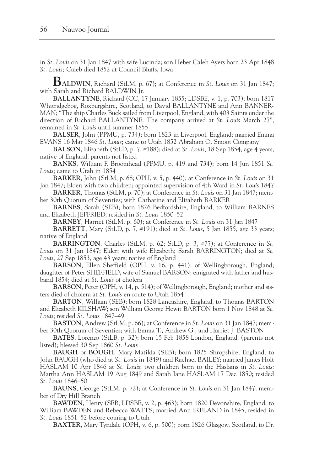in *St. Louis* on 31 Jan 1847 with wife Lucinda; son Heber Caleb Ayers born 23 Apr 1848 *St. Louis;* Caleb died 1852 at Council Bluffs, Iowa

**BALDWIN**, Richard (StLM, p. 67); at Conference in *St. Louis* on 31 Jan 1847; with Sarah and Richard BALDWIN Jr.

**BALLANTYNE**, Richard (CC, 17 January 1855; LDSBE, v. 1, p. 703); born 1817 Whitridgebog, Roxburgshire, Scotland, to David BALLANTYNE and Ann BANNER-MAN; "The ship Charles Buck sailed from Liverpool, England, with 403 Saints under the direction of Richard BALLANTYNE. The company arrived at *St. Louis* March 27"; remained in *St. Louis* until summer 1855

**BALSER**, John (PPMU, p. 734); born 1823 in Liverpool, England; married Emma EVANS 16 Mar 1846 *St. Louis*; came to Utah 1852 Abraham O. Smoot Company

**BALSON**, Elizabeth (StLD, p. 7, #188); died at *St. Louis*, 18 Sep 1854, age 4 years; native of England, parents not listed

**BANKS**, William F. Broomhead (PPMU, p. 419 and 734); born 14 Jun 1851 *St. Louis*; came to Utah in 1854

**BARKER**, John (StLM, p. 68; OPH, v. 5, p. 440); at Conference in *St. Louis* on 31 Jan 1847; Elder; with two children; appointed supervision of 4th Ward in *St. Louis* 1847

**BARKER**, Thomas (StLM, p. 70); at Conference in *St. Louis* on 31 Jan 1847; member 30th Quorum of Seventies; with Catharine and Elizabeth BARKER

**BARNES**, Sarah (SEB); born 1826 Bedfordshire, England, to William BARNES and Elizabeth JEFFRIED; resided in *St. Louis* 1850–52

**BARNEY**, Harriet (StLM, p. 60); at Conference in *St. Louis* on 31 Jan 1847

**BARRETT**, Mary (StLD, p. 7, #191); died at *St. Louis*, 5 Jan 1855, age 33 years; native of England

**BARRINGTON**, Charles (StLM, p. 62; StLD, p. 3, #77); at Conference in *St. Louis* on 31 Jan 1847; Elder; with wife Elizabeth; Sarah BARRINGTON; died at *St. Louis*, 27 Sep 1853, age 43 years; native of England

**BARSON**, Ellen Sheffield (OPH, v. 16, p. 441); of Wellingborough, England; daughter of Peter SHEFFIELD, wife of Samuel BARSON; emigrated with father and husband 1854; died at *St. Louis* of cholera

**BARSON**, Peter (OPH, v. 14, p. 514); of Wellingborough, England; mother and sisters died of cholera at *St. Louis* en route to Utah 1854

**BARTON**, William (SEB); born 1828 Lancashire, England, to Thomas BARTON and Elizabeth KILSHAW; son William George Hewit BARTON born 1 Nov 1848 at *St. Louis*; resided *St. Louis* 1847–49

**BASTON**, Andrew (StLM, p. 66); at Conference in *St. Louis* on 31 Jan 1847; member 30th Quorum of Seventies; with Emma T., Andrew G., and Harriet J. BASTON

**BATES**, Lorenzo (StLB, p. 32); born 15 Feb 1858 London, England, (parents not listed); blessed 30 Sep 1860 *St. Louis*

**BAUGH** or **BOUGH**, Mary Matilda (SEB); born 1825 Shropshire, England, to John BAUGH (who died at *St. Louis* in 1849) and Rachael BAILEY; married James Holt HASLAM 10 Apr 1846 at *St. Louis*; two children born to the Haslams in *St. Louis*: Martha Ann HASLAM 19 Aug 1849 and Sarah Jane HASLAM 17 Dec 1850; resided *St. Louis* 1846–50

**BAUNS**, George (StLM, p. 72); at Conference in *St. Louis* on 31 Jan 1847; member of Dry Hill Branch

**BAWDEN**, Henry (SEB; LDSBE, v. 2, p. 463); born 1820 Devonshire, England, to William BAWDEN and Rebecca WATTS; married Ann IRELAND in 1845; resided in *St. Louis* 1851–52 before coming to Utah

**BAXTER**, Mary Tyndale (OPH, v. 6, p. 500); born 1826 Glasgow, Scotland, to Dr.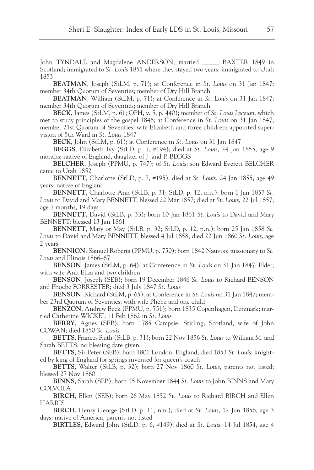John TYNDALE and Magdalene ANDERSON; married \_\_\_\_\_ BAXTER 1849 in Scotland; immigrated to *St. Louis* 1851 where they stayed two years; immigrated to Utah 1853

**BEATMAN**, Joseph (StLM, p. 71); at Conference in *St. Louis* on 31 Jan 1847; member 34th Quorum of Seventies; member of Dry Hill Branch

**BEATMAN**, William (StLM, p. 71); at Conference in *St. Louis* on 31 Jan 1847; member 34th Quorum of Seventies; member of Dry Hill Branch

**BECK**, James (StLM, p. 61; OPH, v. 5, p. 440); member of *St. Louis Lyceum*, which met to study principles of the gospel 1846; at Conference in *St. Louis* on 31 Jan 1847; member 21st Quorum of Seventies; wife Elizabeth and three children; appointed supervision of 5th Ward in *St. Louis* 1847

**BECK**, John (StLM, p. 61); at Conference in *St. Louis* on 31 Jan 1847

**BEGGS**, Elizabeth Ivy (StLD, p. 7, #194); died at *St. Louis*, 24 Jan 1855, age 9 months; native of England, daughter of J. and P. BEGGS

**BELCHER**, Joseph (PPMU, p. 747); of *St. Louis*; son Edward Everett BELCHER came to Utah 1852

**BENNETT**, Charlotte (StLD, p. 7, #195); died at *St. Louis*, 24 Jan 1855, age 49 years; native of England

**BENNETT**, Charlotte Ann (StLB, p. 31; StLD, p. 12, n.n.); born 1 Jan 1857 *St. Louis* to David and Mary BENNETT; blessed 22 Mar 1857; died at *St. Louis*, 22 Jul 1857, age 7 months, 19 days

**BENNETT**, David (StLB, p. 33); born 10 Jan 1861 *St. Louis* to David and Mary BENNETT; blessed 13 Jan 1861

**BENNETT**, Mary or May (StLB, p. 32; StLD, p. 12, n.n.); born 25 Jan 1858 *St. Louis* to David and Mary BENNETT; blessed 4 Jul 1858; died 22 Jun 1860 *St. Louis*, age 2 years

**BENNION**, Samuel Roberts (PPMU, p. 750); born 1842 Nauvoo; missionary to *St. Louis* and Illinois 1866–67

**BENSON**, James (StLM, p. 64); at Conference in *St. Louis* on 31 Jan 1847; Elder; with wife Ann Eliza and two children

**BENSON**, Joseph (SEB); born 19 December 1846 *St. Louis* to Richard BENSON and Phoebe FORRESTER; died 3 July 1847 *St. Louis*

**BENSON**, Richard (StLM, p. 65); at Conference in *St. Louis* on 31 Jan 1847; member 23rd Quorum of Seventies; with wife Phebe and one child

**BENZON**, Andrew Beck (PPMU, p. 751); born 1835 Copenhagen, Denmark; married Catherine WICKEL 11 Feb 1862 in *St. Louis*

**BERRY**, Agnes (SEB); born 1785 Campsie, Stirling, Scotland; wife of John COWAN; died 1850 *St. Louis*

**BETTS**, Frances Ruth (StLB, p. 31); born 22 Nov 1856 *St. Louis* to William M. and Sarah BETTS; no blessing date given

**BETTS**, Sir Peter (SEB); born 1801 London, England; died 1853 *St. Louis*; knighted by king of England for springs invented for queen's coach

**BETTS**, Walter (StLB, p. 32); born 27 Nov 1860 *St. Louis*, parents not listed; blessed 27 Nov 1860

**BINNS**, Sarah (SEB); born 15 November 1844 *St. Louis* to John BINNS and Mary COLVOLA

**BIRCH**, Ellen (SEB); born 26 May 1852 *St. Louis* to Richard BIRCH and Ellen HARRIS

**BIRCH**, Henry George (StLD, p. 11, n.n.); died at *St. Louis*, 12 Jun 1856, age 3 days; native of America, parents not listed

**BIRTLES**, Edward John (StLD, p. 6, #149); died at *St. Louis*, 14 Jul 1854, age 4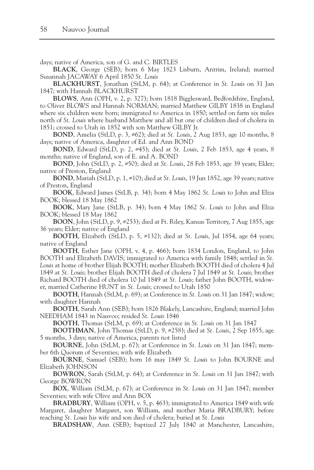days; native of America, son of G. and C. BIRTLES

**BLACK**, George (SEB); born 6 May 1823 Lisburn, Antrim, Ireland; married Susannah JACAWAY 6 April 1850 *St. Louis*

**BLACKHURST**, Jonathan (StLM, p. 64); at Conference in *St. Louis* on 31 Jan 1847; with Hannah BLACKHURST

**BLOWS**, Ann (OPH, v. 2, p. 327); born 1818 Bigglesward, Bedfordshire, England, to Oliver BLOWS and Hannah NORMAN; married Matthew GILBY 1838 in England where six children were born; immigrated to America in 1850; settled on farm six miles north of *St. Louis* where husband Matthew and all but one of children died of cholera in 1851; crossed to Utah in 1852 with son Matthew GILBY Jr.

**BOND**, Amelia (StLD, p. 3, #62); died at *St. Louis*, 2 Aug 1853, age 10 months, 8 days; native of America, daughter of Ed. and Ann BOND

**BOND**, Edward (StLD, p. 2, #45); died at *St. Louis*, 2 Feb 1853, age 4 years, 8 months; native of England, son of E. and A. BOND

**BOND**, John (StLD, p. 2, #50); died at *St. Louis*, 28 Feb 1853, age 39 years; Elder; native of Preston, England

**BOND**, Mariah (StLD, p. 1, #10); died at *St. Louis*, 19 Jun 1852, age 39 years; native of Preston, England

**BOOK**, Edward James (StLB, p. 34); born 4 May 1862 *St. Louis* to John and Eliza BOOK; blessed 18 May 1862

**BOOK**, Mary Jane (StLB, p. 34); born 4 May 1862 *St. Louis* to John and Eliza BOOK; blessed 18 May 1862

**BOON**, John (StLD, p. 9, #253); died at Ft. Riley, Kansas Territory, 7 Aug 1855, age 36 years; Elder; native of England

**BOOTH**, Elizabeth (StLD, p. 5, #132); died at *St. Louis*, Jul 1854, age 64 years; native of England

**BOOTH**, Esther Jane (OPH, v. 4, p. 466); born 1834 London, England, to John BOOTH and Elizabeth DAVIS; immigrated to America with family 1848; settled in *St. Louis* at home of brother Elijah BOOTH; mother Elizabeth BOOTH died of cholera 4 Jul 1849 at *St. Louis*; brother Elijah BOOTH died of cholera 7 Jul 1849 at *St. Louis*; brother Richard BOOTH died of cholera 10 Jul 1849 at *St. Louis*; father John BOOTH, widower, married Catherine HUNT in *St. Louis*; crossed to Utah 1850

**BOOTH**, Hannah (StLM, p. 69); at Conference in *St. Louis* on 31 Jan 1847; widow; with daughter Hannah

**BOOTH**, Sarah Ann (SEB); born 1826 Blakely, Lancashire, England; married John NEEDHAM 1843 in Nauvoo; resided *St. Louis* 1846

**BOOTH**, Thomas (StLM, p. 69); at Conference in *St. Louis* on 31 Jan 1847

**BOOTHMAN**, John Thomas (StLD, p. 9, #258); died at *St. Louis*, 2 Sep 1855, age 5 months, 3 days; native of America, parents not listed

**BOURNE**, John (StLM, p. 67); at Conference in *St. Louis* on 31 Jan 1847; member 6th Quorum of Seventies; with wife Elizabeth

**BOURNE**, Samuel (SEB); born 16 may 1849 *St. Louis* to John BOURNE and Elizabeth JOHNSON

**BOWRON**, Sarah (StLM, p. 64); at Conference in *St. Louis* on 31 Jan 1847; with George BOWRON

**BOX**, William (StLM, p. 67); at Conference in *St. Louis* on 31 Jan 1847; member Seventies; with wife Olive and Ann BOX

**BRADBURY**, William (OPH, v. 5, p. 463); immigrated to America 1849 with wife Margaret, daughter Margaret, son William, and mother Maria BRADBURY; before reaching *St. Louis* his wife and son died of cholera; buried at *St. Louis*

**BRADSHAW**, Ann (SEB); baptized 27 July 1840 at Manchester, Lancashire,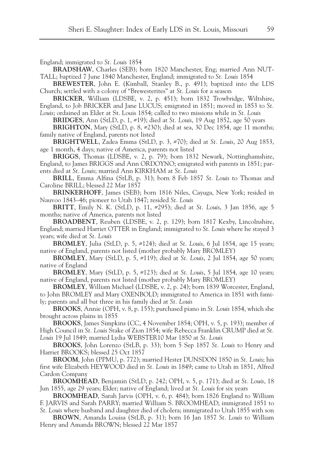England; immigrated to *St. Louis* 1854

**BRADSHAW**, Charles (SEB); born 1820 Manchester, Eng; married Ann NUT-TALL; baptized 7 June 1840 Manchester, England; immigrated to *St. Louis* 1854

**BREWESTER**, John E. (Kimball, Stanley B., p. 491); baptized into the LDS Church; settled with a colony of "Brewesterites" at *St. Louis* for a season

**BRICKER**, William (LDSBE, v. 2, p. 451); born 1832 Trowbridge, Wiltshire, England, to Job BRICKER and Jane LUCUS; emigrated in 1851; moved in 1853 to *St. Louis*; ordained an Elder at St. Louis 1854; called to two missions while in *St. Louis*

**BRIDGES**, Ann (StLD, p. 1, #19); died at *St. Louis*, 19 Aug 1852, age 50 years

**BRIGHTON**, Mary (StLD, p. 8, #230); died at sea, 30 Dec 1854, age 11 months; family native of England, parents not listed

**BRIGHTWELL**, Zadea Emma (StLD, p. 3, #70); died at *St. Louis*, 20 Aug 1853, age 1 month, 4 days; native of America, parents not listed

**BRIGGS**, Thomas (LDSBE, v. 2, p. 79); born 1832 Newark, Nottinghamshire, England, to James BRIGGS and Ann ORDOYNO; emigrated with parents in 1851; parents died at *St. Louis*; married Ann KIRKHAM at *St. Louis*

**BRILL**, Emma Alfina (StLB, p. 31); born 8 Feb 1857 *St. Louis* to Thomas and Caroline BRILL; blessed 22 Mar 1857

**BRINKERHOFF**, James (SEB); born 1816 Niles, Cayuga, New York; resided in Nauvoo 1843–46; pioneer to Utah 1847; resided *St. Louis*

**BRITT**, Emily N. K. (StLD, p. 11, #295); died at *St. Louis*, 3 Jan 1856, age 5 months; native of America, parents not listed

**BROADBENT**, Reuben (LDSBE, v. 2, p. 129); born 1817 Kexby, Lincolnshire, England; married Harriet OTTER in England; immigrated to *St. Louis* where he stayed 3 years; wife died at *St. Louis*

**BROMLEY**, Julia (StLD, p. 5, #124); died at *St. Louis*, 6 Jul 1854, age 15 years; native of England, parents not listed (mother probably Mary BROMLEY)

**BROMLEY**, Mary (StLD, p. 5, #119); died at *St. Louis*, 2 Jul 1854, age 50 years; native of England

**BROMLEY**, Mary (StLD, p. 5, #123); died at *St. Louis*, 5 Jul 1854, age 10 years; native of England, parents not listed (mother probably Mary BROMLEY)

**BROMLEY**, William Michael (LDSBE, v. 2, p. 24); born 1839 Worcester, England, to John BROMLEY and Mary OXENBOLD; immigrated to America in 1851 with family; parents and all but three in his family died at *St. Louis*

**BROOKS**, Annie (OPH, v. 8, p. 155); purchased piano in *St. Louis* 1854, which she brought across plains in 1855

**BROOKS**, James Simpkins (CC, 4 November 1854; OPH, v. 5, p. 193); member of High Council in *St. Louis* Stake of Zion 1854; wife Rebecca Franklin CRUMP died at *St. Louis* 19 Jul 1849; married Lydia WEBSTER10 Mar 1850 at *St. Louis*

**BROOKS**, John Lorenzo (StLB, p. 33); born 5 Sep 1857 *St. Louis* to Henry and Harriet BROOKS; blessed 25 Oct 1857

**BROOM**, John (PPMU, p. 772); married Hester DUNSDON 1850 in *St. Louis*; his first wife Elizabeth HEYWOOD died in *St. Louis* in 1849; came to Utah in 1851, Alfred Cardon Company

**BROOMHEAD**, Benjamin (StLD, p. 242; OPH, v. 5, p. 171); died at *St. Louis*, 18 Jun 1855, age 29 years; Elder; native of England; lived at *St. Louis* for six years

**BROOMHEAD**, Sarah Jarvis (OPH, v. 6, p. 484); born 1826 England to William F. JARVIS and Sarah PARRY; married William S. BROOMHEAD; immigrated 1851 to

*St. Louis* where husband and daughter died of cholera; immigrated to Utah 1855 with son **BROWN**, Amanda Louisa (StLB, p. 31); born 16 Jan 1857 *St. Louis* to William Henry and Amanda BROWN; blessed 22 Mar 1857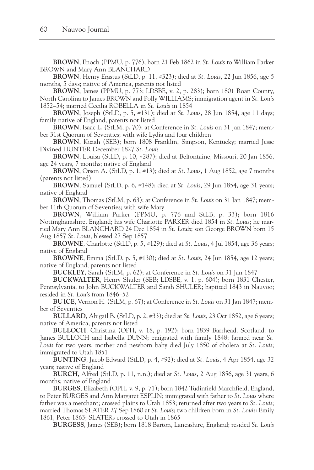**BROWN**, Enoch (PPMU, p. 776); born 21 Feb 1862 in *St. Louis* to William Parker BROWN and Mary Ann BLANCHARD

**BROWN**, Henry Erastus (StLD, p. 11, #323); died at *St. Louis*, 22 Jun 1856, age 5 months, 5 days; native of America, parents not listed

**BROWN**, James (PPMU, p. 773; LDSBE, v. 2, p. 283); born 1801 Roan County, North Carolina to James BROWN and Polly WILLIAMS; immigration agent in *St. Louis* 1852–54; married Cecilia ROBELLA in *St. Louis* in 1854

**BROWN**, Joseph (StLD, p. 5, #131); died at *St. Louis*, 28 Jun 1854, age 11 days; family native of England, parents not listed

**BROWN**, Isaac L. (StLM, p. 70); at Conference in *St. Louis* on 31 Jan 1847; member 31st Quorum of Seventies; with wife Lydia and four children

**BROWN**, Kiziah (SEB); born 1808 Franklin, Simpson, Kentucky; married Jesse Divined HUNTER December 1827 *St. Louis*

**BROWN**, Louisa (StLD, p. 10, #287); died at Belfontaine, Missouri, 20 Jan 1856, age 24 years, 7 months; native of England

**BROWN**, Orson A. (StLD, p. 1, #13); died at *St. Louis*, 1 Aug 1852, age 7 months (parents not listed)

**BROWN**, Samuel (StLD, p. 6, #148); died at *St. Louis*, 29 Jun 1854, age 31 years; native of England

**BROWN**, Thomas (StLM, p. 63); at Conference in *St. Louis* on 31 Jan 1847; member 11th Quorum of Seventies; with wife Mary

**BROWN**, William Parker (PPMU, p. 776 and StLB, p. 33); born 1816 Nottinghamshire, England; his wife Charlotte PARKER died 1854 in *St. Louis*; he married Mary Ann BLANCHARD 24 Dec 1854 in *St. Louis*; son George BROWN born 15 Aug 1857 *St. Louis*, blessed 27 Sep 1857

**BROWNE**, Charlotte (StLD, p. 5, #129); died at *St. Louis*, 4 Jul 1854, age 36 years; native of England

**BROWNE**, Emma (StLD, p. 5, #130); died at *St. Louis*, 24 Jun 1854, age 12 years; native of England, parents not listed

**BUCKLEY**, Sarah (StLM, p. 62); at Conference in *St. Louis* on 31 Jan 1847

**BUCKWALTER**, Henry Shuler (SEB; LDSBE, v. 1, p. 604); born 1831 Chester, Pennsylvania, to John BUCKWALTER and Sarah SHULER; baptized 1843 in Nauvoo; resided in *St. Louis* from 1846–52

**BUICE**, Vernon H. (StLM, p. 67); at Conference in *St. Louis* on 31 Jan 1847; member of Seventies

**BULLARD**, Abigail B. (StLD, p. 2, #33); died at *St. Louis*, 23 Oct 1852, age 6 years; native of America, parents not listed

**BULLOCH**, Christina (OPH, v. 18, p. 192); born 1839 Barrhead, Scotland, to James BULLOCH and Isabella DUNN; emigrated with family 1848; farmed near *St. Louis* for two years; mother and newborn baby died July 1850 of cholera at *St. Louis*; immigrated to Utah 1851

**BUNTING**, Jacob Edward (StLD, p. 4, #92); died at *St. Louis*, 4 Apr 1854, age 32 years; native of England

**BURCH**, Alfred (StLD, p. 11, n.n.); died at *St. Louis*, 2 Aug 1856, age 31 years, 6 months; native of England

**BURGES**, Elizabeth (OPH, v. 9, p. 71); born 1842 Tudinfield Marchfield, England, to Peter BURGES and Ann Margaret ESPLIN; immigrated with father to *St. Louis* where father was a merchant; crossed plains to Utah 1853; returned after two years to *St. Louis*; married Thomas SLATER 27 Sep 1860 at *St. Louis*; two children born in *St. Louis*: Emily 1861, Peter 1863; SLATERs crossed to Utah in 1865

**BURGESS**, James (SEB); born 1818 Barton, Lancashire, England; resided *St. Louis*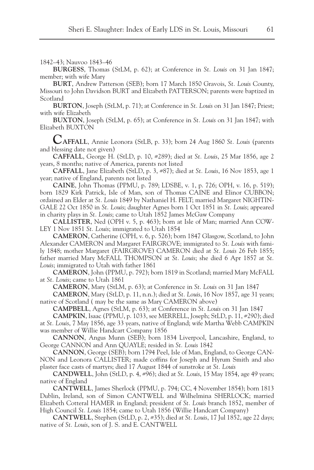1842–43; Nauvoo 1843–46

**BURGESS**, Thomas (StLM, p. 62); at Conference in *St. Louis* on 31 Jan 1847; member; with wife Mary

**BURT**, Andrew Patterson (SEB); born 17 March 1850 Gravois, *St. Louis* County, Missouri to John Davidson BURT and Elizabeth PATTERSON; parents were baptized in Scotland

**BURTON**, Joseph (StLM, p. 71); at Conference in *St. Louis* on 31 Jan 1847; Priest; with wife Elizabeth

**BUXTON**, Joseph (StLM, p. 65); at Conference in *St. Louis* on 31 Jan 1847; with Elizabeth BUXTON

**CAFFALL**, Annie Leonora (StLB, p. 33); born 24 Aug 1860 *St. Louis* (parents and blessing date not given)

**CAFFALL**, George H. (StLD, p. 10, #289); died at *St. Louis*, 25 Mar 1856, age 2 years, 8 months; native of America, parents not listed

**CAFFALL**, Jane Elizabeth (StLD, p. 3, #87); died at *St. Louis*, 16 Nov 1853, age 1 year; native of England, parents not listed

**CAINE**, John Thomas (PPMU, p. 789; LDSBE, v. 1, p. 726; OPH, v. 16, p. 519); born 1829 Kirk Patrick, Isle of Man, son of Thomas CAINE and Elinor CUBBON; ordained an Elder at *St. Louis* 1849 by Nathaniel H. FELT; married Margaret NIGHTIN-GALE 22 Oct 1850 in *St. Louis*; daughter Agnes born 1 Oct 1851 in *St. Louis*; appeared in charity plays in *St. Louis*; came to Utah 1852 James McGaw Company

**CALLISTER**, Ned (OPH v. 5, p. 463); born at Isle of Man; married Ann COW-LEY 1 Nov 1851 *St. Louis*; immigrated to Utah 1854

**CAMERON**, Catherine (OPH, v. 6, p. 526); born 1847 Glasgow, Scotland, to John Alexander CAMERON and Margaret FAIRGROVE; immigrated to *St. Louis* with family 1848; mother Margaret (FAIRGROVE) CAMERON died at *St. Louis* 26 Feb 1855; father married Mary McFALL THOMPSON at *St. Louis*; she died 6 Apr 1857 at *St. Louis*; immigrated to Utah with father 1861

**CAMERON**, John (PPMU, p. 792); born 1819 in Scotland; married Mary McFALL at *St. Louis*; came to Utah 1861

**CAMERON**, Mary (StLM, p. 63); at Conference in *St. Louis* on 31 Jan 1847

**CAMERON**, Mary (StLD, p. 11, n.n.); died at *St. Louis*, 16 Nov 1857, age 31 years; native of Scotland ( may be the same as Mary CAMERON above)

**CAMPBELL**, Agnes (StLM, p. 63); at Conference in *St. Louis* on 31 Jan 1847

**CAMPKIN**, Isaac (PPMU, p. 1033, see MERRELL, Joseph; StLD, p. 11, #290); died at *St. Louis*, 7 May 1856, age 33 years, native of England; wife Martha Webb CAMPKIN was member of Willie Handcart Company 1856

**CANNON**, Angus Munn (SEB); born 1834 Liverpool, Lancashire, England, to George CANNON and Ann QUAYLE; resided in *St. Louis* 1842

**CANNON**, George (SEB); born 1794 Peel, Isle of Man, England, to George CAN-NON and Leonora CALLISTER; made coffins for Joseph and Hyrum Smith and also plaster face casts of martyrs; died 17 August 1844 of sunstroke at *St. Louis*

**CANDWELL**, John (StLD, p. 4, #96); died at *St. Louis*, 15 May 1854, age 49 years; native of England

**CANTWELL**, James Sherlock (PPMU, p. 794; CC, 4 November 1854); born 1813 Dublin, Ireland, son of Simon CANTWELL and Wilhelmina SHERLOCK; married Elizabeth Cotteral HAMER in England; president of *St. Louis* branch 1852, member of High Council *St. Louis* 1854; came to Utah 1856 (Willie Handcart Company)

**CANTWELL**, Stephen (StLD, p. 2, #35); died at *St. Louis*, 17 Jul 1852, age 22 days; native of *St. Louis*, son of J. S. and E. CANTWELL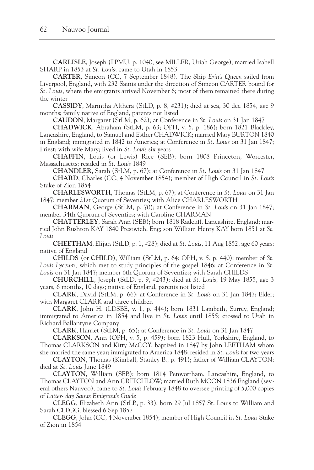**CARLISLE**, Joseph (PPMU, p. 1040, see MILLER, Uriah George); married Isabell SHARP in 1853 at *St. Louis*; came to Utah in 1853

**CARTER**, Simeon (CC, 7 September 1848). The Ship *Erin's Queen* sailed from Liverpool, England, with 232 Saints under the direction of Simeon CARTER bound for *St. Louis*, where the emigrants arrived November 6; most of them remained there during the winter

**CASSIDY**, Marintha Althera (StLD, p. 8, #231); died at sea, 30 dec 1854, age 9 months; family native of England, parents not listed

**CAUDON**, Margaret (StLM, p. 62); at Conference in *St. Louis* on 31 Jan 1847

**CHADWICK**, Abraham (StLM, p. 63; OPH, v. 5, p. 186); born 1821 Blackley, Lancashire, England, to Samuel and Esther CHADWICK; married Mary BURTON 1840 in England; immigrated in 1842 to America; at Conference in *St. Louis* on 31 Jan 1847; Priest; with wife Mary; lived in *St. Louis* six years

**CHAFFIN**, Louis (or Lewis) Rice (SEB); born 1808 Princeton, Worcester, Massachusetts; resided in *St. Louis* 1849

**CHANDLER**, Sarah (StLM, p. 67); at Conference in *St. Louis* on 31 Jan 1847

**CHARD**, Charles (CC, 4 November 1854); member of High Council in *St. Louis* Stake of Zion 1854

**CHARLESWORTH**, Thomas (StLM, p. 67); at Conference in *St. Louis* on 31 Jan 1847; member 21st Quorum of Seventies; with Alice CHARLESWORTH

**CHARMAN**, George (StLM, p. 70); at Conference in *St. Louis* on 31 Jan 1847; member 34th Quorum of Seventies; with Caroline CHARMAN

**CHATTERLEY**, Sarah Ann (SEB); born 1818 Radcliff, Lancashire, England; married John Rushton KAY 1840 Prestwich, Eng; son William Henry KAY born 1851 at *St. Louis*

**CHEETHAM**, Elijah (StLD, p. 1, #28); died at *St. Louis*, 11 Aug 1852, age 60 years; native of England

**CHILDS** (or **CHILD**), William (StLM, p. 64; OPH, v. 5, p. 440); member of *St. Louis Lyceum,* which met to study principles of the gospel 1846; at Conference in *St. Louis* on 31 Jan 1847; member 6th Quorum of Seventies; with Sarah CHILDS

**CHURCHILL**, Joseph (StLD, p. 9, #243); died at *St. Louis*, 19 May 1855, age 3 years, 6 months, 10 days; native of England, parents not listed

**CLARK**, David (StLM, p. 66); at Conference in *St. Louis* on 31 Jan 1847; Elder; with Margaret CLARK and three children

**CLARK**, John H. (LDSBE, v. 1, p. 444); born 1831 Lambeth, Surrey, England; immigrated to America in 1854 and live in *St. Louis* until 1855; crossed to Utah in Richard Ballantyne Company

**CLARK**, Harriet (StLM, p. 65); at Conference in *St. Louis* on 31 Jan 1847

**CLARKSON**, Ann (OPH, v. 5, p. 459); born 1823 Hull, Yorkshire, England, to Thomas CLARKSON and Kitty McCOY; baptized in 1847 by John LEETHAM whom she married the same year; immigrated to America 1848; resided in *St. Louis* for two years

**CLAYTON**, Thomas (Kimball, Stanley B., p. 491); father of William CLAYTON; died at *St. Louis* June 1849

**CLAYTON**, William (SEB); born 1814 Penwortham, Lancashire, England, to Thomas CLAYTON and Ann CRITCHLOW; married Ruth MOON 1836 England (several others Nauvoo); came to *St. Louis* February 1848 to oversee printing of 5,000 copies of *Latter- day Saints Emigrant's Guide*

**CLEGG**, Elizabeth Ann (StLB, p. 33); born 29 Jul 1857 St. Louis to William and Sarah CLEGG; blessed 6 Sep 1857

**CLEGG**, John (CC, 4 November 1854); member of High Council in *St. Louis* Stake of Zion in 1854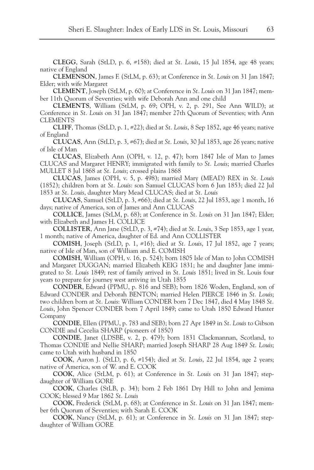**CLEGG**, Sarah (StLD, p. 6, #158); died at *St. Louis*, 15 Jul 1854, age 48 years; native of England

**CLEMENSON**, James F. (StLM, p. 63); at Conference in *St. Louis* on 31 Jan 1847; Elder; with wife Margaret

**CLEMENT**, Joseph (StLM, p. 60); at Conference in *St. Louis* on 31 Jan 1847; member 11th Quorum of Seventies; with wife Deborah Ann and one child

**CLEMENTS**, William (StLM, p. 69; OPH, v. 2, p. 291, See Ann WILD); at Conference in *St. Louis* on 31 Jan 1847; member 27th Quorum of Seventies; with Ann CLEMENTS

**CLIFF**, Thomas (StLD, p. 1, #22); died at *St. Louis*, 8 Sep 1852, age 46 years; native of England

**CLUCAS**, Ann (StLD, p. 3, #67); died at *St. Louis*, 30 Jul 1853, age 26 years; native of Isle of Man

**CLUCAS**, Elizabeth Ann (OPH, v. 12, p. 47); born 1847 Isle of Man to James CLUCAS and Margaret HENRY; immigrated with family to *St. Louis*; married Charles MULLET 8 Jul 1868 at *St. Louis*; crossed plains 1868

**CLUCAS**, James (OPH, v. 5, p. 498); married Mary (MEAD) REX in *St. Louis* (1852); children born at *St. Louis*: son Samuel CLUCAS born 6 Jun 1853; died 22 Jul 1853 at *St. Louis*, daughter Mary Mead CLUCAS; died at *St. Louis*

**CLUCAS**, Samuel (StLD, p. 3, #66); died at *St. Louis*, 22 Jul 1853, age 1 month, 16 days; native of America, son of James and Ann CLUCAS

**COLLICE**, James (StLM, p. 68); at Conference in *St. Louis* on 31 Jan 1847; Elder; with Elizabeth and James H. COLLICE

**COLLISTER**, Ann Jane (StLD, p. 3, #74); died at *St. Louis*, 3 Sep 1853, age 1 year, 1 month; native of America, daughter of Ed. and Ann COLLISTER

**COMISH**, Joseph (StLD, p. 1, #16); died at *St. Louis*, 17 Jul 1852, age 7 years; native of Isle of Man, son of William and E. COMISH

**COMISH**, William (OPH, v. 16, p. 524); born 1805 Isle of Man to John COMISH and Margaret DUGGAN; married Elizabeth KEIG 1831; he and daughter Jane immigrated to *St. Louis* 1849; rest of family arrived in *St. Louis* 1851; lived in St. Louis four years to prepare for journey west arriving in Utah 1855

**CONDER**, Edward (PPMU, p. 816 and SEB); born 1826 Woden, England, son of Edward CONDER and Deborah BENTON; married Helen PIERCE 1846 in *St. Louis*; two children born at *St. Louis*: William CONDER born 7 Dec 1847, died 4 May 1848 *St. Louis*, John Spencer CONDER born 7 April 1849; came to Utah 1850 Edward Hunter Company

**CONDIE**, Ellen (PPMU, p. 783 and SEB); born 27 Apr 1849 in *St. Louis* to Gibson CONDIE and Cecelia SHARP (pioneers of 1850)

**CONDIE**, Janet (LDSBE, v. 2, p. 479); born 1831 Clackmannan, Scotland, to Thomas CONDIE and Nellie SHARP; married Joseph SHARP 28 Aug 1849 *St. Louis*; came to Utah with husband in 1850

**COOK**, Aaron J. (StLD, p. 6, #154); died at *St. Louis*, 22 Jul 1854, age 2 years; native of America, son of W. and E. COOK

**COOK**, Alice (StLM, p. 61); at Conference in *St. Louis* on 31 Jan 1847; stepdaughter of William GORE

**COOK**, Charles (StLB, p. 34); born 2 Feb 1861 Dry Hill to John and Jemima COOK; blessed 9 Mar 1862 *St. Louis*

**COOK**, Frederick (StLM, p. 68); at Conference in *St. Louis* on 31 Jan 1847; member 6th Quorum of Seventies; with Sarah E. COOK

**COOK**, Nancy (StLM, p. 61); at Conference in *St. Louis* on 31 Jan 1847; stepdaughter of William GORE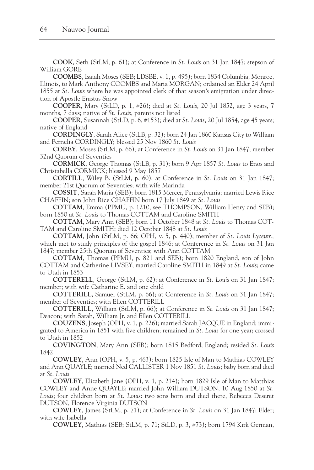**COOK**, Seth (StLM, p. 61); at Conference in *St. Louis* on 31 Jan 1847; stepson of William GORE

**COOMBS**, Isaiah Moses (SEB; LDSBE, v. 1, p. 495); born 1834 Columbia, Monroe, Illinois, to Mark Anthony COOMBS and Maria MORGAN; ordained an Elder 24 April 1855 at *St. Louis* where he was appointed clerk of that season's emigration under direction of Apostle Erastus Snow

**COOPER**, Mary (StLD, p. 1, #26); died at *St. Louis*, 20 Jul 1852, age 3 years, 7 months, 7 days; native of *St. Louis*, parents not listed

**COOPER**, Susannah (StLD, p. 6, #153); died at *St. Louis*, 20 Jul 1854, age 45 years; native of England

**CORDINGLY**, Sarah Alice (StLB, p. 32); born 24 Jan 1860 Kansas City to William and Pernelia CORDINGLY; blessed 25 Nov 1860 *St. Louis*

**COREY**, Moses (StLM, p. 66); at Conference in *St. Louis* on 31 Jan 1847; member 32nd Quorum of Seventies

**CORMICK**, George Thomas (StLB, p. 31); born 9 Apr 1857 *St. Louis* to Enos and Christabella CORMICK; blessed 9 May 1857

**CORTILL**, Wiley B. (StLM, p. 60); at Conference in *St. Louis* on 31 Jan 1847; member 21st Quorum of Seventies; with wife Marinda

**COSSIT**, Sarah Maria (SEB); born 1815 Mercer, Pennsylvania; married Lewis Rice CHAFFIN; son John Rice CHAFFIN born 17 July 1849 at *St. Louis*

**COTTAM**, Emma (PPMU, p. 1210, see THOMPSON, William Henry and SEB); born 1850 at *St. Louis* to Thomas COTTAM and Caroline SMITH

**COTTAM**, Mary Ann (SEB); born 11 October 1848 at *St. Louis* to Thomas COT-TAM and Caroline SMITH; died 12 October 1848 at *St. Louis*

**COTTAM**, John (StLM, p. 66; OPH, v. 5, p. 440); member of *St. Louis Lyceum,* which met to study principles of the gospel 1846; at Conference in *St. Louis* on 31 Jan 1847; member 25th Quorum of Seventies; with Ann COTTAM

**COTTAM**, Thomas (PPMU, p. 821 and SEB); born 1820 England, son of John COTTAM and Catherine LIVSEY; married Caroline SMITH in 1849 at *St. Louis*; came to Utah in 1853

**COTTERELL**, George (StLM, p. 62); at Conference in *St. Louis* on 31 Jan 1847; member; with wife Catharine E. and one child

**COTTERILL**, Samuel (StLM, p. 66); at Conference in *St. Louis* on 31 Jan 1847; member of Seventies; with Ellen COTTERILL

**COTTERILL**, William (StLM, p. 66); at Conference in *St. Louis* on 31 Jan 1847; Deacon; with Sarah, William Jr. and Ellen COTTERILL

**COUZENS**, Joseph (OPH, v. 1, p. 226); married Sarah JACQUE in England; immigrated to America in 1851 with five children; remained in *St. Louis* for one year; crossed to Utah in 1852

**COVINGTON**, Mary Ann (SEB); born 1815 Bedford, England; resided *St. Louis* 1842

**COWLEY**, Ann (OPH, v. 5, p. 463); born 1825 Isle of Man to Mathias COWLEY and Ann QUAYLE; married Ned CALLISTER 1 Nov 1851 *St. Louis*; baby born and died at *St. Louis*

**COWLEY**, Elizabeth Jane (OPH, v. 1, p. 214); born 1829 Isle of Man to Matthias COWLEY and Anne QUAYLE; married John William DUTSON, 10 Aug 1850 at *St. Louis*; four children born at *St. Louis*: two sons born and died there, Rebecca Deseret DUTSON, Florence Virginia DUTSON

**COWLEY**, James (StLM, p. 71); at Conference in *St. Louis* on 31 Jan 1847; Elder; with wife Isabella

**COWLEY**, Mathias (SEB; StLM, p. 71; StLD, p. 3, #73); born 1794 Kirk German,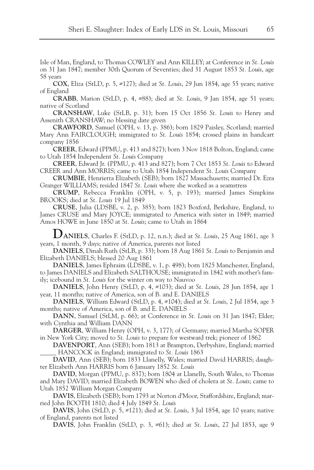Isle of Man, England, to Thomas COWLEY and Ann KILLEY; at Conference in *St. Louis* on 31 Jan 1847; member 30th Quorum of Seventies; died 31 August 1853 *St. Louis*, age 58 years

**COX**, Eliza (StLD, p. 5, #127); died at *St. Louis*, 29 Jun 1854, age 55 years; native of England

**CRABB**, Marion (StLD, p. 4, #88); died at *St. Louis*, 9 Jan 1854, age 51 years; native of Scotland

**CRANSHAW**, Luke (StLB, p. 31); born 15 Oct 1856 *St. Louis* to Henry and Assenith CRANSHAW; no blessing date given

**CRAWFORD**, Samuel (OPH, v. 13, p. 386); born 1829 Paisley, Scotland; married Mary Ann FAIRCLOUGH; immigrated to *St. Louis* 1854; crossed plains in handcart company 1856

**CREER**, Edward (PPMU, p. 413 and 827); born 3 Nov 1818 Bolton, England; came to Utah 1854 Independent *St. Louis* Company

**CREER**, Edward Jr. (PPMU, p. 413 and 827); born 7 Oct 1853 *St. Louis* to Edward CREER and Ann MORRIS; came to Utah 1854 Independent *St. Louis* Company

**CRUMBIE**, Henrietta Elizabeth (SEB); born 1827 Massachusetts; married Dr. Ezra Granger WILLIAMS; resided 1847 *St. Louis* where she worked as a seamstress

**CRUMP**, Rebecca Franklin (OPH, v. 5, p. 193); married James Simpkins BROOKS; died at *St. Louis* 19 Jul 1849

**CRUSE**, Julia (LDSBE, v. 2, p. 385); born 1823 Boxford, Berkshire, England, to James CRUSE and Mary JOYCE; immigrated to America with sister in 1849; married Amos HOWE in June 1850 at *St. Louis*; came to Utah in 1864

**DANIELS**, Charles F. (StLD, p. 12, n.n.); died at *St. Louis*, 25 Aug 1861, age 3 years, 1 month, 9 days; native of America, parents not listed

**DANIELS**, Dinah Ruth (StLB, p. 33); born 18 Aug 1861 *St. Louis* to Benjamin and Elizabeth DANIELS; blessed 20 Aug 1861

**DANIELS**, James Ephraim (LDSBE, v. 1, p. 498); born 1825 Manchester, England, to James DANIELS and Elizabeth SALTHOUSE; immigrated in 1842 with mother's family; icebound in *St. Louis* for the winter on way to Nauvoo

**DANIELS**, John Henry (StLD, p. 4, #103); died at *St. Louis*, 28 Jun 1854, age 1 year, 11 months; native of America, son of B. and E. DANIELS

**DANIELS**, William Edward (StLD, p. 4, #104); died at *St. Louis*, 2 Jul 1854, age 3 months; native of America, son of B. and E. DANIELS

**DANN**, Samuel (StLM, p. 66); at Conference in *St. Louis* on 31 Jan 1847; Elder; with Cynthia and William DANN

**DARGER**, William Henry (OPH, v. 3, 177); of Germany; married Martha SOPER in New York City; moved to *St. Louis* to prepare for westward trek; pioneer of 1862

**DAVENPORT**, Ann (SEB); born 1813 at Brampton, Derbyshire, England; married \_\_\_\_\_ HANCOCK in England; immigrated to *St. Louis* 1863

**DAVID**, Ann (SEB); born 1833 Llanelly, Wales; married David HARRIS; daughter Elizabeth Ann HARRIS born 6 January 1852 *St. Louis*

**DAVID**, Morgan (PPMU, p. 837); born 1804 at Llanelly, South Wales, to Thomas and Mary DAVID; married Elizabeth BOWEN who died of cholera at *St. Louis*; came to Utah 1852 William Morgan Company

**DAVIS**, Elizabeth (SEB); born 1793 at Norton d'Moor, Staffordshire, England; married John BOOTH 1810; died 4 July 1849 *St. Louis*

**DAVIS**, John (StLD, p. 5, #121); died at *St. Louis*, 3 Jul 1854, age 10 years; native of England, parents not listed

**DAVIS**, John Franklin (StLD, p. 3, #61); died at *St. Louis*, 27 Jul 1853, age 9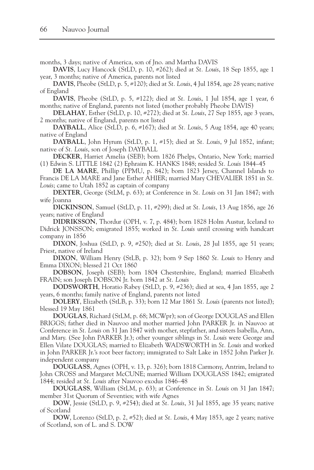months, 3 days; native of America, son of Jno. and Martha DAVIS

**DAVIS**, Lucy Hancock (StLD, p. 10, #262); died at *St. Louis*, 18 Sep 1855, age 1 year, 3 months; native of America, parents not listed

**DAVIS**, Pheobe (StLD, p. 5, #120); died at *St. Louis*, 4 Jul 1854, age 28 years; native of England

**DAVIS**, Pheobe (StLD, p. 5, #122); died at *St. Louis*, 1 Jul 1854, age 1 year, 6 months; native of England, parents not listed (mother probably Pheobe DAVIS)

**DELAHAY**, Esther (StLD, p. 10, #272); died at *St. Louis*, 27 Sep 1855, age 3 years, 2 months; native of England, parents not listed

**DAYBALL**, Alice (StLD, p. 6, #167); died at *St. Louis*, 5 Aug 1854, age 40 years; native of England

**DAYBALL**, John Hyrum (StLD, p. 1, #15); died at *St. Louis*, 9 Jul 1852, infant; native of *St. Louis*, son of Joseph DAYBALL

**DECKER**, Harriet Amelia (SEB); born 1826 Phelps, Ontario, New York; married (1) Edwin S. LITTLE 1842 (2) Ephraim K. HANKS 1848; resided *St. Louis* 1844–45

**DE LA MARE**, Phillip (PPMU, p. 842); born 1823 Jersey, Channel Islands to Francis DE LA MARE and Jane Esther AHIER; married Mary CHEVALIER 1851 in *St. Louis*; came to Utah 1852 as captain of company

**DEXTER**, George (StLM, p. 63); at Conference in *St. Louis* on 31 Jan 1847; with wife Joanna

**DICKINSON**, Samuel (StLD, p. 11, #299); died at *St. Louis*, 13 Aug 1856, age 26 years; native of England

**DIDRIKSSON**, Thordur (OPH, v. 7, p. 484); born 1828 Holm Austur, Iceland to Didrick JONSSON; emigrated 1855; worked in *St. Louis* until crossing with handcart company in 1856

**DIXON**, Joshua (StLD, p. 9, #250); died at *St. Louis*, 28 Jul 1855, age 51 years; Priest, native of Ireland

**DIXON**, William Henry (StLB, p. 32); born 9 Sep 1860 *St. Louis* to Henry and Emma DIXON; blessed 21 Oct 1860

**DOBSON**, Joseph (SEB); born 1804 Chestershire, England; married Elizabeth FRAIN; son Joseph DOBSON Jr. born 1842 at *St. Louis*

**DODSWORTH**, Horatio Rabey (StLD, p. 9, #236); died at sea, 4 Jan 1855, age 2 years, 6 months; family native of England, parents not listed

**DOLERY**, Elizabeth (StLB, p. 33); born 12 Mar 1861 *St. Louis* (parents not listed); blessed 19 May 1861

**DOUGLAS**, Richard (StLM, p. 68; MCWpr); son of George DOUGLAS and Ellen BRIGGS; father died in Nauvoo and mother married John PARKER Jr. in Nauvoo at Conference in *St. Louis* on 31 Jan 1847 with mother, stepfather, and sisters Isabella, Ann, and Mary. (See John PARKER Jr.); other younger siblings in *St. Louis* were George and Ellen Vilate DOUGLAS; married to Elizabeth WADSWORTH in *St. Louis* and worked in John PARKER Jr.'s root beer factory; immigrated to Salt Lake in 1852 John Parker Jr. independent company

**DOUGLASS**, Agnes (OPH, v. 13, p. 326); born 1818 Carmony, Antrim, Ireland to John CROSS and Margaret McCUNE; married William DOUGLASS 1842; emigrated 1844; resided at *St. Louis* after Nauvoo exodus 1846–48

**DOUGLASS**, William (StLM, p. 63); at Conference in *St. Louis* on 31 Jan 1847; member 31st Quorum of Seventies; with wife Agnes

**DOW**, Jessie (StLD, p. 9, #254); died at *St. Louis*, 31 Jul 1855, age 35 years; native of Scotland

**DOW**, Lorenzo (StLD, p. 2, #52); died at *St. Louis*, 4 May 1853, age 2 years; native of Scotland, son of L. and S. DOW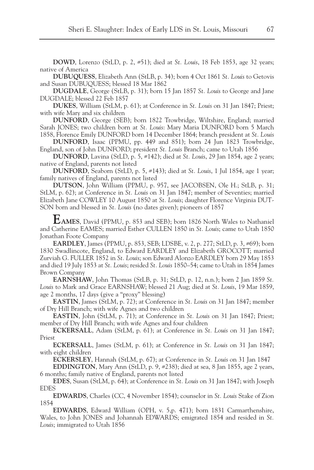**DOWD**, Lorenzo (StLD, p. 2, #51); died at *St. Louis*, 18 Feb 1853, age 32 years; native of America

**DUBUQUESS**, Elizabeth Ann (StLB, p. 34); born 4 Oct 1861 *St. Louis* to Getovis and Susan DUBUQUESS; blessed 18 Mar 1862

**DUGDALE**, George (StLB, p. 31); born 15 Jan 1857 *St. Louis* to George and Jane DUGDALE; blessed 22 Feb 1857

**DUKES**, William (StLM, p. 61); at Conference in *St. Louis* on 31 Jan 1847; Priest; with wife Mary and six children

**DUNFORD**, George (SEB); born 1822 Trowbridge, Wiltshire, England; married Sarah JONES; two children born at *St. Louis*: Mary Maria DUNFORD born 5 March 1858, Florence Emily DUNFORD born 14 December 1864; branch president at *St. Louis*

**DUNFORD**, Isaac (PPMU, pp. 449 and 851); born 24 Jun 1823 Trowbridge, England, son of John DUNFORD; president *St. Louis* Branch; came to Utah 1856

**DUNFORD**, Lavina (StLD, p. 5, #142); died at *St. Louis*, 29 Jan 1854, age 2 years; native of England, parents not listed

**DUNFORD**, Seaborn (StLD, p. 5, #143); died at *St. Louis*, 1 Jul 1854, age 1 year; family natives of England, parents not listed

**DUTSON**, John William (PPMU, p. 957, see JACOBSEN, Ole H.; StLB, p. 31; StLM, p. 62); at Conference in *St. Louis* on 31 Jan 1847; member of Seventies; married Elizabeth Jane COWLEY 10 August 1850 at *St. Louis*; daughter Florence Virginia DUT-SON born and blessed in *St. Louis* (no dates given); pioneers of 1857

**EAMES**, David (PPMU, p. 853 and SEB); born 1826 North Wales to Nathaniel and Catherine EAMES; married Esther CULLEN 1850 in *St. Louis*; came to Utah 1850 Jonathan Foote Company

**EARDLEY**, James (PPMU, p. 853, SEB; LDSBE, v. 2, p. 277; StLD, p. 3, #69); born 1830 Swadlincote, England, to Edward EARDLEY and Elizabeth GROCOTT; married Zurviah G. FULLER 1852 in *St. Louis*; son Edward Alonzo EARDLEY born 29 May 1853 and died 19 July 1853 at *St. Louis*; resided *St. Louis* 1850–54; came to Utah in 1854 James Brown Company

**EARNSHAW**, John Thomas (StLB, p. 31; StLD, p. 12, n.n.); born 2 Jan 1859 *St. Louis* to Mark and Grace EARNSHAW; blessed 21 Aug; died at *St. Louis*, 19 Mar 1859, age 2 months, 17 days (give a "proxy" blessing)

**EASTIN**, James (StLM, p. 72); at Conference in *St. Louis* on 31 Jan 1847; member of Dry Hill Branch; with wife Agnes and two children

**EASTIN**, John (StLM, p. 71); at Conference in *St. Louis* on 31 Jan 1847; Priest; member of Dry Hill Branch; with wife Agnes and four children

**ECKERSALL**, Adam (StLM, p. 61); at Conference in *St. Louis* on 31 Jan 1847; Priest

**ECKERSALL**, James (StLM, p. 61); at Conference in *St. Louis* on 31 Jan 1847; with eight children

**ECKERSLEY**, Hannah (StLM, p. 67); at Conference in *St. Louis* on 31 Jan 1847

**EDDINGTON**, Mary Ann (StLD, p. 9, #238); died at sea, 8 Jan 1855, age 2 years, 6 months; family native of England, parents not listed

**EDES**, Susan (StLM, p. 64); at Conference in *St. Louis* on 31 Jan 1847; with Joseph EDES

**EDWARDS**, Charles (CC, 4 November 1854); counselor in *St. Louis* Stake of Zion 1854

**EDWARDS**, Edward William (OPH, v. 5,p. 471); born 1831 Carmarthenshire, Wales, to John JONES and Johannah EDWARDS; emigrated 1854 and resided in *St. Louis*; immigrated to Utah 1856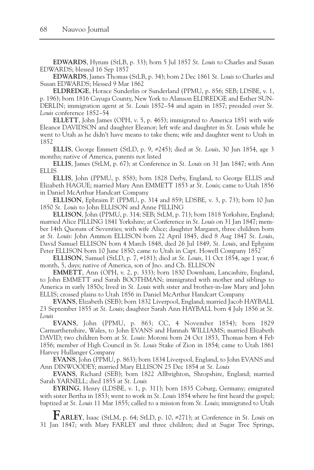**EDWARDS**, Hyrum (StLB, p. 33); born 5 Jul 1857 *St. Louis* to Charles and Susan EDWARDS; blessed 16 Sep 1857

**EDWARDS**, James Thomas (StLB, p. 34); born 2 Dec 1861 *St. Louis* to Charles and Susan EDWARDS; blessed 9 Mar 1862

**ELDREDGE**, Horace Sunderlin or Sunderland (PPMU, p. 856; SEB; LDSBE, v. 1, p. 196); born 1816 Cayuga County, New York to Alanson ELDREDGE and Esther SUN-DERLIN; immigration agent at *St. Louis* 1852–54 and again in 1857; presided over *St. Louis* conference 1852–54

**ELLETT**, John James (OPH, v. 5, p. 465); immigrated to America 1851 with wife Eleanor DAVIDSON and daughter Eleanor; left wife and daughter in *St. Louis* while he went to Utah as he didn't have means to take them; wife and daughter went to Utah in 1852

**ELLIS**, George Emmett (StLD, p. 9, #245); died at *St. Louis*, 30 Jun 1854, age 3 months; native of America, parents not listed

**ELLIS**, James (StLM, p. 67); at Conference in *St. Louis* on 31 Jan 1847; with Ann ELLIS

**ELLIS**, John (PPMU, p. 858); born 1828 Derby, England, to George ELLIS and Elizabeth HAGUE; married Mary Ann EMMETT 1853 at *St. Louis*; came to Utah 1856 in Daniel McArthur Handcart Company

**ELLISON**, Ephraim P. (PPMU, p. 314 and 859; LDSBE, v. 3, p. 73); born 10 Jun 1850 *St. Louis* to John ELLISON and Anne PILLING

**ELLISON**, John (PPMU, p. 314; SEB; StLM, p. 71); born 1818 Yorkshire, England; married Alice PILLING 1841 Yorkshire; at Conference in *St. Louis* on 31 Jan 1847; member 14th Quorum of Seventies; with wife Alice; daughter Margaret, three children born at *St. Louis*: John Ammon ELLISON born 22 April 1845, died 8 Aug 1847 *St. Louis*, David Samuel ELLISON born 4 March 1848, died 26 Jul 1849, *St. Louis*, and Ephraim Peter ELLISON born 10 June 1850; came to Utah in Capt. Howell Company 1852<sup>\*</sup>

**ELLISON**, Samuel (StLD, p. 7, #181); died at *St. Louis*, 11 Oct 1854, age 1 year, 6 month, 5, days; native of America, son of Jno. and Ch. ELLISON

**EMMETT**, Ann (OPH, v. 2, p. 333); born 1830 Downham, Lancashire, England, to John EMMETT and Sarah BOOTHMAN; immigrated with mother and siblings to America in early 1850s; lived in *St. Louis* with sister and brother-in-law Mary and John ELLIS; crossed plains to Utah 1856 in Daniel McArthur Handcart Company

**EVANS**, Elizabeth (SEB); born 1832 Liverpool, England; married Jacob HAYBALL 23 September 1855 at *St. Louis*; daughter Sarah Ann HAYBALL born 4 July 1856 at *St. Louis*

**EVANS**, John (PPMU, p. 863; CC, 4 November 1854); born 1829 Carmarthenshire, Wales, to John EVANS and Hannah WILLIAMS; married Elizabeth DAVID; two children born at *St. Louis*: Moroni born 24 Oct 1853, Thomas born 4 Feb 1856; member of High Council in *St. Louis* Stake of Zion in 1854; came to Utah 1861 Harvey Hullanger Company

**EVANS**, John (PPMU, p. 863); born 1834 Liverpool, England, to John EVANS and Ann DINWOODEY; married Mary ELLISON 25 Dec 1854 at *St. Louis*

**EVANS**, Richard (SEB); born 1822 Allbrighton, Shropshire, England; married Sarah YARNELL; died 1855 at *St. Louis*

**EYRING**, Henry (LDSBE, v. 1, p. 311); born 1835 Coburg, Germany; emigrated with sister Bertha in 1853; went to work in *St. Louis* 1854 where he first heard the gospel; baptized at *St. Louis* 11 Mar 1855; called to a mission from *St. Louis*; immigrated to Utah

**FARLEY**, Isaac (StLM, p. 64; StLD, p. 10, #271); at Conference in *St. Louis* on 31 Jan 1847; with Mary FARLEY and three children; died at Sugar Tree Springs,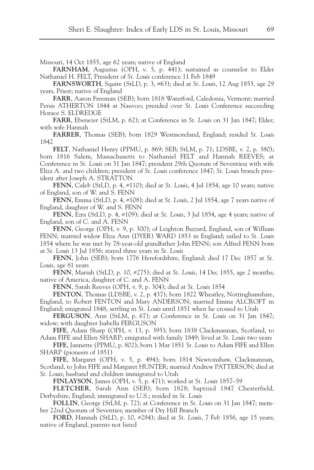Missouri, 14 Oct 1855, age 62 years; native of England

**FARNHAM**, Augustus (OPH, v. 5, p. 441); sustained as counselor to Elder Nathaniel H. FELT, President of *St. Louis* conference 11 Feb 1849

**FARNSWORTH**, Squire (StLD, p. 3, #63); died at *St. Louis*, 12 Aug 1853, age 29 years, Priest; native of England

**FARR**, Aaron Freeman (SEB); born 1818 Waterford, Caledonia, Vermont; married Persis ATHERTON 1844 at Nauvoo; presided over *St. Louis* Conference succeeding Horace S. ELDREDGE

**FARR**, Ebenezer (StLM, p. 62); at Conference in *St. Louis* on 31 Jan 1847; Elder; with wife Hannah

**FARRER**, Thomas (SEB); born 1829 Westmoreland, England; resided *St. Louis* 1842

**FELT**, Nathaniel Henry (PPMU, p. 869; SEB; StLM, p. 71; LDSBE, v. 2, p. 380); born 1816 Salem, Massachusetts to Nathaniel FELT and Hannah REEVES; at Conference in *St. Louis* on 31 Jan 1847; president 29th Quorum of Seventies**;** with wife Eliza A. and two children; president of *St. Louis* conference 1847; *St. Louis* branch president after Joseph A. STRATTON

**FENN**, Caleb (StLD, p. 4, #110); died at *St. Louis*, 4 Jul 1854, age 10 years; native of England, son of W. and S. FENN

**FENN**, Emma (StLD, p. 4, #108); died at *St. Louis*, 2 Jul 1854, age 7 years native of England, daughter of W. and S. FENN

**FENN**, Ezra (StLD, p. 4, #109); died at *St. Louis*, 3 Jul 1854, age 4 years; native of England, son of C. and A. FENN

**FENN**, George (OPH, v. 9, p. 300); of Leighton Buzzard, England, son of William FENN; married widow Eliza Ann (DYER) WARD 1853 in England; sailed to *St. Louis* 1854 where he was met by 78-year-old grandfather John FENN; son Alfred FENN born at *St. Louis* 13 Jul 1856; stayed three years in *St. Louis*

**FENN**, John (SEB); born 1776 Herefordshire, England; died 17 Dec 1857 at *St. Louis*, age 81 years

**FENN**, Mariah (StLD, p. 10, #275); died at *St. Louis*, 14 Dec 1855, age 2 months; native of America, daughter of C. and A. FENN

**FENN**, Sarah Reeves (OPH, v. 9, p. 304); died at *St. Louis* 1854

**FENTON**, Thomas (LDSBE, v. 2, p. 437); born 1822 Wheatley, Nottinghamshire, England, to Robert FENTON and Mary ANDERSON; married Emma ALCROFT in England; emigrated 1848, settling in *St. Louis* until 1851 when he crossed to Utah

**FERGUSON**, Ann (StLM, p. 67); at Conference in *St. Louis* on 31 Jan 1847; widow; with daughter Isabella FERGUSON

**FIFE**, Adam Sharp (OPH, v. 13, p. 395); born 1838 Clackmannan, Scotland, to Adam FIFE and Ellen SHARP; emigrated with family 1849; lived at *St. Louis* two years

**FIFE**, Jannette (PPMU, p. 802); born 1 Mar 1851 *St. Louis* to Adam FIFE and Ellen SHARP (pioneers of 1851)

**FIFE**, Margaret (OPH, v. 5, p. 494); born 1814 Newtonshaw, Clackmannan, Scotland, to John FIFE and Margaret HUNTER; married Andrew PATTERSON; died at *St. Louis*; husband and children immigrated to Utah

**FINLAYSON**, James (OPH, v. 5, p. 471); worked at *St. Louis* 1857–59

**FLETCHER**, Sarah Ann (SEB); born 1828; baptized 1847 Chesterfield, Derbyshire, England; immigrated to U.S.; resided in *St. Louis*

**FOLLIN**, George (StLM, p. 72); at Conference in *St. Louis* on 31 Jan 1847; member 22nd Quorum of Seventies; member of Dry Hill Branch

**FORD**, Hannah (StLD, p. 10, #284); died at *St. Louis*, 7 Feb 1856, age 15 years; native of England, parents not listed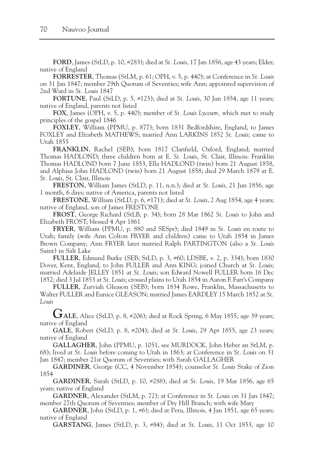**FORD**, James (StLD, p. 10, #283); died at *St. Louis*, 17 Jan 1856, age 43 years; Elder; native of England

**FORRESTER**, Thomas (StLM, p. 61; OPH, v. 5, p. 440); at Conference in *St. Louis* on 31 Jan 1847; member 29th Quorum of Seventies; wife Ann; appointed supervision of 2nd Ward in *St. Louis* 1847

**FORTUNE**, Paul (StLD, p. 5, #125); died at *St. Louis*, 30 Jun 1854, age 11 years; native of England, parents not listed

**FOX**, James (OPH, v. 5, p. 440); member of *St. Louis Lyceum,* which met to study principles of the gospel 1846

**FOXLEY**, William (PPMU, p. 877); born 1831 Bedfordshire, England, to James FOXLEY and Elizabeth MATHEWS; married Ann LARKINS 1852 *St. Louis*; came to Utah 1855

**FRANKLIN**, Rachel (SEB); born 1817 Clanfield, Oxford, England; married Thomas HADLOND; three children born at E. *St. Louis*, St. Clair, Illinois: Franklin Thomas HADLOND born 7 June 1853, Ella HADLOND (twin) born 21 August 1858, and Alphius John HADLOND (twin) born 21 August 1858; died 29 March 1879 at E. *St. Louis*, St. Clair, Illinois

**FRESTON**, William James (StLD, p. 11, n.n.); died at *St. Louis*, 21 Jun 1856, age 1 month, 6 days; native of America, parents not listed

**FRESTONE**, William (StLD, p. 6, #171); died at *St. Louis*, 2 Aug 1854, age 4 years; native of England, son of James FRESTONE

**FROST**, George Richard (StLB, p. 34); born 28 Mar 1862 *St. Louis* to John and Elizabeth FROST; blessed 4 Apr 1861

**FRYER**, William (PPMU, p. 880 and SESpr); died 1849 in *St. Louis* en route to Utah; family (wife Ann Colton FRYER and children) came to Utah 1854 in James Brown Company; Ann FRYER later married Ralph PARTINGTON (also a *St. Louis* Saint) in Salt Lake

**FULLER**, Edmund Burke (SEB; StLD, p. 3, #60; LDSBE, v. 2, p. 334); born 1830 Dover, Kent, England, to John FULLER and Ann KING; joined Church at *St. Louis*; married Adelaide JELLEY 1851 at *St. Louis*; son Edward Nowell FULLER born 16 Dec 1852; died 3 Jul 1853 at *St. Louis*; crossed plains to Utah 1854 in Aaron F. Farr's Company

**FULLER**, Zurviah Gleason (SEB); born 1834 Rowe, Franklin, Massachusetts to Walter FULLER and Eunice GLEASON; married James EARDLEY 15 March 1852 at *St. Louis*

**GALE**, Alice (StLD, p. 8, #206); died at Rock Spring, 6 May 1855, age 39 years; native of England

**GALE**, Robert (StLD, p. 8, #204); died at *St. Louis*, 29 Apr 1855, age 23 years; native of England

**GALLAGHER**, John (PPMU, p. 1051, see MURDOCK, John Heber an StLM, p. 68); lived at *St. Louis* before coming to Utah in 1863; at Conference in *St. Louis* on 31 Jan 1847; member 21st Quorum of Seventies; with Sarah GALLAGHER

**GARDINER**, George (CC, 4 November 1854); counselor *St. Louis* Stake of Zion 1854

**GARDINER**, Sarah (StLD, p. 10, #288); died at *St. Louis*, 19 Mar 1856, age 65 years; native of England

**GARDNER**, Alexander (StLM, p. 72); at Conference in *St. Louis* on 31 Jan 1847; member 27th Quorum of Seventies; member of Dry Hill Branch; with wife Mary

**GARDNER**, John (StLD, p. 1, #6); died at Peru, Illinois, 4 Jan 1851, age 65 years; native of England

**GARSTANG**, James (StLD, p. 3, #84); died at *St. Louis*, 11 Oct 1853, age 10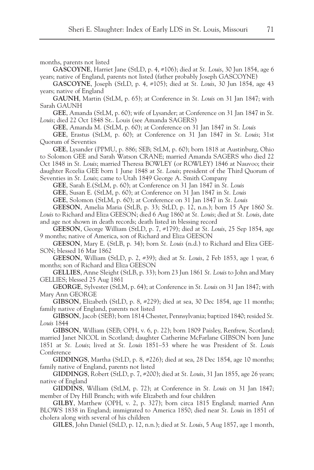months, parents not listed

**GASCOYNE**, Harriet Jane (StLD, p. 4, #106); died at *St. Louis*, 30 Jun 1854, age 6 years; native of England, parents not listed (father probably Joseph GASCOYNE)

**GASCOYNE**, Joseph (StLD, p. 4, #105); died at *St. Louis*, 30 Jun 1854, age 43 years; native of England

**GAUNH**, Martin (StLM, p. 65); at Conference in *St. Louis* on 31 Jan 1847; with Sarah GAUNH

**GEE**, Amanda (StLM, p. 60); wife of Lysander; at Conference on 31 Jan 1847 in *St. Louis*; died 22 Oct 1848 St.. Louis (see Amanda SAGERS)

**GEE**, Amanda M. (StLM, p. 60); at Conference on 31 Jan 1847 in *St. Louis*

**GEE**, Erastus (StLM, p. 60); at Conference on 31 Jan 1847 in *St. Louis*; 31st Quorum of Seventies

**GEE**, Lysander (PPMU, p. 886; SEB; StLM, p. 60); born 1818 at Austinburg, Ohio to Solomon GEE and Sarah Watson CRANE; married Amanda SAGERS who died 22 Oct 1848 in *St. Louis*; married Theresa BOWLEY (or ROWLEY) 1846 at Nauvoo; their daughter Rozelia GEE born 1 June 1848 at *St. Louis*; president of the Third Quorum of Seventies in *St. Louis*; came to Utah 1849 George A. Smith Company

**GEE**, Sarah E.(StLM, p. 60); at Conference on 31 Jan 1847 in *St. Louis*

**GEE**, Susan E. (StLM, p. 60); at Conference on 31 Jan 1847 in *St. Louis*

**GEE**, Solomon (StLM, p. 60); at Conference on 31 Jan 1847 in *St. Louis*

**GEESON**, Amelia Maria (StLB, p. 33; StLD, p. 12, n.n.); born 15 Apr 1860 *St. Louis* to Richard and Eliza GEESON; died 6 Aug 1860 at *St. Louis*; died at *St. Louis*, date and age not shown in death records; death listed in blessing record

**GEESON**, George William (StLD, p. 7, #179); died at *St. Louis*, 25 Sep 1854, age 9 months; native of America, son of Richard and Eliza GEESON

**GEESON**, Mary E. (StLB, p. 34); born *St. Louis* (n.d.) to Richard and Eliza GEE-SON; blessed 16 Mar 1862

**GEESON**, William (StLD, p. 2, #39); died at *St. Louis*, 2 Feb 1853, age 1 year, 6 months; son of Richard and Eliza GEESON

**GELLIES**, Anne Sleight (StLB, p. 33); born 23 Jun 1861 *St. Louis* to John and Mary GELLIES; blessed 25 Aug 1861

**GEORGE**, Sylvester (StLM, p. 64); at Conference in *St. Louis* on 31 Jan 1847; with Mary Ann GEORGE

**GIBSON**, Elizabeth (StLD, p. 8, #229); died at sea, 30 Dec 1854, age 11 months; family native of England, parents not listed

**GIBSON**, Jacob (SEB); born 1814 Chester, Pennsylvania; baptized 1840; resided *St. Louis* 1844

**GIBSON**, William (SEB; OPH, v. 6, p. 22); born 1809 Paisley, Renfrew, Scotland; married Janet NICOL in Scotland; daughter Catherine McFarlane GIBSON born June 1851 at *St. Louis*; lived at *St. Louis* 1851–53 where he was President of *St. Louis* Conference

**GIDDINGS**, Martha (StLD, p. 8, #226); died at sea, 28 Dec 1854, age 10 months; family native of England, parents not listed

**GIDDINGS**, Robert (StLD, p. 7, #200); died at *St. Louis*, 31 Jan 1855, age 26 years; native of England

**GIDDINS**, William (StLM, p. 72); at Conference in *St. Louis* on 31 Jan 1847; member of Dry Hill Branch; with wife Elizabeth and four children

**GILBY**, Matthew (OPH, v. 2, p. 327); born circa 1815 England; married Ann BLOWS 1838 in England; immigrated to America 1850; died near *St. Louis* in 1851 of cholera along with several of his children

**GILES**, John Daniel (StLD, p. 12, n.n.); died at *St. Louis*, 5 Aug 1857, age 1 month,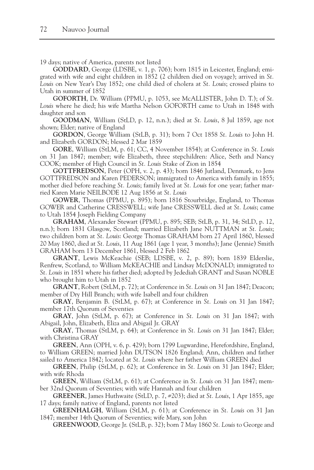19 days; native of America, parents not listed

**GODDARD**, George (LDSBE, v. 1, p. 706); born 1815 in Leicester, England; emigrated with wife and eight children in 1852 (2 children died on voyage); arrived in *St. Louis* on New Year's Day 1852; one child died of cholera at *St. Louis*; crossed plains to Utah in summer of 1852

**GOFORTH**, Dr. William (PPMU, p. 1053, see McALLISTER, John D. T.); of *St. Louis* where he died; his wife Martha Nelson GOFORTH came to Utah in 1848 with daughter and son

**GOODMAN**, William (StLD, p. 12, n.n.); died at *St. Louis*, 8 Jul 1859, age not shown; Elder; native of England

**GORDON**, George William (StLB, p. 31); born 7 Oct 1858 *St. Louis* to John H. and Elizabeth GORDON; blessed 2 Mar 1859

**GORE**, William (StLM, p. 61; CC, 4 November 1854); at Conference in *St. Louis* on 31 Jan 1847; member; wife Elizabeth, three stepchildren: Alice, Seth and Nancy COOK; member of High Council in *St. Louis* Stake of Zion in 1854

**GOTTFREDSON**, Peter (OPH, v. 2, p. 43); born 1846 Jutland, Denmark, to Jens GOTTFREDSON and Karen PEDERSON; immigrated to America with family in 1855; mother died before reaching *St. Louis*; family lived at *St. Louis* for one year; father married Karen Marie NEILBODE 12 Aug 1856 at *St. Louis*

**GOWER**, Thomas (PPMU, p. 895); born 1816 Stourbridge, England, to Thomas GOWER and Catherine CRESSWELL; wife Jane CRESSWELL died at *St. Louis*; came to Utah 1854 Joseph Fielding Company

**GRAHAM**, Alexander Stewart (PPMU, p. 895; SEB; StLB, p. 31, 34; StLD, p. 12, n.n.); born 1831 Glasgow, Scotland; married Elizabeth Jane NUTTMAN at *St. Louis*; two children born at *St. Louis*: George Thomas GRAHAM born 27 April 1860, blessed 20 May 1860, died at *St. Louis*, 11 Aug 1861 (age 1 year, 3 months); Jane (Jennie) Smith GRAHAM born 13 December 1861, blessed 2 Feb 1862

**GRANT**, Lewis McKeachie (SEB; LDSBE, v. 2, p. 89); born 1839 Elderslie, Renfrew, Scotland, to William McKEACHIE and Lindsay McDONALD; immigrated to *St. Louis* in 1851 where his father died; adopted by Jedediah GRANT and Susan NOBLE who brought him to Utah in 1852

**GRANT**, Robert (StLM, p. 72); at Conference in *St. Louis* on 31 Jan 1847; Deacon; member of Dry Hill Branch; with wife Isabell and four children

**GRAY**, Benjamin B. (StLM, p. 67); at Conference in *St. Louis* on 31 Jan 1847; member 17th Quorum of Seventies

**GRAY**, John (StLM, p. 67); at Conference in *St. Louis* on 31 Jan 1847; with Abigail, John, Elizabeth, Eliza and Abigail Jr. GRAY

**GRAY**, Thomas (StLM, p. 64); at Conference in *St. Louis* on 31 Jan 1847; Elder; with Christina GRAY

**GREEN**, Ann (OPH, v. 6, p. 429); born 1799 Lugwardine, Herefordshire, England, to William GREEN; married John DUTSON 1826 England; Ann, children and father sailed to America 1842; located at *St. Louis* where her father William GREEN died

**GREEN**, Philip (StLM, p. 62); at Conference in *St. Louis* on 31 Jan 1847; Elder; with wife Rhoda

**GREEN**, William (StLM, p. 61); at Conference in *St. Louis* on 31 Jan 1847; member 32nd Quorum of Seventies; with wife Hannah and four children

**GREENER**, James Huthwaite (StLD, p. 7, #203); died at *St. Louis*, 1 Apr 1855, age 17 days; family native of England, parents not listed

**GREENHALGH**, William (StLM, p. 61); at Conference in *St. Louis* on 31 Jan 1847; member 14th Quorum of Seventies; wife Mary, son John

**GREENWOOD**, George Jr. (StLB, p. 32); born 7 May 1860 *St. Louis* to George and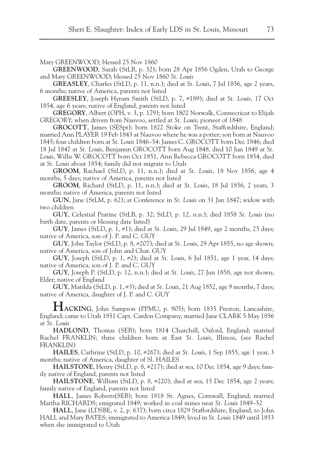Mary GREENWOOD; blessed 25 Nov 1860

**GREENWOOD**, Sarah (StLB, p. 32); born 28 Apr 1856 Ogden, Utah to George and Mary GREENWOOD; blessed 25 Nov 1860 *St. Louis*

**GREASLEY**, Charles (StLD, p. 11, n.n.); died at *St. Louis*, 7 Jul 1856, age 2 years, 6 months; native of America, parents not listed

**GREESLEY**, Joseph Hyrum Smith (StLD, p. 7, #189); died at *St. Louis*, 17 Oct 1854, age 6 years; native of England, parents not listed

**GREGORY**, Albert (OPH, v. 3, p. 179); born 1802 Norwalk, Connecticut to Elijah GREGORY; when driven from Nauvoo, settled at *St. Louis*; pioneer of 1848

**GROCOTT**, James (SESpr); born 1822 Stoke on Trent, Staffordshire, England; married Ann PLAYER 19 Feb 1843 at Nauvoo where he was a potter; son born at Nauvoo 1845; four children born at *St. Louis* 1846–54: James C. GROCOTT born Dec 1846; died 18 Jul 1847 at *St. Louis*, Benjamin GROCOTT born Aug 1848, died 10 Jun 1849 at *St. Louis*, Willis W. GROCOTT born Oct 1851, Ann Rebecca GROCOTT born 1854, died at *St. Louis* about 1854; family did not migrate to Utah

**GROOM**, Rachael (StLD, p. 11, n.n.); died at *St. Louis*, 18 Nov 1856, age 4 months, 5 days; native of America, parents not listed

**GROOM**, Richard (StLD, p. 11, n.n.); died at *St. Louis*, 18 Jul 1856, 2 years, 3 months; native of America, parents not listed

**GUN**, Jane (StLM, p. 62); at Conference in *St. Louis* on 31 Jan 1847; widow with two children

**GUY**, Celestial Pratine (StLB, p. 32; StLD, p. 12, n.n.); died 1858 *St. Louis* (no birth date, parents or blessing date listed)

**GUY**, James (StLD, p. 1, #1); died at *St. Louis*, 29 Jul 1849, age 2 months, 25 days; native of America, son of J. P. and C. GUY

**GUY**, John Taylor (StLD, p. 8, #207); died at *St. Louis*, 29 Apr 1855, no age shown; native of America, son of John and Char. GUY

**GUY**, Joseph (StLD, p. 1, #2); died at *St. Louis*, 6 Jul 1851, age 1 year, 14 days; native of America, son of J. P. and C. GUY

**GUY**, Joseph P. (StLD, p. 12, n.n.); died at *St. Louis*, 27 Jun 1858, age not shown; Elder; native of England

**GUY**, Matilda (StLD, p. 1, #3); died at *St. Louis*, 21 Aug 1852, age 9 months, 7 days; native of America, daughter of J. P. and C. GUY

HACKING, John Sampson (PPMU, p. 905); born 1835 Preston, Lancashire, England; came to Utah 1851 Capt. Cardon Company; married Jane CLARK 5 May 1856 at *St. Louis*

**HADLOND**, Thomas (SEB); born 1814 Churchill, Oxford, England; married Rachel FRANKLIN; three children born at East *St. Louis*, Illinois, (see Rachel FRANKLIN)

**HAILES**, Cathrine (StLD, p. 10, #267); died at *St. Louis*, 1 Sep 1855, age 1 year, 3 months; native of America, daughter of Sl. HAILES

**HAILSTONE**, Henry (StLD, p. 8, #217); died at sea, 10 Dec 1854, age 9 days; family native of England, parents not listed

**HAILSTONE**, William (StLD, p. 8, #220); died at sea, 15 Dec 1854, age 2 years; family native of England, parents not listed

**HALL**, James Roberts(SEB); born 1818 St. Agnes, Cornwall, England; married Martha RICHARDS; emigrated 1849; worked in coal mines near *St. Louis* 1849–52

**HALL**, Jane (LDSBE, v. 2, p. 637); born circa 1829 Staffordshire, England, to John HALL and Mary BATES; immigrated to America 1849; lived in *St. Louis* 1849 until 1853 when she immigrated to Utah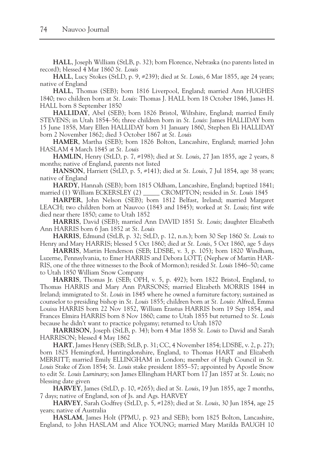**HALL**, Joseph William (StLB, p. 32); born Florence, Nebraska (no parents listed in record); blessed 4 Mar 1860 *St. Louis*

**HALL**, Lucy Stokes (StLD, p. 9, #239); died at *St. Louis*, 6 Mar 1855, age 24 years; native of England

**HALL**, Thomas (SEB); born 1816 Liverpool, England; married Ann HUGHES 1840; two children born at *St. Louis*: Thomas J. HALL born 18 October 1846, James H. HALL born 8 September 1850

**HALLIDAY**, Abel (SEB); born 1826 Bristol, Wiltshire, England; married Emily STEVENS; in Utah 1854–56; three children born in *St. Louis*: James HALLIDAY born 15 June 1858, Mary Ellen HALLIDAY born 31 January 1860, Stephen Eli HALLIDAY born 2 November 1862; died 3 October 1867 at *St. Louis*

**HAMER**, Martha (SEB); born 1826 Bolton, Lancashire, England; married John HASLAM 4 March 1845 at *St. Louis*

**HAMLIN**, Henry (StLD, p. 7, #198); died at *St. Louis*, 27 Jan 1855, age 2 years, 8 months; native of England, parents not listed

**HANSON**, Harriett (StLD, p. 5, #141); died at *St. Louis*, 7 Jul 1854, age 38 years; native of England

**HARDY**, Hannah (SEB); born 1815 Oldham, Lancashire, England; baptized 1841; married (1) William ECKERSLEY (2) \_\_\_\_\_ CROMPTON; resided in *St. Louis* 1845

**HARPER**, John Nelson (SEB); born 1812 Belfast, Ireland; married Margaret LEACH; two children born at Nauvoo (1843 and 1845); worked at *St. Louis*; first wife died near there 1850; came to Utah 1852

**HARRIS**, David (SEB); married Ann DAVID 1851 *St. Louis*; daughter Elizabeth Ann HARRIS born 6 Jan 1852 at *St. Louis*

**HARRIS**, Edmund (StLB, p. 32; StLD, p. 12, n.n.); born 30 Sep 1860 *St. Louis* to Henry and Mary HARRIS; blessed 5 Oct 1860; died at *St. Louis*, 5 Oct 1860, age 5 days

**HARRIS**, Martin Henderson (SEB; LDSBE, v. 3, p. 105); born 1820 Windham, Luzerne, Pennsylvania, to Emer HARRIS and Debora LOTT; (Nephew of Martin HAR-RIS, one of the three witnesses to the Book of Mormon); resided *St. Louis* 1846–50; came to Utah 1850 William Snow Company

**HARRIS**, Thomas Jr. (SEB; OPH, v. 5, p. 492); born 1822 Bristol, England, to Thomas HARRIS and Mary Ann PARSONS; married Elizabeth MORRIS 1844 in Ireland; immigrated to *St. Louis* in 1845 where he owned a furniture factory; sustained as counselor to presiding bishop in *St. Louis* 1855; children born at *St. Louis*: Alfred, Emma Louisa HARRIS born 22 Nov 1852, William Erastus HARRIS born 19 Sep 1854, and Frances Elmira HARRIS born 8 Nov 1860; came to Utah 1855 but returned to *St. Louis* because he didn't want to practice polygamy; returned to Utah 1870

**HARRISON**, Joseph (StLB, p. 34); born 4 Mar 1858 *St. Louis* to David and Sarah HARRISON; blessed 4 May 1862

**HART**, James Henry (SEB; StLB, p. 31; CC, 4 November 1854; LDSBE, v. 2, p. 27); born 1825 Hemingford, Huntingdonshire, England, to Thomas HART and Elizabeth MERRITT; married Emily ELLINGHAM in London; member of High Council in *St. Louis* Stake of Zion 1854; *St. Louis* stake president 1855–57; appointed by Apostle Snow to edit *St. Louis Luminary*; son James Ellingham HART born 17 Jan 1857 at *St. Louis*; no blessing date given

**HARVEY**, James (StLD, p. 10, #265); died at *St. Louis*, 19 Jun 1855, age 7 months, 7 days; native of England, son of Js. and Ags. HARVEY

**HARVEY**, Sarah Godfrey (StLD, p. 5, #128); died at *St. Louis*, 30 Jun 1854, age 25 years; native of Australia

**HASLAM**, James Holt (PPMU, p. 923 and SEB); born 1825 Bolton, Lancashire, England, to John HASLAM and Alice YOUNG; married Mary Matilda BAUGH 10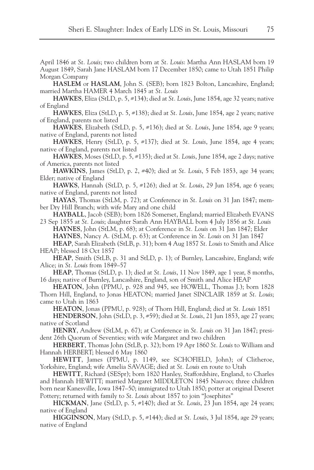April 1846 at *St. Louis*; two children born at *St. Louis*: Martha Ann HASLAM born 19 August 1849, Sarah Jane HASLAM born 17 December 1850; came to Utah 1851 Philip Morgan Company

**HASLEM** or **HASLAM**, John S. (SEB); born 1823 Bolton, Lancashire, England; married Martha HAMER 4 March 1845 at *St. Louis*

**HAWKES**, Eliza (StLD, p. 5, #134); died at *St. Louis*, June 1854, age 32 years; native of England

**HAWKES**, Eliza (StLD, p. 5, #138); died at *St. Louis*, June 1854, age 2 years; native of England, parents not listed

**HAWKES**, Elizabeth (StLD, p. 5, #136); died at *St. Louis*, June 1854, age 9 years; native of England, parents not listed

**HAWKES**, Henry (StLD, p. 5, #137); died at *St. Louis*, June 1854, age 4 years; native of England, parents not listed

**HAWKES**, Moses (StLD, p. 5, #135); died at *St. Louis*, June 1854, age 2 days; native of America, parents not listed

**HAWKINS**, James (StLD, p. 2, #40); died at *St. Louis*, 5 Feb 1853, age 34 years; Elder; native of England

**HAWKS**, Hannah (StLD, p. 5, #126); died at *St. Louis*, 29 Jun 1854, age 6 years; native of England, parents not listed

**HAYAS**, Thomas (StLM, p. 72); at Conference in *St. Louis* on 31 Jan 1847; member Dry Hill Branch; with wife Mary and one child

**HAYBALL**, Jacob (SEB); born 1826 Somerset, England; married Elizabeth EVANS 23 Sep 1855 at *St. Louis*; daughter Sarah Ann HAYBALL born 4 July 1856 at *St. Louis* **HAYNES**, John (StLM, p. 68); at Conference in *St. Louis* on 31 Jan 1847; Elder **HAYNES**, Nancy A. (StLM, p. 63); at Conference in *St. Louis* on 31 Jan 1847

**HEAP**, Sarah Elizabeth (StLB, p. 31); born 4 Aug 1857 *St. Louis* to Smith and Alice HEAP; blessed 18 Oct 1857

**HEAP**, Smith (StLB, p. 31 and StLD, p. 1); of Burnley, Lancashire, England; wife Alice; in *St. Louis* from 1849–57

**HEAP**, Thomas (StLD, p. 1); died at *St. Louis*, 11 Nov 1849, age 1 year, 8 months, 16 days; native of Burnley, Lancashire, England, son of Smith and Alice HEAP

**HEATON**, John (PPMU, p. 928 and 945, see HOWELL, Thomas J.); born 1828 Thorn Hill, England, to Jonas HEATON; married Janet SINCLAIR 1859 at *St. Louis*; came to Utah in 1863

**HEATON**, Jonas (PPMU, p. 928); of Thorn Hill, England; died at *St. Louis* 1851

**HENDERSON**, John (StLD, p. 3, #59); died at *St. Louis*, 21 Jun 1853, age 27 years; native of Scotland

**HENRY**, Andrew (StLM, p. 67); at Conference in *St. Louis* on 31 Jan 1847; president 26th Quorum of Seventies; with wife Margaret and two children

**HERBERT**, Thomas John (StLB, p. 32); born 19 Apr 1860 *St. Louis* to William and Hannah HERBERT; blessed 6 May 1860

**HEWITT**, James (PPMU, p. 1149, see SCHOFIELD, John); of Clitheroe, Yorkshire, England; wife Amelia SAVAGE; died at *St. Louis* en route to Utah

**HEWITT**, Richard (SESpr); born 1820 Hanley, Staffordshire, England, to Charles and Hannah HEWITT; married Margaret MIDDLETON 1845 Nauvoo; three children born near Kanesville, Iowa 1847–50; immigrated to Utah 1850; potter at original Deseret Pottery; returned with family to *St. Louis* about 1857 to join "Josephites"

**HICKMAN**, Jane (StLD, p. 5, #140); died at *St. Louis*, 23 Jun 1854, age 24 years; native of England

**HIGGINSON**, Mary (StLD, p. 5, #144); died at *St. Louis*, 3 Jul 1854, age 29 years; native of England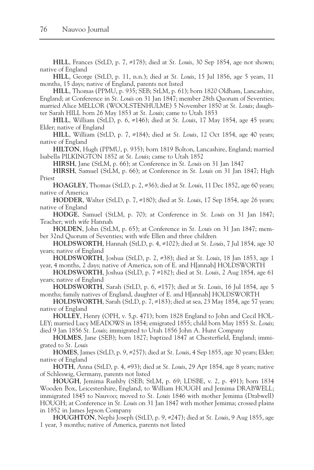**HILL**, Frances (StLD, p. 7, #178); died at *St. Louis*, 30 Sep 1854, age not shown; native of England

**HILL**, George (StLD, p. 11, n.n.); died at *St. Louis*, 15 Jul 1856, age 5 years, 11 months, 15 days; native of England, parents not listed

**HILL**, Thomas (PPMU, p. 935; SEB; StLM, p. 61); born 1820 Oldham, Lancashire, England; at Conference in *St. Louis* on 31 Jan 1847; member 28th Quorum of Seventies; married Alice MELLOR (WOOLSTENHULME) 5 November 1850 at *St. Louis*; daughter Sarah HILL born 26 May 1853 at *St. Louis*; came to Utah 1853

**HILL**, William (StLD, p. 6, #146); died at *St. Louis*, 17 May 1854, age 45 years; Elder; native of England

**HILL**, William (StLD, p. 7, #184); died at *St. Louis*, 12 Oct 1854, age 40 years; native of England

**HILTON**, Hugh (PPMU, p. 935); born 1819 Bolton, Lancashire, England; married Isabella PILKINGTON 1852 at *St. Louis*; came to Utah 1852

**HIRSH**, Jane (StLM, p. 66); at Conference in *St. Louis* on 31 Jan 1847

**HIRSH**, Samuel (StLM, p. 66); at Conference in *St. Louis* on 31 Jan 1847; High Priest

**HOAGLEY**, Thomas (StLD, p. 2, #36); died at *St. Louis*, 11 Dec 1852, age 60 years; native of America

**HODDER**, Walter (StLD, p. 7, #180); died at *St. Louis*, 17 Sep 1854, age 26 years; native of England

**HODGE**, Samuel (StLM, p. 70); at Conference in *St. Louis* on 31 Jan 1847; Teacher; with wife Hannah

**HOLDEN**, John (StLM, p. 65); at Conference in *St. Louis* on 31 Jan 1847; member 32nd Quorum of Seventies; with wife Ellen and three children

**HOLDSWORTH**, Hannah (StLD, p. 4, #102); died at *St. Louis*, 7 Jul 1854, age 30 years; native of England

**HOLDSWORTH**, Joshua (StLD, p. 2, #38); died at *St. Louis*, 18 Jan 1853, age 1 year, 4 months, 2 days; native of America, son of E. and H[annah] HOLDSWORTH

**HOLDSWORTH**, Joshua (StLD, p. 7 #182); died at *St. Louis*, 2 Aug 1854, age 61 years; native of England

**HOLDSWORTH**, Sarah (StLD, p. 6, #157); died at *St. Louis*, 16 Jul 1854, age 5 months; family natives of England, daughter of E. and H[annah] HOLDSWORTH

**HOLDSWORTH**, Sarah (StLD, p. 7, #183); died at sea, 23 May 1854, age 57 years; native of England

**HOLLEY**, Henry (OPH, v. 5,p. 471); born 1828 England to John and Cecil HOL-LEY; married Lucy MEADOWS in 1854; emigrated 1855; child born May 1855 *St. Louis*; died 9 Jan 1856 *St. Louis*; immigrated to Utah 1856 John A. Hunt Company

**HOLMES**, Jane (SEB); born 1827; baptized 1847 at Chesterfield, England; immigrated to *St. Louis*

**HOMES**, James (StLD, p. 9, #257); died at *St. Louis*, 4 Sep 1855, age 30 years; Elder; native of England

**HOTH**, Anna (StLD, p. 4, #93); died at *St. Louis*, 29 Apr 1854, age 8 years; native of Schleswig, Germany, parents not listed

**HOUGH**, Jemima Rushby (SEB; StLM, p. 69; LDSBE, v. 2, p. 491); born 1834 Wooden Box, Leicestershire, England, to William HOUGH and Jemima DRABWELL; immigrated 1845 to Nauvoo; moved to *St. Louis* 1846 with mother Jemima (Drabwell) HOUGH; at Conference in *St. Louis* on 31 Jan 1847 with mother Jemima; crossed plains in 1852 in James Jepson Company

**HOUGHTON**, Nephi Joseph (StLD, p. 9, #247); died at *St. Louis*, 9 Aug 1855, age 1 year, 3 months; native of America, parents not listed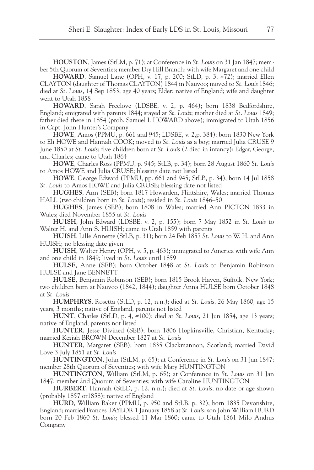**HOUSTON**, James (StLM, p. 71); at Conference in *St. Louis* on 31 Jan 1847; member 5th Quorum of Seventies; member Dry Hill Branch; with wife Margaret and one child

**HOWARD**, Samuel Lane (OPH, v. 17, p. 200; StLD, p. 3, #72); married Ellen CLAYTON (daughter of Thomas CLAYTON) 1844 in Nauvoo; moved to *St. Louis* 1846; died at *St. Louis*, 14 Sep 1853, age 40 years; Elder; native of England; wife and daughter went to Utah 1858

**HOWARD**, Sarah Freelove (LDSBE, v. 2, p. 464); born 1838 Bedfordshire, England; emigrated with parents 1844; stayed at *St. Louis*; mother died at *St. Louis* 1849; father died there in 1854 (prob. Samuel L HOWARD above); immigrated to Utah 1856 in Capt. John Hunter's Company

**HOWE**, Amos (PPMU, p. 661 and 945; LDSBE, v. 2,p. 384); born 1830 New York to Eli HOWE and Hannah COOK; moved to *St. Louis* as a boy; married Julia CRUSE 9 June 1850 at *St. Louis*; five children born at *St. Louis* (2 died in infancy): Edgar, George, and Charles; came to Utah 1864

**HOWE**, Charles Ross (PPMU, p. 945; StLB, p. 34); born 28 August 1860 *St. Louis* to Amos HOWE and Julia CRUSE; blessing date not listed

**HOWE**, George Edward (PPMU, pp. 661 and 945; StLB, p. 34); born 14 Jul 1858 *St. Louis* to Amos HOWE and Julia CRUSE; blessing date not listed

**HUGHES**, Ann (SEB); born 1817 Howarden, Flintshire, Wales; married Thomas HALL (two children born in *St. Louis*); resided in *St. Louis* 1846–50

**HUGHES**, James (SEB); born 1808 in Wales; married Ann PICTON 1833 in Wales; died November 1855 at *St. Louis*

**HUISH**, John Edward (LDSBE, v. 2, p. 155); born 7 May 1852 in *St. Louis* to Walter H. and Ann S. HUISH; came to Utah 1859 with parents

**HUISH**, Lille Annette (StLB, p. 31); born 24 Feb 1857 *St. Louis* to W. H. and Ann HUISH; no blessing date given

**HUISH**, Walter Henry (OPH, v. 5, p. 463); immigrated to America with wife Ann and one child in 1849; lived in *St. Louis* until 1859

**HULSE**, Anne (SEB); born October 1848 at *St. Louis* to Benjamin Robinson HULSE and Jane BENNETT

**HULSE**, Benjamin Robinson (SEB); born 1815 Brook Haven, Suffolk, New York; two children born at Nauvoo (1842, 1844); daughter Anna HULSE born October 1848 at *St. Louis*

**HUMPHRYS**, Rosetta (StLD, p. 12, n.n.); died at *St. Louis*, 26 May 1860, age 15 years, 3 months; native of England, parents not listed

**HUNT**, Charles (StLD, p. 4, #100); died at *St. Louis*, 21 Jun 1854, age 13 years; native of England, parents not listed

**HUNTER**, Jesse Divined (SEB); born 1806 Hopkinsville, Christian, Kentucky; married Keziah BROWN December 1827 at *St. Louis*

**HUNTER**, Margaret (SEB); born 1835 Clackmannon, Scotland; married David Love 3 July 1851 at *St. Louis*

**HUNTINGTON**, John (StLM, p. 65); at Conference in *St. Louis* on 31 Jan 1847; member 28th Quorum of Seventies; with wife Mary HUNTINGTON

**HUNTINGTON**, William (StLM, p. 65); at Conference in *St. Louis* on 31 Jan 1847; member 2nd Quorum of Seventies; with wife Caroline HUNTINGTON

**HURBERT**, Hannah (StLD, p. 12, n.n.); died at *St. Louis*, no date or age shown (probably 1857 or1858); native of England

**HURD**, William Baker (PPMU, p. 950 and StLB, p. 32); born 1835 Devonshire, England; married Frances TAYLOR 1 January 1858 at *St. Louis*; son John William HURD born 20 Feb 1860 *St. Louis*; blessed 11 Mar 1860; came to Utah 1861 Milo Andrus Company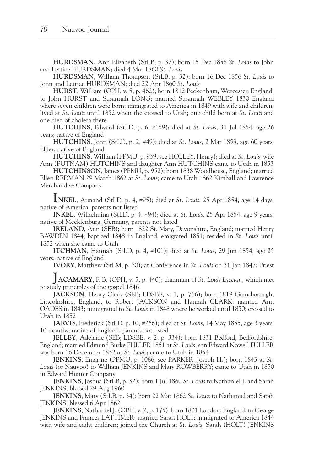**HURDSMAN**, Ann Elizabeth (StLB, p. 32); born 15 Dec 1858 *St. Louis* to John and Lettice HURDSMAN; died 4 Mar 1860 *St. Louis*

**HURDSMAN**, William Thompson (StLB, p. 32); born 16 Dec 1856 *St. Louis* to John and Lettice HURDSMAN; died 22 Apr 1860 *St. Louis*

**HURST**, William (OPH, v. 5, p. 462); born 1812 Peckenham, Worcester, England, to John HURST and Susannah LONG; married Susannah WEBLEY 1830 England where seven children were born; immigrated to America in 1849 with wife and children; lived at *St. Louis* until 1852 when the crossed to Utah; one child born at *St. Louis* and one died of cholera there

**HUTCHINS**, Edward (StLD, p. 6, #159); died at *St. Louis*, 31 Jul 1854, age 26 years; native of England

**HUTCHINS**, John (StLD, p. 2, #49); died at *St. Louis*, 2 Mar 1853, age 60 years; Elder; native of England

**HUTCHINS**, William (PPMU, p. 939, see HOLLEY, Henry); died at *St. Louis*; wife Ann (PUTNAM) HUTCHINS and daughter Ann HUTCHINS came to Utah in 1853

**HUTCHINSON**, James (PPMU, p. 952); born 1838 Woodhouse, England; married Ellen REDMAN 29 March 1862 at *St. Louis*; came to Utah 1862 Kimball and Lawrence Merchandise Company

**INKEL**, Armand (StLD, p. 4, #95); died at *St. Louis*, 25 Apr 1854, age 14 days; native of America, parents not listed

**INKEL**, Wilhelmina (StLD, p. 4, #94); died at *St. Louis*, 25 Apr 1854, age 9 years; native of Mecklenburg, Germany, parents not listed

**IRELAND**, Ann (SEB); born 1822 St. Mary, Devonshire, England; married Henry BAWDEN 1844; baptized 1848 in England; emigrated 1851; resided in *St. Louis* until 1852 when she came to Utah

**ITCHMAN**, Hannah (StLD, p. 4, #101); died at *St. Louis*, 29 Jun 1854, age 25 years; native of England

**IVORY**, Matthew (StLM, p. 70); at Conference in *St. Louis* on 31 Jan 1847; Priest

**JACAMARY**, F. B. (OPH, v. 5, p. 440); chairman of *St. Louis Lyceum,* which met to study principles of the gospel 1846

**JACKSON**, Henry Clark (SEB; LDSBE, v. 1, p. 766); born 1819 Gainsborough, Lincolnshire, England, to Robert JACKSON and Hannah CLARK; married Ann OADES in 1843; immigrated to *St. Louis* in 1848 where he worked until 1850; crossed to Utah in 1852

**JARVIS**, Frederick (StLD, p. 10, #266); died at *St. Louis*, 14 May 1855, age 3 years, 10 months; native of England, parents not listed

**JELLEY**, Adelaide (SEB; LDSBE, v. 2, p. 334); born 1831 Bedford, Bedfordshire, England; married Edmund Burke FULLER 1851 at *St. Louis*; son Edward Nowell FULLER was born 16 December 1852 at *St. Louis*; came to Utah in 1854

**JENKINS**, Emarine (PPMU, p. 1086, see PARKER, Joseph H.); born 1843 at *St. Louis* (or Nauvoo) to William JENKINS and Mary ROWBERRY; came to Utah in 1850 in Edward Hunter Company

**JENKINS**, Joshua (StLB, p. 32); born 1 Jul 1860 *St. Louis* to Nathaniel J. and Sarah JENKINS; blessed 29 Aug 1960

**JENKINS**, Mary (StLB, p. 34); born 22 Mar 1862 *St. Louis* to Nathaniel and Sarah JENKINS; blessed 6 Apr 1862

**JENKINS**, Nathaniel J. (OPH, v. 2, p. 175); born 1801 London, England, to George JENKINS and Frances LATTIMER; married Sarah HOLT; immigrated to America 1844 with wife and eight children; joined the Church at *St. Louis*; Sarah (HOLT) JENKINS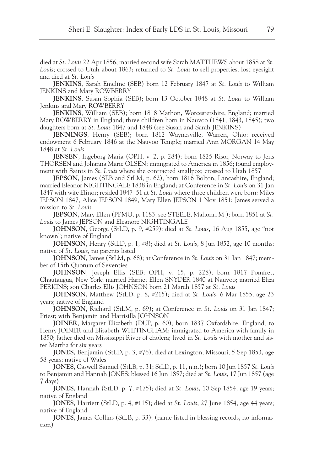died at *St. Louis* 22 Apr 1856; married second wife Sarah MATTHEWS about 1858 at *St. Louis*; crossed to Utah about 1863; returned to *St. Louis* to sell properties, lost eyesight and died at *St. Louis*

**JENKINS**, Sarah Emeline (SEB) born 12 February 1847 at *St. Louis* to William JENKINS and Mary ROWBERRY

**JENKINS**, Susan Sophia (SEB); born 13 October 1848 at *St. Louis* to William Jenkins and Mary ROWBERRY

**JENKINS**, William (SEB); born 1818 Mathon, Worcestershire, England; married Mary ROWBERRY in England; three children born in Nauvoo (1841, 1843, 1845); two daughters born at *St. Louis* 1847 and 1848 (see Susan and Sarah JENKINS)

**JENNINGS**, Henry (SEB); born 1812 Waynesville, Warren, Ohio; received endowment 6 February 1846 at the Nauvoo Temple; married Ann MORGAN 14 May 1848 at *St. Louis*

**JENSEN**, Ingeborg Maria (OPH, v. 2, p. 284); born 1825 Risor, Norway to Jens THORSEN and Johanna Marie OLSEN; immigrated to America in 1856; found employment with Saints in *St. Louis* where she contracted smallpox; crossed to Utah 1857

**JEPSON**, James (SEB and StLM, p. 62); born 1816 Bolton, Lancashire, England; married Eleanor NIGHTINGALE 1838 in England; at Conference in *St. Louis* on 31 Jan 1847 with wife Elinor; resided 1847–51 at *St. Louis* where three children were born: Miles JEPSON 1847, Alice JEPSON 1849, Mary Ellen JEPSON 1 Nov 1851; James served a mission to *St. Louis*

**JEPSON**, Mary Ellen (PPMU, p. 1183, see STEELE, Mahonri M.); born 1851 at *St. Louis* to James JEPSON and Eleanore NIGHTINGALE

**JOHNSON**, George (StLD, p. 9, #259); died at *St. Louis*, 16 Aug 1855, age "not known"; native of England

**JOHNSON**, Henry (StLD, p. 1, #8); died at *St. Louis*, 8 Jun 1852, age 10 months; native of *St. Louis*, no parents listed

**JOHNSON**, James (StLM, p. 68); at Conference in *St. Louis* on 31 Jan 1847; member of 15th Quorum of Seventies

**JOHNSON**, Joseph Ellis (SEB; OPH, v. 15, p. 228); born 1817 Pomfret, Chautaugua, New York; married Harriet Ellen SNYDER 1840 at Nauvoo; married Eliza PERKINS; son Charles Ellis JOHNSON born 21 March 1857 at *St. Louis*

**JOHNSON**, Matthew (StLD, p. 8, #215); died at *St. Louis*, 6 Mar 1855, age 23 years; native of England

**JOHNSON**, Richard (StLM, p. 69); at Conference in *St. Louis* on 31 Jan 1847; Priest; with Benjamin and Harrisilla JOHNSON

**JOINER**, Margaret Elizabeth (DUP, p. 60); born 1837 Oxfordshire, England, to Henry JOINER and Elizabeth WHITINGHAM; immigrated to America with family in 1850; father died on Mississippi River of cholera; lived in *St. Louis* with mother and sister Martha for six years

**JONES**, Benjamin (StLD, p. 3, #76); died at Lexington, Missouri, 5 Sep 1853, age 58 years; native of Wales

**JONES**, Caswell Samuel (StLB, p. 31; StLD, p. 11, n.n.); born 10 Jun 1857 *St. Louis* to Benjamin and Hannah JONES; blessed 16 Jun 1857; died at *St. Louis*, 17 Jun 1857 (age 7 days)

**JONES**, Hannah (StLD, p. 7, #175); died at *St. Louis*, 10 Sep 1854, age 19 years; native of England

**JONES**, Harriett (StLD, p. 4, #115); died at *St. Louis*, 27 June 1854, age 44 years; native of England

**JONES**, James Collins (StLB, p. 33); (name listed in blessing records, no information)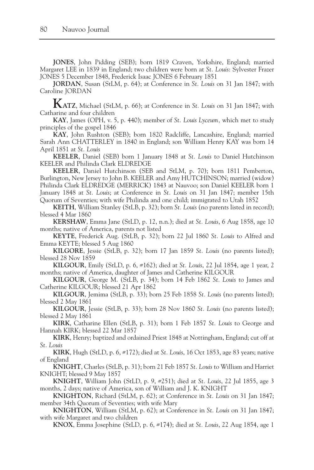**JONES**, John Pidding (SEB); born 1819 Craven, Yorkshire, England; married Margaret LEE in 1839 in England; two children were born at *St. Louis*: Sylvester Frazer JONES 5 December 1848, Frederick Isaac JONES 6 February 1851

**JORDAN**, Susan (StLM, p. 64); at Conference in *St. Louis* on 31 Jan 1847; with Caroline JORDAN

**KATZ**, Michael (StLM, p. 66); at Conference in *St. Louis* on 31 Jan 1847; with Catharine and four children

**KAY**, James (OPH, v. 5, p. 440); member of *St. Louis Lyceum,* which met to study principles of the gospel 1846

**KAY**, John Rushton (SEB); born 1820 Radcliffe, Lancashire, England; married Sarah Ann CHATTERLEY in 1840 in England; son William Henry KAY was born 14 April 1851 at *St. Louis*

**KEELER**, Daniel (SEB) born 1 January 1848 at *St. Louis* to Daniel Hutchinson KEELER and Philinda Clark ELDREDGE

**KEELER**, Daniel Hutchinson (SEB and StLM, p. 70); born 1811 Pemberton, Burlington, New Jersey to John B. KEELER and Amy HUTCHINSON; married (widow) Philinda Clark ELDREDGE (MERRICK) 1843 at Nauvoo; son Daniel KEELER born 1 January 1848 at *St. Louis*; at Conference in *St. Louis* on 31 Jan 1847; member 15th Quorum of Seventies; with wife Philinda and one child; immigrated to Utah 1852

**KEITH**, William Stanley (StLB, p. 32); born *St. Louis* (no parents listed in record); blessed 4 Mar 1860

**KERSHAW**, Emma Jane (StLD, p. 12, n.n.); died at *St. Louis*, 6 Aug 1858, age 10 months; native of America, parents not listed

**KEYTE**, Frederick Aug. (StLB, p. 32); born 22 Jul 1860 *St. Louis* to Alfred and Emma KEYTE; blessed 5 Aug 1860

**KILGORE**, Jessie (StLB, p. 32); born 17 Jan 1859 *St. Louis* (no parents listed); blessed 28 Nov 1859

**KILGOUR**, Emily (StLD, p. 6, #162); died at *St. Louis*, 22 Jul 1854, age 1 year, 2 months; native of America, daughter of James and Catherine KILGOUR

**KILGOUR**, George M. (StLB, p. 34); born 14 Feb 1862 *St. Louis* to James and Catherine KILGOUR; blessed 21 Apr 1862

**KILGOUR**, Jemima (StLB, p. 33); born 25 Feb 1858 *St. Louis* (no parents listed); blessed 2 May 1861

**KILGOUR**, Jessie (StLB, p. 33); born 28 Nov 1860 *St. Louis* (no parents listed); blessed 2 May 1861

**KIRK**, Catharine Ellen (StLB, p. 31); born 1 Feb 1857 *St. Louis* to George and Hannah KIRK; blessed 22 Mar 1857

**KIRK**, Henry; baptized and ordained Priest 1848 at Nottingham, England; cut off at *St. Louis* 

**KIRK**, Hugh (StLD, p. 6, #172); died at *St. Louis*, 16 Oct 1853, age 83 years; native of England

**KNIGHT**, Charles (StLB, p. 31); born 21 Feb 1857 *St. Louis* to William and Harriet KNIGHT; blessed 9 May 1857

**KNIGHT**, William John (StLD, p. 9, #251); died at *St. Louis*, 22 Jul 1855, age 3 months, 2 days; native of America, son of William and J. K. KNIGHT

**KNIGHTON**, Richard (StLM, p. 62); at Conference in *St. Louis* on 31 Jan 1847; member 34th Quorum of Seventies; with wife Mary

**KNIGHTON**, William (StLM, p. 62); at Conference in *St. Louis* on 31 Jan 1847; with wife Margaret and two children

**KNOX**, Emma Josephine (StLD, p. 6, #174); died at *St. Louis*, 22 Aug 1854, age 1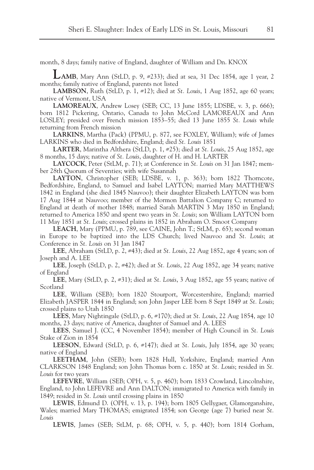month, 8 days; family native of England, daughter of William and Dn. KNOX

**LAMB**, Mary Ann (StLD, p. 9, #233); died at sea, 31 Dec 1854, age 1 year, 2 months; family native of England, parents not listed

**LAMBSON**, Ruth (StLD, p. 1, #12); died at *St. Louis*, 1 Aug 1852, age 60 years; native of Vermont, USA

**LAMOREAUX**, Andrew Losey (SEB; CC, 13 June 1855; LDSBE, v. 3, p. 666); born 1812 Pickering, Ontario, Canada to John McCord LAMOREAUX and Ann LOSLEY; presided over French mission 1853–55; died 13 June 1855 *St. Louis* while returning from French mission

**LARKINS**, Martha (Pack) (PPMU, p. 877, see FOXLEY, William); wife of James LARKINS who died in Bedfordshire, England; died *St. Louis* 1851

**LARTER**, Marintha Althera (StLD, p. 1, #25); died at *St. Louis*, 25 Aug 1852, age 8 months, 15 days; native of *St. Louis*, daughter of H. and H. LARTER

**LAYCOCK**, Peter (StLM, p. 71); at Conference in *St. Louis* on 31 Jan 1847; member 28th Quorum of Seventies; with wife Susannah

**LAYTON**, Christopher (SEB; LDSBE, v. 1, p. 363); born 1822 Thorncote, Bedfordshire, England, to Samuel and Isabel LAYTON; married Mary MATTHEWS 1842 in England (she died 1845 Nauvoo); their daughter Elizabeth LAYTON was born 17 Aug 1844 at Nauvoo; member of the Mormon Battalion Company C; returned to England at death of mother 1848; married Sarah MARTIN 3 May 1850 in England; returned to America 1850 and spent two years in *St. Louis*; son William LAYTON born 11 May 1851 at *St. Louis*; crossed plains in 1852 in Abraham O. Smoot Company

**LEACH**, Mary (PPMU, p. 789, see CAINE, John T.; StLM, p. 65); second woman in Europe to be baptized into the LDS Church; lived Nauvoo and *St. Louis*; at Conference in *St. Louis* on 31 Jan 1847

**LEE**, Abraham (StLD, p. 2, #43); died at *St. Louis*, 22 Aug 1852, age 4 years; son of Joseph and A. LEE

**LEE**, Joseph (StLD, p. 2, #42); died at *St. Louis*, 22 Aug 1852, age 34 years; native of England

**LEE**, Mary (StLD, p. 2, #31); died at *St. Louis*, 3 Aug 1852, age 55 years; native of Scotland

**LEE**, William (SEB); born 1820 Stourport, Worcestershire, England; married Elizabeth JASPER 1844 in England; son John Jasper LEE born 8 Sept 1849 at *St. Louis*; crossed plains to Utah 1850

**LEES**, Mary Nightingale (StLD, p. 6, #170); died at *St. Louis*, 22 Aug 1854, age 10 months, 23 days; native of America, daughter of Samuel and A. LEES

**LEES**, Samuel J. (CC, 4 November 1854); member of High Council in *St. Louis* Stake of Zion in 1854

**LEESON**, Edward (StLD, p. 6, #147); died at *St. Louis*, July 1854, age 30 years; native of England

**LEETHAM**, John (SEB); born 1828 Hull, Yorkshire, England; married Ann CLARKSON 1848 England; son John Thomas born c. 1850 at *St. Louis*; resided in *St. Louis* for two years

**LEFEVRE**, William (SEB; OPH, v. 5, p. 460); born 1833 Crowland, Lincolnshire, England, to John LEFEVRE and Ann DALTON; immigrated to America with family in 1849; resided in *St. Louis* until crossing plains in 1850

**LEWIS**, Edmund D. (OPH, v. 13, p. 194); born 1805 Gellygaer, Glamorganshire, Wales; married Mary THOMAS; emigrated 1854; son George (age 7) buried near *St. Louis*

**LEWIS**, James (SEB; StLM, p. 68; OPH, v. 5, p. 440); born 1814 Gorham,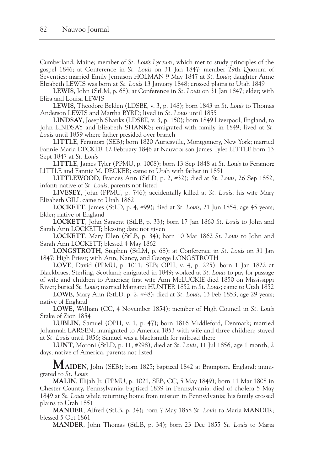Cumberland, Maine; member of *St. Louis Lyceum,* which met to study principles of the gospel 1846; at Conference in *St. Louis* on 31 Jan 1847; member 29th Quorum of Seventies; married Emily Jennison HOLMAN 9 May 1847 at *St. Louis*; daughter Anne Elizabeth LEWIS was born at *St. Louis* 13 January 1848; crossed plains to Utah 1849

**LEWIS**, John (StLM, p. 68); at Conference in *St. Louis* on 31 Jan 1847; elder; with Eliza and Louisa LEWIS

**LEWIS**, Theodore Belden (LDSBE, v. 3, p. 148); born 1843 in *St. Louis* to Thomas Anderson LEWIS and Martha BYRD; lived in *St. Louis* until 1855

**LINDSAY**, Joseph Shanks (LDSBE, v. 3, p. 150); born 1849 Liverpool, England, to John LINDSAY and Elizabeth SHANKS; emigrated with family in 1849; lived at *St. Louis* until 1859 where father presided over branch

**LITTLE**, Feramorz (SEB); born 1820 Auriesville, Montgomery, New York; married Fannie Maria DECKER 12 February 1846 at Nauvoo; son James Tyler LITTLE born 13 Sept 1847 at *St. Louis*

**LITTLE**, James Tyler (PPMU, p. 1008); born 13 Sep 1848 at *St. Louis* to Feramorz LITTLE and Fannie M. DECKER; came to Utah with father in 1851

**LITTLEWOOD**, Frances Ann (StLD, p. 2, #32); died at *St. Louis*, 26 Sep 1852, infant; native of *St. Louis*, parents not listed

**LIVESEY**, John (PPMU, p. 746); accidentally killed at *St. Louis*; his wife Mary Elizabeth GILL came to Utah 1862

**LOCKETT**, James (StLD, p. 4, #99); died at *St. Louis*, 21 Jun 1854, age 45 years; Elder; native of England

**LOCKETT**, John Sargent (StLB, p. 33); born 17 Jan 1860 *St. Louis* to John and Sarah Ann LOCKETT; blessing date not given

**LOCKETT**, Mary Ellen (StLB, p. 34); born 10 Mar 1862 *St. Louis* to John and Sarah Ann LOCKETT; blessed 4 May 1862

**LONGSTROTH**, Stephen (StLM, p. 68); at Conference in *St. Louis* on 31 Jan 1847; High Priest; with Ann, Nancy, and George LONGSTROTH

**LOVE**, David (PPMU, p. 1011; SEB; OPH, v. 4, p. 225); born 1 Jan 1822 at Blackbraes, Sterling, Scotland; emigrated in 1849; worked at *St. Louis* to pay for passage of wife and children to America; first wife Ann McLUCKIE died 1850 on Mississippi River; buried *St. Louis*; married Margaret HUNTER 1852 in *St. Louis*; came to Utah 1852

**LOWE**, Mary Ann (StLD, p. 2, #48); died at *St. Louis*, 13 Feb 1853, age 29 years; native of England

**LOWE**, William (CC, 4 November 1854); member of High Council in *St. Louis* Stake of Zion 1854

**LUBLIN**, Samuel (OPH, v. 1, p. 47); born 1816 Middleford, Denmark; married Johannah LARSEN; immigrated to America 1853 with wife and three children; stayed at *St. Louis* until 1856; Samuel was a blacksmith for railroad there

**LUNT**, Moroni (StLD, p. 11, #298); died at *St. Louis*, 11 Jul 1856, age 1 month, 2 days; native of America, parents not listed

**MAIDEN**, John (SEB); born 1825; baptized 1842 at Brampton. England; immigrated to *St. Louis*

**MALIN**, Elijah Jr. (PPMU, p. 1021, SEB, CC, 5 May 1849); born 11 Mar 1808 in Chester County, Pennsylvania; baptized 1839 in Pennsylvania; died of cholera 5 May 1849 at *St. Louis* while returning home from mission in Pennsylvania; his family crossed plains to Utah 1851

**MANDER**, Alfred (StLB, p. 34); born 7 May 1858 *St. Louis* to Maria MANDER; blessed 5 Oct 1861

**MANDER**, John Thomas (StLB, p. 34); born 23 Dec 1855 *St. Louis* to Maria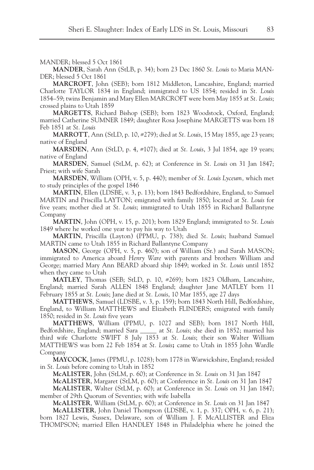MANDER; blessed 5 Oct 1861

**MANDER**, Sarah Ann (StLB, p. 34); born 23 Dec 1860 *St. Louis* to Maria MAN-DER; blessed 5 Oct 1861

**MARCROFT**, John (SEB); born 1812 Middleton, Lancashire, England; married Charlotte TAYLOR 1834 in England; immigrated to US 1854; resided in *St. Louis* 1854–59; twins Benjamin and Mary Ellen MARCROFT were born May 1855 at *St. Louis*; crossed plains to Utah 1859

**MARGETTS**, Richard Bishop (SEB); born 1823 Woodstock, Oxford, England; married Catherine SUMNER 1849; daughter Rosa Josephine MARGETTS was born 18 Feb 1851 at *St. Louis*

**MARROTT**, Ann (StLD, p. 10, #279); died at *St. Louis*, 15 May 1855, age 23 years; native of England

**MARSDEN**, Ann (StLD, p. 4, #107); died at *St. Louis*, 3 Jul 1854, age 19 years; native of England

**MARSDEN**, Samuel (StLM, p. 62); at Conference in *St. Louis* on 31 Jan 1847; Priest; with wife Sarah

**MARSDEN**, William (OPH, v. 5, p. 440); member of *St. Louis Lyceum,* which met to study principles of the gospel 1846

**MARTIN**, Ellen (LDSBE, v. 3, p. 13); born 1843 Bedfordshire, England, to Samuel MARTIN and Priscilla LAYTON; emigrated with family 1850; located at *St. Louis* for five years; mother died at *St. Louis*; immigrated to Utah 1855 in Richard Ballantyne Company

**MARTIN**, John (OPH, v. 15, p. 201); born 1829 England; immigrated to *St. Louis* 1849 where he worked one year to pay his way to Utah

**MARTIN**, Priscilla (Layton) (PPMU, p. 738); died *St. Louis*; husband Samuel MARTIN came to Utah 1855 in Richard Ballantyne Company

**MASON**, George (OPH, v. 5, p. 460); son of William (Sr.) and Sarah MASON; immigrated to America aboard *Henry Ware* with parents and brothers William and George; married Mary Ann BEARD aboard ship 1849; worked in *St. Louis* until 1852 when they came to Utah

**MATLEY**, Thomas (SEB; StLD, p. 10, #269); born 1823 Oldham, Lancashire, England; married Sarah ALLEN 1848 England; daughter Jane MATLEY born 11 February 1855 at *St. Louis*; Jane died at *St. Louis*, 10 Mar 1855, age 27 days

**MATTHEWS**, Samuel (LDSBE, v. 3, p. 159); born 1843 North Hill, Bedfordshire, England, to William MATTHEWS and Elizabeth FLINDERS; emigrated with family 1850; resided in *St. Louis* five years

**MATTHEWS**, William (PPMU, p. 1027 and SEB); born 1817 North Hill, Bedfordshire, England; married Sara \_\_\_\_\_ at *St. Louis*; she died in 1852; married his third wife Charlotte SWIFT 8 July 1853 at *St. Louis*; their son Walter William MATTHEWS was born 22 Feb 1854 at *St. Louis***;** came to Utah in 1855 John Wardle Company

**MAYCOCK**, James (PPMU, p. 1028); born 1778 in Warwickshire, England; resided in *St. Louis* before coming to Utah in 1852

**McALISTER**, John (StLM, p. 60); at Conference in *St. Louis* on 31 Jan 1847

**McALISTER**, Margaret (StLM, p. 60); at Conference in *St. Louis* on 31 Jan 1847

**McALISTER**, Walter (StLM, p. 60); at Conference in *St. Louis* on 31 Jan 1847; member of 29th Quorum of Seventies; with wife Isabella

**McALISTER**, William (StLM, p. 60); at Conference in *St. Louis* on 31 Jan 1847

**McALLISTER**, John Daniel Thompson (LDSBE, v. 1, p. 337; OPH, v. 6, p. 21); born 1827 Lewis, Sussex, Delaware, son of William J. F. McALLISTER and Eliza THOMPSON; married Ellen HANDLEY 1848 in Philadelphia where he joined the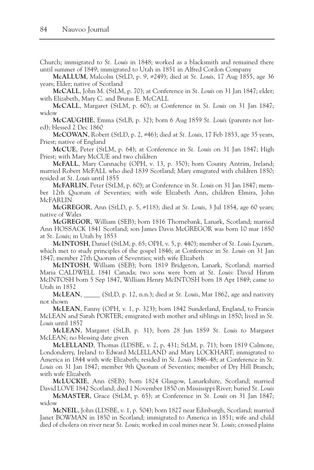Church; immigrated to *St. Louis* in 1848; worked as a blacksmith and remained there until summer of 1849; immigrated to Utah in 1851 in Alfred Cordon Company

**McALLUM**, Malcolm (StLD, p. 9, #249); died at *St. Louis*, 17 Aug 1855, age 36 years; Elder; native of Scotland

**McCALL**, John M. (StLM, p. 70); at Conference in *St. Louis* on 31 Jan 1847; elder; with Elizabeth, Mary C. and Brutus E. McCALL

**McCALL**, Margaret (StLM, p. 60); at Conference in *St. Louis* on 31 Jan 1847; widow

**McCAUGHIE**, Emma (StLB, p. 32); born 6 Aug 1859 *St. Louis* (parents not listed); blessed 2 Dec 1860

**McCOWAN**, Robert (StLD, p. 2, #46); died at *St. Louis*, 17 Feb 1853, age 35 years, Priest; native of England

**McCUE**, Peter (StLM, p. 64); at Conference in *St. Louis* on 31 Jan 1847; High Priest; with Mary McCUE and two children

**McFALL**, Mary Cunnachy (OPH, v. 13, p. 350); born County Antrim, Ireland; married Robert McFALL who died 1839 Scotland; Mary emigrated with children 1850; resided at *St. Louis* until 1855

**McFARLIN**, Peter (StLM, p. 60); at Conference in *St. Louis* on 31 Jan 1847; member 12th Quorum of Seventies; with wife Elizabeth Ann, children Elmira, John McFARLIN

**McGREGOR**, Ann (StLD, p. 5, #118); died at *St. Louis*, 3 Jul 1854, age 60 years; native of Wales

**McGREGOR**, William (SEB); born 1816 Thornebank, Lanark, Scotland; married Ann HOSSACK 1841 Scotland; son James Davis McGREGOR was born 10 mar 1850 at *St. Louis*; in Utah by 1853

**McINTOSH**, Daniel (StLM, p. 65; OPH, v. 5, p. 440); member of *St. Louis Lyceum,* which met to study principles of the gospel 1846; at Conference in *St. Louis* on 31 Jan 1847; member 27th Quorum of Seventies; with wife Elizabeth

**McINTOSH**, William (SEB); born 1819 Bridgeton, Lanark, Scotland; married Maria CALDWELL 1841 Canada; two sons were born at *St. Louis*: David Hirum McINTOSH born 5 Sep 1847, William Henry McINTOSH born 18 Apr 1849; came to Utah in 1852

**McLEAN**, \_\_\_\_\_ (StLD, p. 12, n.n.); died at *St. Louis*, Mar 1862, age and nativity not shown

**McLEAN**, Fanny (OPH, v. 1, p. 323); born 1842 Sunderland, England, to Francis McLEAN and Sarah PORTER; emigrated with mother and siblings in 1850; lived in *St. Louis* until 1857

**McLEAN**, Margaret (StLB, p. 31); born 28 Jun 1859 *St. Louis* to Margaret McLEAN; no blessing date given

**McLELLAND**, Thomas (LDSBE, v. 2, p. 431; StLM, p. 71); born 1819 Calmore, Londonderry, Ireland to Edward McLELLAND and Mary LOCKHART; immigrated to America in 1844 with wife Elizabeth; resided in *St. Louis* 1846–48; at Conference in *St. Louis* on 31 Jan 1847; member 9th Quorum of Seventies; member of Dry Hill Branch; with wife Elizabeth

**McLUCKIE**, Ann (SEB); born 1824 Glasgow, Lanarkshire, Scotland; married David LOVE 1842 Scotland; died 1 November 1850 on Mississippi River; buried *St. Louis*

**McMASTER**, Grace (StLM, p. 65); at Conference in *St. Louis* on 31 Jan 1847; widow

**McNEIL**, John (LDSBE, v. 1, p. 504); born 1827 near Edinburgh, Scotland; married Janet BOWMAN in 1850 in Scotland; immigrated to America in 1851; wife and child died of cholera on river near *St. Louis*; worked in coal mines near *St. Louis*; crossed plains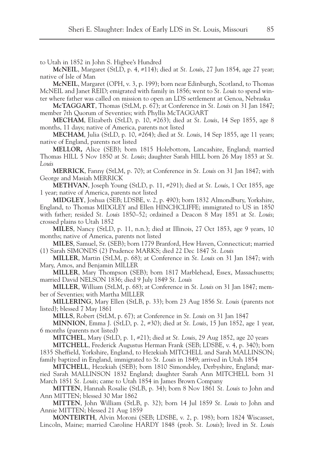to Utah in 1852 in John S. Higbee's Hundred

**McNEIL**, Margaret (StLD, p. 4, #114); died at *St. Louis*, 27 Jun 1854, age 27 year; native of Isle of Man

**McNEIL**, Margaret (OPH, v. 3, p. 199); born near Edinburgh, Scotland, to Thomas McNEIL and Janet REID; emigrated with family in 1856; went to *St. Louis* to spend winter where father was called on mission to open an LDS settlement at Genoa, Nebraska

**McTAGGART**, Thomas (StLM, p. 67); at Conference in *St. Louis* on 31 Jan 1847; member 7th Quorum of Seventies; with Phyllis McTAGGART

**MECHAM**, Elizabeth (StLD, p. 10, #263); died at *St. Louis*, 14 Sep 1855, age 8 months, 11 days; native of America, parents not listed

**MECHAM**, Julia (StLD, p. 10, #264); died at *St. Louis*, 14 Sep 1855, age 11 years; native of England, parents not listed

**MELLOR,** Alice (SEB); born 1815 Holebottom, Lancashire, England; married Thomas HILL 5 Nov 1850 at *St. Louis*; daughter Sarah HILL born 26 May 1853 at *St. Louis*

**MERRICK**, Fanny (StLM, p. 70); at Conference in *St. Louis* on 31 Jan 1847; with George and Masiah MERRICK

**METHVAN**, Joseph Young (StLD, p. 11, #291); died at *St. Louis*, 1 Oct 1855, age 1 year; native of America, parents not listed

**MIDGLEY**, Joshua (SEB; LDSBE, v. 2, p. 490); born 1832 Almondbury, Yorkshire, England, to Thomas MIDGLEY and Ellen HINCHCLIFFE; immigrated to US in 1850 with father; resided *St. Louis* 1850–52; ordained a Deacon 8 May 1851 at *St. Louis*; crossed plains to Utah 1852

**MILES**, Nancy (StLD, p. 11, n.n.); died at Illinois, 27 Oct 1853, age 9 years, 10 months; native of America, parents not listed

**MILES**, Samuel, Sr. (SEB); born 1779 Branford, Hew Haven, Connecticut; married (1) Sarah SIMONDS (2) Prudence MARKS; died 22 Dec 1847 *St. Louis*

**MILLER**, Martin (StLM, p. 68); at Conference in *St. Louis* on 31 Jan 1847; with Mary, Amos, and Benjamin MILLER

**MILLER**, Mary Thompson (SEB); born 1817 Marblehead, Essex, Massachusetts; married David NELSON 1836; died 9 July 1849 *St. Louis*

**MILLER**, William (StLM, p. 68); at Conference in *St. Louis* on 31 Jan 1847; member of Seventies; with Martha MILLER

**MILLERING**, Mary Ellen (StLB, p. 33); born 23 Aug 1856 *St. Louis* (parents not listed); blessed 7 May 1861

**MILLS**, Robert (StLM, p. 67); at Conference in *St. Louis* on 31 Jan 1847

**MINNION**, Emma J. (StLD, p. 2, #30); died at *St. Louis*, 15 Jun 1852, age 1 year, 6 months (parents not listed)

**MITCHEL**, Mary (StLD, p. 1, #21); died at *St. Louis*, 29 Aug 1852, age 20 years

**MITCHELL**, Frederick Augustus Herman Frank (SEB; LDSBE, v. 4, p. 340); born 1835 Sheffield, Yorkshire, England, to Hezekiah MITCHELL and Sarah MALLINSON; family baptized in England, immigrated to *St. Louis* in 1849; arrived in Utah 1854

**MITCHELL**, Hezekiah (SEB); born 1810 Simondsley, Derbyshire, England; married Sarah MALLINSON 1832 England; daughter Sarah Ann MITCHELL born 31 March 1851 *St. Louis*; came to Utah 1854 in James Brown Company

**MITTEN**, Hannah Rosalie (StLB, p. 34); born 8 Nov 1861 *St. Louis* to John and Ann MITTEN; blessed 30 Mar 1862

**MITTEN**, John William (StLB, p. 32); born 14 Jul 1859 *St. Louis* to John and Annie MITTEN; blessed 21 Aug 1859

**MONTEIRTH**, Alvin Moroni (SEB; LDSBE, v. 2, p. 198); born 1824 Wiscasset, Lincoln, Maine; married Caroline HARDY 1848 (prob. *St. Louis*); lived in *St. Louis*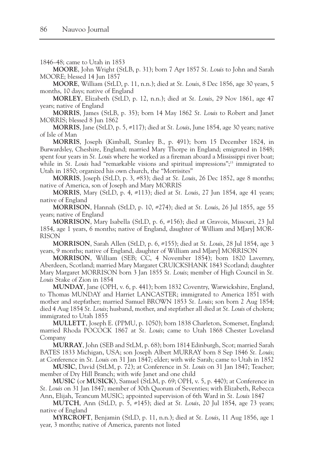1846–48; came to Utah in 1853

**MOORE**, John Wright (StLB, p. 31); born 7 Apr 1857 *St. Louis* to John and Sarah MOORE; blessed 14 Jun 1857

**MOORE**, William (StLD, p. 11, n.n.); died at *St. Louis*, 8 Dec 1856, age 30 years, 5 months, 10 days; native of England

**MORLEY**, Elizabeth (StLD, p. 12, n.n.); died at *St. Louis*, 29 Nov 1861, age 47 years; native of England

**MORRIS**, James (StLB, p. 35); born 14 May 1862 *St. Louis* to Robert and Janet MORRIS; blessed 8 Jun 1862

**MORRIS**, Jane (StLD, p. 5, #117); died at *St. Louis*, June 1854, age 30 years; native of Isle of Man

**MORRIS**, Joseph (Kimball, Stanley B., p. 491); born 15 December 1824, in Burwardsley, Cheshire, England; married Mary Thorpe in England; emigrated in 1848; spent four years in *St. Louis* where he worked as a fireman aboard a Mississippi river boat; while in *St. Louis* had "remarkable visions and spiritual impressions";<sup>15</sup> immigrated to Utah in 1850; organized his own church, the "Morrisites"

**MORRIS**, Joseph (StLD, p. 3, #83); died at *St. Louis*, 26 Dec 1852, age 8 months; native of America, son of Joseph and Mary MORRIS

**MORRIS**, Mary (StLD, p. 4, #113); died at *St. Louis*, 27 Jun 1854, age 41 years; native of England

**MORRISON**, Hannah (StLD, p. 10, #274); died at *St. Louis*, 26 Jul 1855, age 55 years; native of England

**MORRISON**, Mary Isabella (StLD, p. 6, #156); died at Gravois, Missouri, 23 Jul 1854, age 1 years, 6 months; native of England, daughter of William and M[ary] MOR-RISON

**MORRISON**, Sarah Allen (StLD, p. 6, #155); died at *St. Louis*, 28 Jul 1854, age 3 years, 9 months; native of England, daughter of William and M[ary] MORRISON

**MORRISON**, William (SEB; CC, 4 November 1854); born 1820 Lavernry, Aberdeen, Scotland; married Mary Margaret CRUICKSHANK 1843 Scotland; daughter Mary Margaret MORRISON born 3 Jan 1855 *St. Louis*; member of High Council in *St. Louis* Stake of Zion in 1854

**MUNDAY**, Jane (OPH, v. 6, p. 441); born 1832 Coventry, Warwickshire, England, to Thomas MUNDAY and Harriet LANCASTER; immigrated to America 1851 with mother and stepfather; married Samuel BROWN 1853 *St. Louis*; son born 2 Aug 1854; died 4 Aug 1854 *St. Louis*; husband, mother, and stepfather all died at *St. Louis* of cholera; immigrated to Utah 1855

**MULLETT**, Joseph E. (PPMU, p. 1050); born 1838 Charleton, Somerset, England; married Rhoda POCOCK 1867 at *St. Louis*; came to Utah 1868 Chester Loveland Company

**MURRAY**, John (SEB and StLM, p. 68); born 1814 Edinburgh, Scot; married Sarah BATES 1833 Michigan, USA; son Joseph Albert MURRAY born 8 Sep 1846 *St. Louis*; at Conference in *St. Louis* on 31 Jan 1847; elder; with wife Sarah; came to Utah in 1852

**MUSIC**, David (StLM, p. 72); at Conference in *St. Louis* on 31 Jan 1847; Teacher; member of Dry Hill Branch; with wife Janet and one child

**MUSIC** (or **MUSICK**), Samuel (StLM, p. 69; OPH, v. 5, p. 440); at Conference in *St. Louis* on 31 Jan 1847; member of 30th Quorum of Seventies; with Elizabeth, Rebecca Ann, Elijah, Teancum MUSIC; appointed supervision of 6th Ward in *St. Louis* 1847

**MUTCH**, Ann (StLD, p. 5, #145); died at *St. Louis*, 20 Jul 1854, age 73 years; native of England

**MYRCROFT**, Benjamin (StLD, p. 11, n.n.); died at *St. Louis*, 11 Aug 1856, age 1 year, 3 months; native of America, parents not listed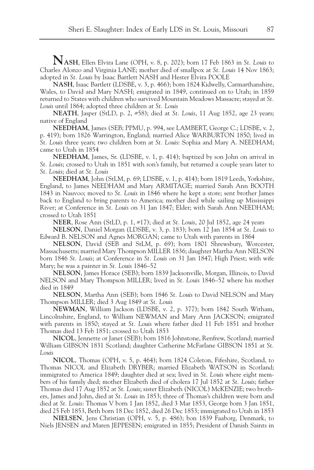**NASH**, Ellen Elvira Lane (OPH, v. 8, p. 202); born 17 Feb 1863 in *St. Louis* to Charles Alonzo and Virginia LANE; mother died of smallpox at *St. Louis* 14 Nov 1863; adopted in *St. Louis* by Isaac Bartlett NASH and Hester Elvira POOLE

**NASH**, Isaac Bartlett (LDSBE, v. 3, p. 466); born 1824 Kidwelly, Carmarthanshire, Wales, to David and Mary NASH; emigrated in 1849, continued on to Utah; in 1859 returned to States with children who survived Mountain Meadows Massacre; stayed at *St. Louis* until 1864; adopted three children at *St. Louis*

**NEATH**, Jasper (StLD, p. 2, #58); died at *St. Louis*, 11 Aug 1852, age 23 years; native of England

**NEEDHAM**, James (SEB; PPMU, p. 994, see LAMBERT, George C.; LDSBE, v. 2, p. 419); born 1826 Warrington, England; married Alice WARBURTON 1850; lived in *St. Louis* three years; two children born at *St. Louis*: Sophia and Mary A. NEEDHAM; came to Utah in 1854

**NEEDHAM**, James, Sr. (LDSBE, v. 1, p. 414); baptized by son John on arrival in *St. Louis*; crossed to Utah in 1851 with son's family, but returned a couple years later to *St. Louis*; died at *St. Louis*

**NEEDHAM**, John (StLM, p. 69; LDSBE, v. 1, p. 414); born 1819 Leeds, Yorkshire, England, to James NEEDHAM and Mary ARMITAGE; married Sarah Ann BOOTH 1843 in Nauvoo; moved to *St. Louis* in 1846 where he kept a store; sent brother James back to England to bring parents to America; mother died while sailing up Mississippi River; at Conference in *St. Louis* on 31 Jan 1847; Elder; with Sarah Ann NEEDHAM; crossed to Utah 1851

**NEER**, Rose Ann (StLD, p. 1, #17); died at *St. Louis*, 20 Jul 1852, age 24 years

**NELSON**, Daniel Morgan (LDSBE, v. 3, p. 183); born 12 Jan 1854 at *St. Louis* to Edward B. NELSON and Agnes MORGAN; came to Utah with parents in 1864

**NELSON**, David (SEB and StLM, p. 69); born 1801 Shrewsbury, Worcester, Massachusetts; married Mary Thompson MILLER 1836; daughter Martha Ann NELSON born 1846 *St. Louis*; at Conference in *St. Louis* on 31 Jan 1847; High Priest; with wife Mary; he was a painter in *St. Louis* 1846–52

**NELSON**, James Horace (SEB); born 1839 Jacksonville, Morgan, Illinois, to David NELSON and Mary Thompson MILLER; lived in *St. Louis* 1846–52 where his mother died in 1849

**NELSON**, Martha Ann (SEB); born 1846 *St. Louis* to David NELSON and Mary Thompson MILLER; died 3 Aug 1849 at *St. Louis*

**NEWMAN**, William Jackson (LDSBE, v. 2, p. 377); born 1842 South Witham, Lincolnshire, England, to William NEWMAN and Mary Ann JACKSON; emigrated with parents in 1850; stayed at *St. Louis* where father died 11 Feb 1851 and brother Thomas died 13 Feb 1851; crossed to Utah 1853

**NICOL**, Jennette or Janet (SEB); born 1816 Johnstone, Renfrew, Scotland; married William GIBSON 1831 Scotland; daughter Catherine McFarlane GIBSON 1851 at *St. Louis*

**NICOL**, Thomas (OPH, v. 5, p. 464); born 1824 Coleton, Fifeshire, Scotland, to Thomas NICOL and Elizabeth DRYBER; married Elizabeth WATSON in Scotland; immigrated to America 1849; daughter died at sea; lived in *St. Louis* where eight members of his family died; mother Elizabeth died of cholera 17 Jul 1852 at *St. Louis*; father Thomas died 17 Aug 1852 at *St. Louis*; sister Elizabeth (NICOL) McKENZIE; two brothers, James and John, died at *St. Louis* in 1853; three of Thomas's children were born and died at *St. Louis*: Thomas V born 1 Jan 1852, died 3 Mar 1853, George born 3 Jan 1851, died 25 Feb 1853, Beth born 18 Dec 1852, died 26 Dec 1853; immigrated to Utah in 1853

**NIELSEN**, Jens Christian (OPH, v. 5, p. 486); bon 1839 Faaborg, Denmark, to Niels JENSEN and Maren JEPPESEN; emigrated in 1855; President of Danish Saints in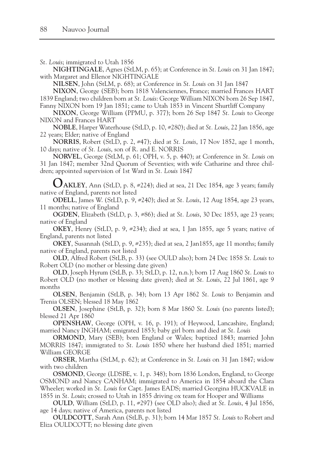*St. Louis*; immigrated to Utah 1856

**NIGHTINGALE**, Agnes (StLM, p. 65); at Conference in *St. Louis* on 31 Jan 1847; with Margaret and Ellenor NIGHTINGALE

**NILSEN**, John (StLM, p. 68); at Conference in *St. Louis* on 31 Jan 1847

**NIXON**, George (SEB); born 1818 Valenciennes, France; married Frances HART 1839 England; two children born at *St. Louis*: George William NIXON born 26 Sep 1847, Fanny NIXON born 19 Jan 1851; came to Utah 1853 in Vincent Shurtliff Company

**NIXON**, George William (PPMU, p. 377); born 26 Sep 1847 *St. Louis* to George NIXON and Frances HART

**NOBLE**, Harper Waterhouse (StLD, p. 10, #280); died at *St. Louis*, 22 Jan 1856, age 22 years; Elder; native of England

**NORRIS**, Robert (StLD, p. 2, #47); died at *St. Louis*, 17 Nov 1852, age 1 month, 10 days; native of *St. Louis*, son of R. and E. NORRIS

**NORVEL**, George (StLM, p. 61; OPH, v. 5, p. 440); at Conference in *St. Louis* on 31 Jan 1847; member 32nd Quorum of Seventies; with wife Catharine and three children; appointed supervision of 1st Ward in *St. Louis* 1847

**OAKLEY**, Ann (StLD, p. 8, #224); died at sea, 21 Dec 1854, age 3 years; family native of England, parents not listed

**ODELL**, James W. (StLD, p. 9, #240); died at *St. Louis*, 12 Aug 1854, age 23 years, 11 months; native of England

**OGDEN**, Elizabeth (StLD, p. 3, #86); died at *St. Louis*, 30 Dec 1853, age 23 years; native of England

**OKEY**, Henry (StLD, p. 9, #234); died at sea, 1 Jan 1855, age 5 years; native of England, parents not listed

**OKEY**, Susannah (StLD, p. 9, #235); died at sea, 2 Jan1855, age 11 months; family native of England, parents not listed

**OLD**, Alfred Robert (StLB, p. 33) (see OULD also); born 24 Dec 1858 *St. Louis* to Robert OLD (no mother or blessing date given)

**OLD**, Joseph Hyrum (StLB, p. 33; StLD, p. 12, n.n.); born 17 Aug 1860 *St. Louis* to Robert OLD (no mother or blessing date given); died at *St. Louis*, 22 Jul 1861, age 9 months

**OLSEN**, Benjamin (StLB, p. 34); born 13 Apr 1862 *St. Louis* to Benjamin and Trenia OLSEN; blessed 18 May 1862

**OLSEN**, Josephine (StLB, p. 32); born 8 Mar 1860 *St. Louis* (no parents listed); blessed 21 Apr 1860

**OPENSHAW**, George (OPH, v. 16, p. 191); of Heywood, Lancashire, England; married Nancy INGHAM; emigrated 1853; baby girl born and died at *St. Louis*

**ORMOND**, Mary (SEB); born England or Wales; baptized 1843; married John MORRIS 1847; immigrated to *St. Louis* 1850 where her husband died 1851; married William GEORGE

**ORSER**, Martha (StLM, p. 62); at Conference in *St. Louis* on 31 Jan 1847; widow with two children

**OSMOND**, George (LDSBE, v. 1, p. 348); born 1836 London, England, to George OSMOND and Nancy CANHAM; immigrated to America in 1854 aboard the Clara Wheeler; worked in *St. Louis* for Capt. James EADS; married Georgina HUCKVALE in 1855 in *St. Louis*; crossed to Utah in 1855 driving ox team for Hooper and Williams

**OULD**, William (StLD, p. 11, #297) (see OLD also); died at *St. Louis*, 4 Jul 1856, age 14 days; native of America, parents not listed

**OULDCOTT**, Sarah Ann (StLB, p. 31); born 14 Mar 1857 *St. Louis* to Robert and Eliza OULDCOTT; no blessing date given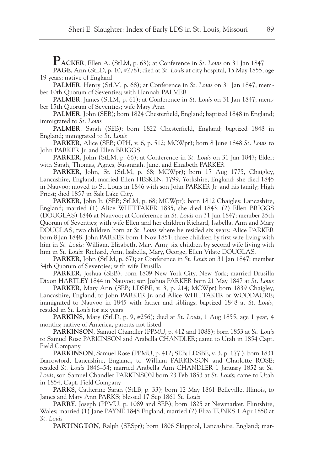**PACKER**, Ellen A. (StLM, p. 63); at Conference in *St. Louis* on 31 Jan 1847

**PAGE**, Ann (StLD, p. 10, #278); died at *St. Louis* at city hospital, 15 May 1855, age 19 years; native of England

**PALMER**, Henry (StLM, p. 68); at Conference in *St. Louis* on 31 Jan 1847; member 10th Quorum of Seventies; with Hannah PALMER

**PALMER**, James (StLM, p. 61); at Conference in *St. Louis* on 31 Jan 1847; member 15th Quorum of Seventies; wife Mary Ann

**PALMER**, John (SEB); born 1824 Chesterfield, England; baptized 1848 in England; immigrated to *St. Louis*

**PALMER**, Sarah (SEB); born 1822 Chesterfield, England; baptized 1848 in England; immigrated to *St. Louis*

**PARKER**, Alice (SEB; OPH, v. 6, p. 512; MCWpr); born 8 June 1848 *St. Louis* to John PARKER Jr. and Ellen BRIGGS

**PARKER**, John (StLM, p. 66); at Conference in *St. Louis* on 31 Jan 1847; Elder; with Sarah, Thomas, Agnes, Susannah, Jane, and Elizabeth PARKER

**PARKER**, John, Sr. (StLM, p. 68; MCWpr); born 17 Aug 1775, Chaigley, Lancashire, England; married Ellen HESKEN, 1799, Yorkshire, England; she died 1845 in Nauvoo; moved to St. Louis in 1846 with son John PARKER Jr. and his family; High Priest; died 1857 in Salt Lake City.

**PARKER**, John Jr. (SEB; StLM, p. 68; MCWpr); born 1812 Chaigley, Lancashire, England; married (1) Alice WHITTAKER 1835, she died 1843; (2) Ellen BRIGGS (DOUGLAS) 1846 at Nauvoo; at Conference in *St. Louis* on 31 Jan 1847; member 25th Quorum of Seventies; with wife Ellen and her children Richard, Isabella, Ann and Mary DOUGLAS; two children born at *St. Louis* where he resided six years: Alice PARKER born 8 Jan 1848, John PARKER born 1 Nov 1851; three children by first wife living with him in *St. Louis*: William, Elizabeth, Mary Ann; six children by second wife living with him in *St. Louis*: Richard, Ann, Isabella, Mary, George, Ellen Vilate DOUGLAS.

**PARKER**, John (StLM, p. 67); at Conference in *St. Louis* on 31 Jan 1847; member 34th Quorum of Seventies; with wife Drusilla

**PARKER**, Joshua (SEB); born 1809 New York City, New York; married Drusilla Dixon HARTLEY 1844 in Nauvoo; son Joshua PARKER born 21 May 1847 at *St. Louis*

**PARKER**, Mary Ann (SEB; LDSBE, v. 3, p. 214; MCWpr) born 1839 Chaigley, Lancashire, England, to John PARKER Jr. and Alice WHITTAKER or WOODACRE; immigrated to Nauvoo in 1845 with father and siblings; baptized 1848 at *St. Louis;* resided in *St. Louis* for six years

**PARKINS**, Mary (StLD, p. 9, #256); died at *St. Louis*, 1 Aug 1855, age 1 year, 4 months; native of America, parents not listed

**PARKINSON**, Samuel Chandler (PPMU, p. 412 and 1088); born 1853 at *St. Louis* to Samuel Rose PARKINSON and Arabella CHANDLER; came to Utah in 1854 Capt. Field Company

**PARKINSON**, Samuel Rose (PPMU, p. 412; SEB; LDSBE, v. 3, p. 177 ); born 1831 Barrowford, Lancashire, England, to William PARKINSON and Charlotte ROSE; resided *St. Louis* 1846–54; married Arabella Ann CHANDLER 1 January 1852 at *St. Louis*; son Samuel Chandler PARKINSON born 23 Feb 1853 at *St. Louis*; came to Utah in 1854, Capt. Field Company

**PARKS**, Catherine Sarah (StLB, p. 33); born 12 May 1861 Belleville, Illinois, to James and Mary Ann PARKS; blessed 17 Sep 1861 *St. Louis*

**PARRY**, Joseph (PPMU, p. 1089 and SEB); born 1825 at Newmarket, Flintshire, Wales; married (1) Jane PAYNE 1848 England; married (2) Eliza TUNKS 1 Apr 1850 at *St. Louis*

**PARTINGTON**, Ralph (SESpr); born 1806 Skippool, Lancashire, England; mar-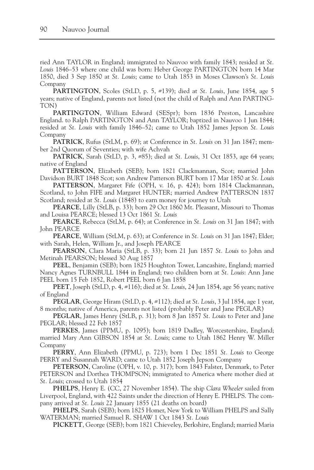ried Ann TAYLOR in England; immigrated to Nauvoo with family 1843; resided at *St. Louis* 1846–53 where one child was born: Heber George PARTINGTON born 14 Mar 1850, died 3 Sep 1850 at *St. Louis*; came to Utah 1853 in Moses Clawson's *St. Louis* Company

**PARTINGTON**, Scoles (StLD, p. 5, #139); died at *St. Louis*, June 1854, age 5 years; native of England, parents not listed (not the child of Ralph and Ann PARTING-TON)

**PARTINGTON**, William Edward (SESpr); born 1836 Preston, Lancashire England. to Ralph PARTINGTON and Ann TAYLOR; baptized in Nauvoo 1 Jun 1844; resided at *St. Louis* with family 1846–52; came to Utah 1852 James Jepson *St. Louis* Company

**PATRICK**, Rufus (StLM, p. 69); at Conference in *St. Louis* on 31 Jan 1847; member 2nd Quorum of Seventies; with wife Achvah

**PATRICK**, Sarah (StLD, p. 3, #85); died at *St. Louis*, 31 Oct 1853, age 64 years; native of England

**PATTERSON**, Elizabeth (SEB); born 1821 Clackmannan, Scot; married John Davidson BURT 1848 Scot; son Andrew Patterson BURT born 17 Mar 1850 at *St. Louis*

**PATTERSON**, Margaret Fife (OPH, v. 16, p. 424); born 1814 Clackmannan, Scotland, to John FIFE and Margaret HUNTER; married Andrew PATTERSON 1837 Scotland; resided at *St. Louis* (1848) to earn money for journey to Utah

**PEARCE**, Lilly (StLB, p. 33); born 29 Oct 1860 Mt. Pleasant, Missouri to Thomas and Louisa PEARCE; blessed 13 Oct 1861 *St. Louis*

**PEARCE**, Rebecca (StLM, p. 64); at Conference in *St. Louis* on 31 Jan 1847; with John PEARCE

**PEARCE**, William (StLM, p. 63); at Conference in *St. Louis* on 31 Jan 1847; Elder; with Sarah, Helen, William Jr., and Joseph PEARCE

**PEARSON**, Clara Maria (StLB, p. 33); born 21 Jun 1857 *St. Louis* to John and Metinah PEARSON; blessed 30 Aug 1857

**PEEL**, Benjamin (SEB); born 1825 Houghton Tower, Lancashire, England; married Nancy Agnes TURNBULL 1844 in England; two children born at *St. Louis*: Ann Jane PEEL born 15 Feb 1852, Robert PEEL born 6 Jan 1858

**PEET**, Joseph (StLD, p. 4, #116); died at *St. Louis*, 24 Jun 1854, age 56 years; native of England

**PEGLAR**, George Hiram (StLD, p. 4, #112); died at *St. Louis*, 3 Jul 1854, age 1 year, 8 months; native of America, parents not listed (probably Peter and Jane PEGLAR)

**PEGLAR**, James Henry (StLB, p. 31); born 8 Jan 1857 *St. Louis* to Peter and Jane PEGLAR; blessed 22 Feb 1857

**PERKES**, James (PPMU, p. 1095); born 1819 Dudley, Worcestershire, England; married Mary Ann GIBSON 1854 at *St. Louis*; came to Utah 1862 Henry W. Miller Company

**PERRY**, Ann Elizabeth (PPMU, p. 723); born 1 Dec 1851 *St. Louis* to George PERRY and Susannah WARD; came to Utah 1852 Joseph Jepson Company

**PETERSON**, Caroline (OPH, v. 10, p. 317); born 1843 Falster, Denmark, to Peter PETERSON and Dorthea THOMPSON; immigrated to America where mother died at *St. Louis*; crossed to Utah 1854

**PHELPS**, Henry E. (CC, 27 November 1854). The ship *Clara Wheeler* sailed from Liverpool, England, with 422 Saints under the direction of Henry E. PHELPS. The company arrived at *St. Louis* 22 January 1855 (21 deaths on board)

**PHELPS**, Sarah (SEB); born 1825 Homer, New York to William PHELPS and Sally WATERMAN; married Samuel R. SHAW 1 Oct 1843 *St. Louis*

**PICKETT**, George (SEB); born 1821 Chieveley, Berkshire, England; married Maria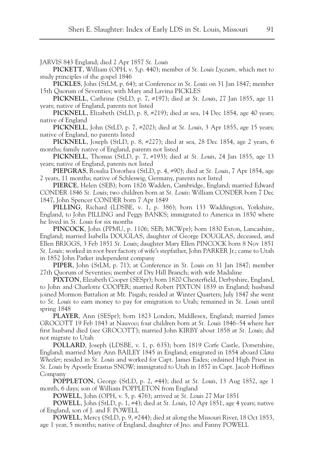JARVIS 843 England; died 2 Apr 1857 *St. Louis*

**PICKETT**, William (OPH, v. 5,p. 440); member of *St. Louis Lyceum,* which met to study principles of the gospel 1846

**PICKLES**, John (StLM, p. 64); at Conference in *St. Louis* on 31 Jan 1847; member 15th Quorum of Seventies; with Mary and Lavina PICKLES

**PICKNELL**, Cathrine (StLD, p. 7, #197); died at *St. Louis*, 27 Jan 1855, age 11 years; native of England, parents not listed

**PICKNELL**, Elizabeth (StLD, p. 8, #219); died at sea, 14 Dec 1854, age 40 years; native of England

**PICKNELL**, John (StLD, p. 7, #202); died at *St. Louis*, 3 Apr 1855, age 15 years; native of England, no parents listed

**PICKNELL**, Joseph (StLD, p. 8, #227); died at sea, 28 Dec 1854, age 2 years, 6 months; family native of England, parents not listed

**PICKNELL**, Thomas (StLD, p. 7, #193); died at *St. Louis*, 24 Jan 1855, age 13 years; native of England, parents not listed

**PIEPGRAS**, Rosalia Dorothea (StLD, p. 4, #90); died at *St. Louis*, 7 Apr 1854, age 2 years, 11 months; native of Schleswig, Germany, parents not listed

**PIERCE**, Helen (SEB); born 1826 Wadden, Cambridge, England; married Edward CONDER 1846 *St. Louis*; two children born at *St. Louis*: William CONDER born 7 Dec 1847, John Spencer CONDER born 7 Apr 1849

**PILLING**, Richard (LDSBE, v. 1, p. 386); born 133 Waddington, Yorkshire, England, to John PILLING and Peggy BANKS; immigrated to America in 1850 where he lived in *St. Louis* for six months

**PINCOCK**, John (PPMU, p. 1106; SEB; MCWpr); born 1830 Exton, Lancashire, England; married Isabella DOUGLAS, daughter of George DOUGLAS, deceased, and Ellen BRIGGS, 3 Feb 1851 *St. Louis*; daughter Mary Ellen PINCOCK born 8 Nov 1851 *St. Louis;* worked in root beer factory of wife's stepfather, John PARKER Jr.; came to Utah in 1852 John Parker independent company

**PIPER**, John (StLM, p. 71); at Conference in *St. Louis* on 31 Jan 1847; member 27th Quorum of Seventies; member of Dry Hill Branch; with wife Madaline

**PIXTON**, Elizabeth Cooper (SESpr); born 1820 Chesterfield, Derbyshire, England, to John and Charlotte COOPER; married Robert PIXTON 1839 in England; husband joined Mormon Battalion at Mt. Pisgah; resided at Winter Quarters; July 1847 she went to *St. Louis* to earn money to pay for emigration to Utah; remained in *St. Louis* until spring 1848

**PLAYER**, Ann (SESpr); born 1823 London, Middlesex, England; married James GROCOTT 19 Feb 1843 at Nauvoo; four children born at *St. Louis* 1846–54 where her first husband died (see GROCOTT); married John KIRBY about 1858 at *St. Louis*; did not migrate to Utah

**POLLARD**, Joseph (LDSBE, v. 1, p. 635); born 1819 Corfe Castle, Dorsetshire, England; married Mary Ann BAILEY 1845 in England; emigrated in 1854 aboard *Clara Wheeler*; resided in *St. Louis* and worked for Capt. James Eades; ordained High Priest in *St. Louis* by Apostle Erastus SNOW; immigrated to Utah in 1857 in Capt. Jacob Hoffines Company

**POPPLETON**, George (StLD, p. 2, #44); died at *St. Louis*, 13 Aug 1852, age 1 month, 6 days; son of William POPPLETON from England

**POWELL**, John (OPH, v. 5, p. 476); arrived at *St. Louis* 27 Mar 1851

**POWELL**, John (StLD, p. 1, #4); died at *St. Louis*, 10 Apr 1851, age 4 years; native of England, son of J. and F. POWELL

**POWELL**, Mercy (StLD, p. 9, #244); died at along the Missouri River, 18 Oct 1853, age 1 year, 5 months; native of England, daughter of Jno. and Fanny POWELL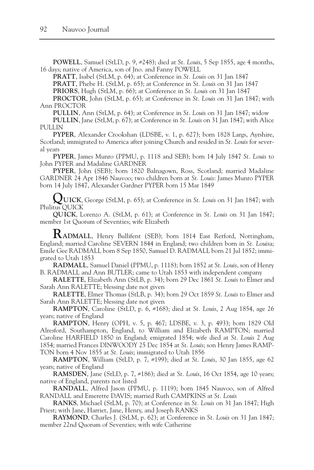**POWELL**, Samuel (StLD, p. 9, #248); died at *St. Louis*, 5 Sep 1855, age 4 months, 16 days; native of America, son of Jno. and Fanny POWELL

**PRATT**, Isabel (StLM, p. 64); at Conference in *St. Louis* on 31 Jan 1847

**PRATT**, Phebe H. (StLM, p. 65); at Conference in *St. Louis* on 31 Jan 1847

**PRIORS**, Hugh (StLM, p. 66); at Conference in *St. Louis* on 31 Jan 1847

**PROCTOR**, John (StLM, p. 65); at Conference in *St. Louis* on 31 Jan 1847; with Ann PROCTOR

**PULLIN**, Ann (StLM, p. 64); at Conference in *St. Louis* on 31 Jan 1847; widow **PULLIN**, Jane (StLM, p. 67); at Conference in *St. Louis* on 31 Jan 1847; with Alice PULLIN

**PYPER**, Alexander Crookshan (LDSBE, v. 1, p. 627); born 1828 Largs, Ayrshire, Scotland; immigrated to America after joining Church and resided in *St. Louis* for several years

**PYPER**, James Munro (PPMU, p. 1118 and SEB); born 14 July 1847 *St. Louis* to John PYPER and Madaline GARDNER

**PYPER**, John (SEB); born 1820 Balnagown, Ross, Scotland; married Madaline GARDNER 24 Apr 1846 Nauvoo; two children born at *St. Louis*: James Munro PYPER born 14 July 1847, Alexander Gardner PYPER born 15 Mar 1849

**QUICK**, George (StLM, p. 65); at Conference in *St. Louis* on 31 Jan 1847; with Philitus QUICK

**QUICK**, Lorenzo A. (StLM, p. 61); at Conference in *St. Louis* on 31 Jan 1847; member 1st Quorum of Seventies; wife Elizabeth

**RADMALL**, Henry Bullifent (SEB); born 1814 East Retford, Nottingham, England; married Caroline SEVERN 1844 in England; two children born in *St. Louis*a; Emile Gee RADMALL born 8 Sep 1850, Samuel D. RADMALL born 21 Jul 1852; immigrated to Utah 1853

**RADMALL**, Samuel Daniel (PPMU, p. 1118); born 1852 at *St. Louis*, son of Henry B. RADMALL and Ann BUTLER; came to Utah 1853 with independent company

**RALETTE**, Elizabeth Ann (StLB, p. 34); born 29 Dec 1861 *St. Louis* to Elmer and Sarah Ann RALETTE; blessing date not given

**RALETTE**, Elmer Thomas (StLB, p. 34); born 29 Oct 1859 *St. Louis* to Elmer and Sarah Ann RALETTE; blessing date not given

**RAMPTON**, Caroline (StLD, p. 6, #168); died at *St. Louis*, 2 Aug 1854, age 26 years; native of England

**RAMPTON**, Henry (OPH, v. 5, p. 467; LDSBE, v. 3, p. 493); born 1829 Old Alresford, Southampton, England, to William and Elizabeth RAMPTON; married Caroline HARFIELD 1850 in England; emigrated 1854; wife died at *St. Louis* 2 Aug 1854; married Frances DINWOODY 25 Dec 1854 at *St. Louis*; son Henry James RAMP-TON born 4 Nov 1855 at *St. Louis*; immigrated to Utah 1856

**RAMPTON**, William (StLD, p. 7, #199); died at *St. Louis*, 30 Jan 1855, age 62 years; native of England

**RAMSDEN**, Jane (StLD, p. 7, #186); died at *St. Louis*, 16 Oct 1854, age 10 years; native of England, parents not listed

**RANDALL**, Alfred Jason (PPMU, p. 1119); born 1845 Nauvoo, son of Alfred RANDALL and Emerette DAVIS; married Ruth CAMPKINS at *St. Louis*

**RANKS**, Michael (StLM, p. 70); at Conference in *St. Louis* on 31 Jan 1847; High Priest; with Jane, Harriet, Jane, Henry, and Joseph RANKS

**RAYMOND**, Charles J. (StLM, p. 62); at Conference in *St. Louis* on 31 Jan 1847; member 22nd Quorum of Seventies; with wife Catherine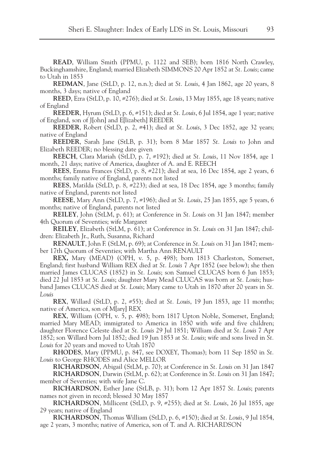**READ**, William Smith (PPMU, p. 1122 and SEB); born 1816 North Crawley, Buckinghamshire, England; married Elizabeth SIMMONS 20 Apr 1852 at *St. Louis*; came to Utah in 1853

**REDMAN**, Jane (StLD, p. 12, n.n.); died at *St. Louis*, 4 Jan 1862, age 20 years, 8 months, 3 days; native of England

**REED**, Ezra (StLD, p. 10, #276); died at *St. Louis*, 13 May 1855, age 18 years; native of England

**REEDER**, Hyrum (StLD, p. 6, #151); died at *St. Louis*, 6 Jul 1854, age 1 year; native of England, son of J[ohn] and E[lizabeth] REEDER

**REEDER**, Robert (StLD, p. 2, #41); died at *St. Louis*, 3 Dec 1852, age 32 years; native of England

**REEDER**, Sarah Jane (StLB, p. 31); born 8 Mar 1857 *St. Louis* to John and Elizabeth REEDER; no blessing date given

**REECH**, Clara Mariah (StLD, p. 7, #192); died at *St. Louis*, 11 Nov 1854, age 1 month, 21 days; native of America, daughter of A. and E. REECH

**REES**, Emma Frances (StLD, p. 8, #221); died at sea, 16 Dec 1854, age 2 years, 6 months; family native of England, parents not listed

**REES**, Matilda (StLD, p. 8, #223); died at sea, 18 Dec 1854, age 3 months; family native of England, parents not listed

**REESE**, Mary Ann (StLD, p. 7, #196); died at *St. Louis*, 25 Jan 1855, age 5 years, 6 months; native of England, parents not listed

**REILEY**, John (StLM, p. 61); at Conference in *St. Louis* on 31 Jan 1847; member 4th Quorum of Seventies; wife Margaret

**REILEY**, Elizabeth (StLM, p. 61); at Conference in *St. Louis* on 31 Jan 1847; children: Elizabeth Jr., Ruth, Susanna, Richard

**RENAULT**, John F. (StLM, p. 69); at Conference in *St. Louis* on 31 Jan 1847; member 17th Quorum of Seventies; with Martha Ann RENAULT

**REX,** Mary (MEAD) (OPH, v. 5, p. 498); born 1813 Charleston, Somerset, England; first husband William REX died at *St. Louis* 7 Apr 1852 (see below); she then married James CLUCAS (1852) in *St. Louis*; son Samuel CLUCAS born 6 Jun 1853; died 22 Jul 1853 at *St. Louis*; daughter Mary Mead CLUCAS was born at *St. Louis*; husband James CLUCAS died at *St. Louis*; Mary came to Utah in 1870 after 20 years in *St. Louis*

**REX**, Willard (StLD, p. 2, #55); died at *St. Louis*, 19 Jun 1853, age 11 months; native of America, son of M[ary] REX

**REX**, William (OPH, v. 5, p. 498); born 1817 Upton Noble, Somerset, England; married Mary MEAD; immigrated to America in 1850 with wife and five children; daughter Florence Celeste died at *St. Louis* 29 Jul 1851; William died at *St. Louis* 7 Apr 1852; son Willard born Jul 1852; died 19 Jun 1853 at *St. Louis*; wife and sons lived in *St. Louis* for 20 years and moved to Utah 1870

**RHODES**, Mary (PPMU, p. 847, see DOXEY, Thomas); born 11 Sep 1850 in *St. Louis* to George RHODES and Alice MELLOR

**RICHARDSON**, Abigail (StLM, p. 70); at Conference in *St. Louis* on 31 Jan 1847 **RICHARDSON**, Darwin (StLM, p. 62); at Conference in *St. Louis* on 31 Jan 1847; member of Seventies; with wife Jane C.

**RICHARDSON**, Esther Jane (StLB, p. 31); born 12 Apr 1857 *St. Louis*; parents names not given in record; blessed 30 May 1857

**RICHARDSON**, Millicent (StLD, p. 9, #255); died at *St. Louis*, 26 Jul 1855, age 29 years; native of England

**RICHARDSON**, Thomas William (StLD, p. 6, #150); died at *St. Louis*, 9 Jul 1854, age 2 years, 3 months; native of America, son of T. and A. RICHARDSON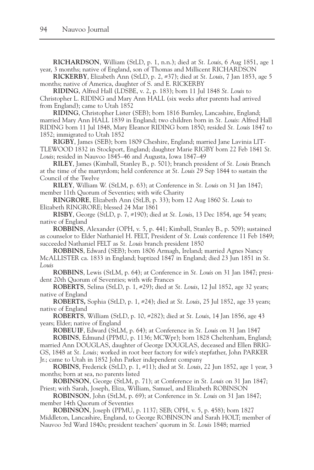**RICHARDSON**, William (StLD, p. 1, n.n.); died at *St. Louis*, 6 Aug 1851, age 1 year, 3 months; native of England, son of Thomas and Millicent RICHARDSON

**RICKERBY**, Elizabeth Ann (StLD, p. 2, #37); died at *St. Louis*, 7 Jan 1853, age 5 months; native of America, daughter of S. and E. RICKERBY

**RIDING**, Alfred Hall (LDSBE, v. 2, p. 183); born 11 Jul 1848 *St. Louis* to Christopher L. RIDING and Mary Ann HALL (six weeks after parents had arrived from England); came to Utah 1852

**RIDING**, Christopher Lister (SEB); born 1816 Burnley, Lancashire, England; married Mary Ann HALL 1839 in England; two children born in *St. Louis*: Alfred Hall RIDING born 11 Jul 1848, Mary Eleanor RIDING born 1850; resided *St. Louis* 1847 to 1852; immigrated to Utah 1852

**RIGBY**, James (SEB); born 1809 Cheshire, England; married Jane Lavinia LIT-TLEWOOD 1832 in Stockport, England; daughter Marie RIGBY born 22 Feb 1841 *St. Louis*; resided in Nauvoo 1845–46 and Augusta, Iowa 1847–49

**RILEY**, James (Kimball, Stanley B., p. 501); branch president of *St. Louis* Branch at the time of the martyrdom; held conference at *St. Louis* 29 Sep 1844 to sustain the Council of the Twelve

**RILEY**, William W. (StLM, p. 63); at Conference in *St. Louis* on 31 Jan 1847; member 11th Quorum of Seventies; with wife Charity

**RINGRORE**, Elizabeth Ann (StLB, p. 33); born 12 Aug 1860 *St. Louis* to Elizabeth RINGRORE; blessed 24 Mar 1861

**RISBY**, George (StLD, p. 7, #190); died at *St. Louis*, 13 Dec 1854, age 54 years; native of England

**ROBBINS**, Alexander (OPH, v. 5, p. 441; Kimball, Stanley B., p. 509); sustained as counselor to Elder Nathaniel H. FELT, President of *St. Louis* conference 11 Feb 1849; succeeded Nathaniel FELT as *St. Louis* branch president 1850

**ROBBINS**, Edward (SEB); born 1806 Armagh, Ireland; married Agnes Nancy McALLISTER ca. 1833 in England; baptized 1847 in England; died 23 Jun 1851 in *St. Louis*

**ROBBINS**, Lewis (StLM, p. 64); at Conference in *St. Louis* on 31 Jan 1847; president 20th Quorum of Seventies; with wife Frances

**ROBERTS**, Selina (StLD, p. 1, #29); died at *St. Louis*, 12 Jul 1852, age 32 years; native of England

**ROBERTS,** Sophia (StLD, p. 1, #24); died at *St. Louis*, 25 Jul 1852, age 33 years; native of England

**ROBERTS**, William (StLD, p. 10, #282); died at *St. Louis*, 14 Jan 1856, age 43 years; Elder; native of England

**ROBEUIF**, Edward (StLM, p. 64); at Conference in *St. Louis* on 31 Jan 1847 **ROBINS**, Edmund (PPMU, p. 1136; MCWpr); born 1828 Cheltenham, England; married Ann DOUGLAS, daughter of George DOUGLAS, deceased and Ellen BRIG-GS, 1848 at *St. Louis;* worked in root beer factory for wife's stepfather, John PARKER Jr.; came to Utah in 1852 John Parker independent company

**ROBINS**, Frederick (StLD, p. 1, #11); died at *St. Louis*, 22 Jun 1852, age 1 year, 3 months; born at sea, no parents listed

**ROBINSON**, George (StLM, p. 71); at Conference in *St. Louis* on 31 Jan 1847; Priest; with Sarah, Joseph, Eliza, William, Samuel, and Elizabeth ROBINSON

**ROBINSON**, John (StLM, p. 69); at Conference in *St. Louis* on 31 Jan 1847; member 14th Quorum of Seventies

**ROBINSON**, Joseph (PPMU, p. 1137; SEB; OPH, v. 5, p. 458); born 1827 Middleton, Lancashire, England, to George ROBINSON and Sarah HOLT; member of Nauvoo 3rd Ward 1840s; president teachers' quorum in *St. Louis* 1848; married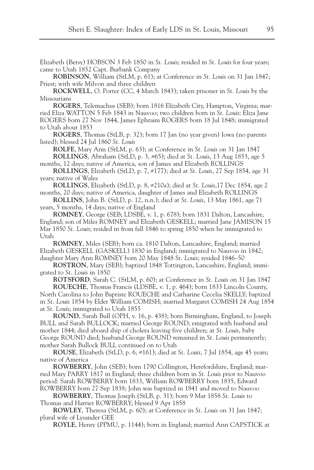Elizabeth (Betsy) HOBSON 3 Feb 1850 in *St. Louis*; resided in *St. Louis* for four years; came to Utah 1852 Capt. Burbank Company

**ROBINSON**, William (StLM, p. 61); at Conference in *St. Louis* on 31 Jan 1847; Priest; with wife Milvon and three children

**ROCKWELL**, O. Porter (CC, 4 March 1843); taken prisoner in *St. Louis* by the Missourians

**ROGERS**, Telemachus (SEB); born 1816 Elizabeth City, Hampton, Virginia; married Eliza WATTON 5 Feb 1843 in Nauvoo; two children born in *St. Louis*: Eliza Jane ROGERS born 27 Nov 1844, James Ephraim ROGERS born 18 Jul 1848; immigrated to Utah about 1853

**ROGERS**, Thomas (StLB, p. 32); born 17 Jan (no year given) Iowa (no parents listed); blessed 24 Jul 1860 *St. Louis*

**ROLFE**, Mary Ann (StLM, p. 63); at Conference in *St. Louis* on 31 Jan 1847 **ROLLINGS**, Abraham (StLD, p. 3, #65); died at *St. Louis*, 13 Aug 1853, age 5 months, 12 days; native of America, son of James and Elizabeth ROLLINGS

**ROLLINGS**, Elizabeth (StLD, p. 7, #177); died at *St. Louis*, 27 Sep 1854, age 31 years; native of Wales

**ROLLINGS**, Elizabeth (StLD, p. 8, #210a); died at *St. Louis*,17 Dec 1854, age 2 months, 20 days; native of America, daughter of James and Elizabeth ROLLINGS

**ROLLINS**, John B. (StLD, p. 12, n.n.); died at *St. Louis*, 13 May 1861, age 71 years, 5 months, 14 days; native of England

**ROMNEY**, George (SEB; LDSBE, v. 1, p. 678); born 1831 Dalton, Lancashire, England; son of Miles ROMNEY and Elizabeth GESKELL; married Jane JAMISON 15 Mar 1850 *St. Louis*; resided in from fall 1846 to spring 1850 when he immigrated to Utah

**ROMNEY**, Miles (SEB); born ca. 1810 Dalton, Lancashire, England; married Elizabeth GESKELL (GASKELL) 1830 in England; immigrated to Nauvoo in 1842; daughter Mary Ann ROMNEY born 20 May 1848 *St. Louis*; resided 1846–50

**ROSTRON**, Mary (SEB); baptized 1848 Tottington, Lancashire, England; immigrated to *St. Louis* in 1850

**ROTSFORD**, Sarah C. (StLM, p. 60); at Conference in *St. Louis* on 31 Jan 1847

**ROUECHE**, Thomas Francis (LDSBE, v. 1, p. 464); born 1833 Lincoln County, North Carolina to John Baptiste ROUECHE and Catharine Cecelia SKELLY; baptized in *St. Louis* 1854 by Elder William COMISH; married Margaret COMISH 24 Aug 1854 at *St. Louis*; immigrated to Utah 1855

**ROUND**, Sarah Bull (OPH, v. 16, p. 438); born Birmingham, England, to Joseph BULL and Sarah BULLOCK; married George ROUND; emigrated with husband and mother 1844; died aboard ship of cholera leaving five children; at *St. Louis*, baby George ROUND died; husband George ROUND remained in *St. Louis* permanently; mother Sarah Bullock BULL continued on to Utah

**ROUSE**, Elizabeth (StLD, p. 6, #161); died at *St. Louis*, 7 Jul 1854, age 45 years; native of America

**ROWBERRY**, John (SEB); born 1790 Collington, Herefordshire, England; married Mary PARRY 1817 in England; three children born in *St. Louis* prior to Nauvoo period: Sarah ROWBERRY born 1833, William ROWBERRY born 1835, Edward ROWBERRY born 27 Sep 1838; John was baptized in 1841 and moved to Nauvoo

**ROWBERRY**, Thomas Joseph (StLB, p. 31); born 9 Mar 1858 *St. Louis* to Thomas and Harriet ROWBERRY; blessed 9 Apr 1858

**ROWLEY**, Theresa (StLM, p. 60); at Conference in *St. Louis* on 31 Jan 1847; plural wife of Lysander GEE

**ROYLE**, Henry (PPMU, p. 1144); born in England; married Ann CAPSTICK at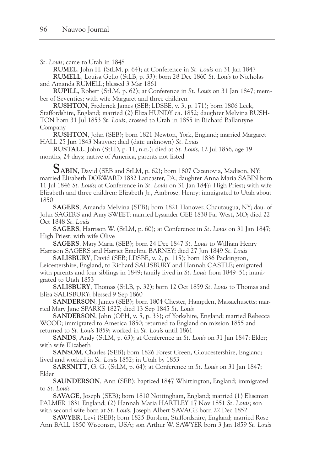*St. Louis*; came to Utah in 1848

**RUMEL**, John H. (StLM, p. 64); at Conference in *St. Louis* on 31 Jan 1847 **RUMELL**, Louisa Gello (StLB, p. 33); born 28 Dec 1860 *St. Louis* to Nicholas and Amanda RUMELL; blessed 3 Mar 1861

**RUPILL**, Robert (StLM, p. 62); at Conference in *St. Louis* on 31 Jan 1847; member of Seventies; with wife Margaret and three children

**RUSHTON**, Frederick James (SEB; LDSBE, v. 3, p. 171); born 1806 Leek, Staffordshire, England; married (2) Eliza HUNDY ca. 1852; daughter Melvina RUSH-TON born 31 Jul 1853 *St. Louis*; crossed to Utah in 1855 in Richard Ballantyne Company

**RUSHTON**, John (SEB); born 1821 Newton, York, England; married Margaret HALL 25 Jun 1843 Nauvoo; died (date unknown) *St. Louis*

**RUSTALL**, John (StLD, p. 11, n.n.); died at *St. Louis*, 12 Jul 1856, age 19 months, 24 days; native of America, parents not listed

**SABIN**, David (SEB and StLM, p. 62); born 1807 Cazenovia, Madison, NY; married Elizabeth DORWARD 1832 Lancaster, PA; daughter Anna Maria SABIN born 11 Jul 1846 *St. Louis*; at Conference in *St. Louis* on 31 Jan 1847; High Priest; with wife Elizabeth and three children: Elizabeth Jr., Ambrose, Henry; immigrated to Utah about 1850

**SAGERS**, Amanda Melvina (SEB); born 1821 Hanover, Chautaugua, NY; dau. of John SAGERS and Amy SWEET; married Lysander GEE 1838 Far West, MO; died 22 Oct 1848 *St. Louis*

**SAGERS**, Harrison W. (StLM, p. 60); at Conference in *St. Louis* on 31 Jan 1847; High Priest; with wife Olive

**SAGERS**, Mary Maria (SEB); born 24 Dec 1847 *St. Louis* to William Henry Harrison SAGERS and Harriet Emeline BARNEY; died 27 Jun 1849 *St. Louis*

**SALISBURY**, David (SEB; LDSBE, v. 2, p. 115); born 1836 Packington, Leicestershire, England, to Richard SALISBURY and Hannah CASTLE; emigrated with parents and four siblings in 1849; family lived in *St. Louis* from 1849–51; immigrated to Utah 1853

**SALISBURY**, Thomas (StLB, p. 32); born 12 Oct 1859 *St. Louis* to Thomas and Eliza SALISBURY; blessed 9 Sep 1860

**SANDERSON**, James (SEB); born 1804 Chester, Hampden, Massachusetts; married Mary Jane SPARKS 1827; died 13 Sep 1845 *St. Louis*

**SANDERSON**, John (OPH, v. 5, p. 33); of Yorkshire, England; married Rebecca WOOD; immigrated to America 1850; returned to England on mission 1855 and returned to *St. Louis* 1859; worked in *St. Louis* until 1861

**SANDS**, Andy (StLM, p. 63); at Conference in *St. Louis* on 31 Jan 1847; Elder; with wife Elizabeth

**SANSOM**, Charles (SEB); born 1826 Forest Green, Gloucestershire, England; lived and worked in *St. Louis* 1852; in Utah by 1853

**SARSNITT**, G. G. (StLM, p. 64); at Conference in *St. Louis* on 31 Jan 1847; Elder

**SAUNDERSON**, Ann (SEB); baptized 1847 Whittington, England; immigrated to *St. Louis*

**SAVAGE**, Joseph (SEB); born 1810 Nottingham, England; married (1) Eliseman PALMER 1831 England; (2) Hannah Maria HARTLEY 17 Nov 1851 *St. Louis*; son with second wife born at *St. Louis*, Joseph Albert SAVAGE born 22 Dec 1852

**SAWYER**, Levi (SEB); born 1825 Burslem, Staffordshire, England; married Rose Ann BALL 1850 Wisconsin, USA; son Arthur W. SAWYER born 3 Jan 1859 *St. Louis*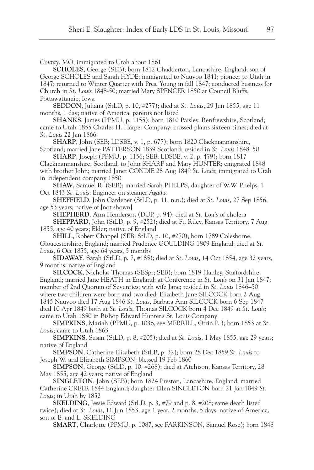*County*, MO; immigrated to Utah about 1861

**SCHOLES**, George (SEB); born 1812 Chadderton, Lancashire, England; son of George SCHOLES and Sarah HYDE; immigrated to Nauvoo 1841; pioneer to Utah in 1847; returned to Winter Quarter with Pres. Young in fall 1847; conducted business for Church in *St. Louis* 1848-50; married Mary SPENCER 1850 at Council Bluffs, Pottawattamie, Iowa

**SEDDON**, Juliana (StLD, p. 10, #277); died at *St. Louis*, 29 Jun 1855, age 11 months, 1 day; native of America, parents not listed

**SHANKS**, James (PPMU, p. 1155); born 1810 Paisley, Renfrewshire, Scotland; came to Utah 1855 Charles H. Harper Company; crossed plains sixteen times; died at *St. Louis* 22 Jan 1866

**SHARP**, John (SEB; LDSBE, v. 1, p. 677); born 1820 Clackmannanshire, Scotland; married Jane PATTERSON 1839 Scotland; resided in *St. Louis* 1848–50

**SHARP**, Joseph (PPMU, p. 1156; SEB; LDSBE, v. 2, p. 479); born 1817 Clackmannanshire, Scotland, to John SHARP and Mary HUNTER; emigrated 1848 with brother John; married Janet CONDIE 28 Aug 1849 *St. Louis*; immigrated to Utah in independent company 1850

**SHAW**, Samuel R. (SEB); married Sarah PHELPS, daughter of W.W. Phelps, 1 Oct 1843 *St. Louis*; Engineer on steamer *Agatha*

**SHEFFIELD**, John Gardener (StLD, p. 11, n.n.); died at *St. Louis*, 27 Sep 1856, age 53 years; native of [not shown]

**SHEPHERD**, Ann Henderson (DUP, p. 94); died at *St. Louis* of cholera **SHEPPARD**, John (StLD, p. 9, #252); died at Ft. Riley, Kansas Territory, 7 Aug 1855, age 40 years; Elder; native of England

**SHILL**, Robert Chappel (SEB; StLD, p. 10, #270); born 1789 Colesborne, Gloucestershire, England; married Prudence GOULDING 1809 England; died at *St. Louis*, 6 Oct 1855, age 64 years, 5 months

**SIDAWAY**, Sarah (StLD, p. 7, #185); died at *St. Louis*, 14 Oct 1854, age 32 years, 9 months; native of England

**SILCOCK**, Nicholas Thomas (SESpr; SEB); born 1819 Hanley, Staffordshire, England; married Jane HEATH in England; at Conference in *St. Louis* on 31 Jan 1847; member of 2nd Quorum of Seventies; with wife Jane; resided in *St. Louis* 1846–50 where two children were born and two died: Elizabeth Jane SILCOCK born 2 Aug 1845 Nauvoo died 17 Aug 1846 *St. Louis*, Barbara Ann SILCOCK born 6 Sep 1847 died 10 Apr 1849 both at *St. Louis*, Thomas SILCOCK born 4 Dec 1849 at *St. Louis*; came to Utah 1850 in Bishop Edward Hunter's St. Louis Company

**SIMPKINS**, Mariah (PPMU, p. 1036, see MERRILL, Orrin P. ); born 1853 at *St. Louis*; came to Utah 1863

**SIMPKINS**, Susan (StLD, p. 8, #205); died at *St. Louis*, 1 May 1855, age 29 years; native of England

**SIMPSON**, Catherine Elizabeth (StLB, p. 32); born 28 Dec 1859 *St. Louis* to Joseph W. and Elizabeth SIMPSON; blessed 19 Feb 1860

**SIMPSON**, George (StLD, p. 10, #268); died at Atchison, Kansas Territory, 28 May 1855, age 42 years; native of England

**SINGLETON**, John (SEB); born 1824 Preston, Lancashire, England; married Catherine CREER 1844 England; daughter Ellen SINGLETON born 21 Jan 1849 *St. Louis*; in Utah by 1852

**SKELDING**, Jessie Edward (StLD, p. 3, #79 and p. 8, #208; same death listed twice); died at *St. Louis*, 11 Jun 1853, age 1 year, 2 months, 5 days; native of America, son of E. and L. SKELDING

**SMART**, Charlotte (PPMU, p. 1087, see PARKINSON, Samuel Rose); born 1848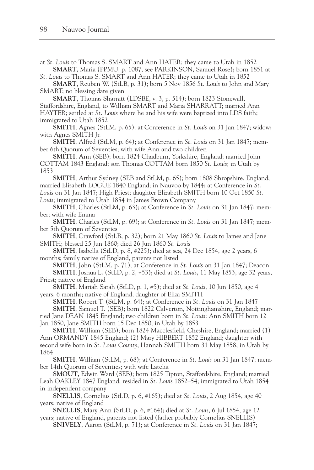at *St. Louis* to Thomas S. SMART and Ann HATER; they came to Utah in 1852 **SMART**, Maria (PPMU, p. 1087, see PARKINSON, Samuel Rose); born 1851 at

*St. Louis* to Thomas S. SMART and Ann HATER; they came to Utah in 1852

**SMART**, Reuben W. (StLB, p. 31); born 5 Nov 1856 *St. Louis* to John and Mary SMART; no blessing date given

**SMART**, Thomas Sharratt (LDSBE, v. 3, p. 514); born 1823 Stonewall, Staffordshire, England, to William SMART and Maria SHARRATT; married Ann HAYTER; settled at *St. Louis* where he and his wife were baptized into LDS faith; immigrated to Utah 1852

**SMITH**, Agnes (StLM, p. 65); at Conference in *St. Louis* on 31 Jan 1847; widow; with Agnes SMITH Jr.

**SMITH**, Alfred (StLM, p. 64); at Conference in *St. Louis* on 31 Jan 1847; member 6th Quorum of Seventies; with wife Ann and two children

**SMITH**, Ann (SEB); born 1824 Chadburn, Yorkshire, England; married John COTTAM 1843 England; son Thomas COTTAM born 1850 *St. Louis*; in Utah by 1853

**SMITH**, Arthur Sydney (SEB and StLM, p. 65); born 1808 Shropshire, England; married Elizabeth LOGUE 1840 England; in Nauvoo by 1844; at Conference in *St. Louis* on 31 Jan 1847; High Priest; daughter Elizabeth SMITH born 10 Oct 1850 *St. Louis*; immigrated to Utah 1854 in James Brown Company

**SMITH**, Charles (StLM, p. 63); at Conference in *St. Louis* on 31 Jan 1847; member; with wife Emma

**SMITH**, Charles (StLM, p. 69); at Conference in *St. Louis* on 31 Jan 1847; member 5th Quorum of Seventies

**SMITH**, Crawford (StLB, p. 32); born 21 May 1860 *St. Louis* to James and Jane SMITH; blessed 25 Jun 1860; died 26 Jun 1860 *St. Louis*

**SMITH**, Isabella (StLD, p. 8, #225); died at sea, 24 Dec 1854, age 2 years, 6 months; family native of England, parents not listed

**SMITH**, John (StLM, p. 71); at Conference in *St. Louis* on 31 Jan 1847; Deacon **SMITH**, Joshua L. (StLD, p. 2, #53); died at *St. Louis*, 11 May 1853, age 32 years, Priest; native of England

**SMITH**, Mariah Sarah (StLD, p. 1, #5); died at *St. Louis*, 10 Jun 1850, age 4 years, 6 months; native of England, daughter of Eliza SMITH

**SMITH**, Robert T. (StLM, p. 64); at Conference in *St. Louis* on 31 Jan 1847

**SMITH**, Samuel T. (SEB); born 1822 Calverton, Nottinghamshire, England; married Jane DEAN 1845 England; two children born in *St. Louis*: Ann SMITH born 12 Jan 1850, Jane SMITH born 15 Dec 1850; in Utah by 1853

**SMITH**, William (SEB); born 1824 Macclesfield, Cheshire, England; married (1) Ann ORMANDY 1845 England; (2) Mary HIBBERT 1852 England; daughter with second wife born in *St. Louis County*; Hannah SMITH born 31 May 1858; in Utah by 1864

**SMITH**, William (StLM, p. 68); at Conference in *St. Louis* on 31 Jan 1847; member 14th Quorum of Seventies; with wife Latelia

**SMOUT**, Edwin Ward (SEB); born 1825 Tipton, Staffordshire, England; married Leah OAKLEY 1847 England; resided in *St. Louis* 1852–54; immigrated to Utah 1854 in independent company

**SNELLIS**, Cornelius (StLD, p. 6, #165); died at *St. Louis*, 2 Aug 1854, age 40 years; native of England

**SNELLIS**, Mary Ann (StLD, p. 6, #164); died at *St. Louis*, 6 Jul 1854, age 12 years; native of England, parents not listed (father probably Cornelius SNELLIS)

**SNIVELY**, Aaron (StLM, p. 71); at Conference in *St. Louis* on 31 Jan 1847;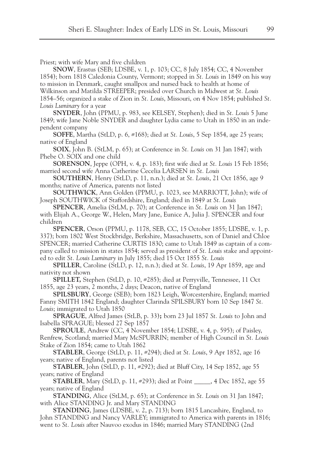Priest; with wife Mary and five children

**SNOW**, Erastus (SEB; LDSBE, v. 1, p. 103; CC, 8 July 1854; CC, 4 November 1854); born 1818 Caledonia County, Vermont; stopped in *St. Louis* in 1849 on his way to mission in Denmark, caught smallpox and nursed back to health at home of Wilkinson and Matilda STREEPER; presided over Church in Midwest at *St. Louis* 1854–56; organized a stake of Zion in *St. Louis*, Missouri, on 4 Nov 1854; published *St. Louis Luminary* for a year

**SNYDER**, John (PPMU, p. 983, see KELSEY, Stephen); died in *St. Louis* 5 June 1849; wife Jane Noble SNYDER and daughter Lydia came to Utah in 1850 in an independent company

**SOFFE**, Martha (StLD, p. 6, #168); died at *St. Louis*, 5 Sep 1854, age 25 years; native of England

**SOIX**, John B. (StLM, p. 65); at Conference in *St. Louis* on 31 Jan 1847; with Phebe O. SOIX and one child

**SORENSON**, Jeppe (OPH, v. 4, p. 183); first wife died at *St. Louis* 15 Feb 1856; married second wife Anna Catherine Cecelia LARSEN in *St. Louis*

**SOUTHERN**, Henry (StLD, p. 11, n.n.); died at *St. Louis*, 21 Oct 1856, age 9 months; native of America, parents not listed

**SOUTHWICK**, Ann Golden (PPMU, p. 1023, see MARRIOTT, John); wife of Joseph SOUTHWICK of Staffordshire, England; died in 1849 at *St. Louis*

**SPENCER**, Amelia (StLM, p. 70); at Conference in *St. Louis* on 31 Jan 1847; with Elijah A., George W., Helen, Mary Jane, Eunice A, Julia J. SPENCER and four children

**SPENCER**, Orson (PPMU, p. 1178, SEB, CC, 15 October 1855; LDSBE, v. 1, p. 337); born 1802 West Stockbridge, Berkshire, Massachusetts, son of Daniel and Chloe SPENCER; married Catherine CURTIS 1830; came to Utah 1849 as captain of a company called to mission in states 1854; served as president of *St. Louis* stake and appointed to edit *St. Louis Luminary* in July 1855; died 15 Oct 1855 *St. Louis*

**SPILLER**, Caroline (StLD, p. 12, n.n.); died at *St. Louis*, 19 Apr 1859, age and nativity not shown

**SPILLET,** Stephen (StLD, p. 10, #285); died at Perryville, Tennessee, 11 Oct 1855, age 23 years, 2 months, 2 days; Deacon, native of England

**SPILSBURY**, George (SEB); born 1823 Leigh, Worcestershire, England; married Fanny SMITH 1842 England; daughter Clarinda SPILSBURY born 10 Sep 1847 *St. Louis*; immigrated to Utah 1850

**SPRAGUE**, Alfred James (StLB, p. 33)**;** born 23 Jul 1857 *St. Louis* to John and Isabella SPRAGUE; blessed 27 Sep 1857

**SPROULE**, Andrew (CC, 4 November 1854; LDSBE, v. 4, p. 595); of Paisley, Renfrew, Scotland; married Mary McSPURRIN; member of High Council in *St. Louis* Stake of Zion 1854; came to Utah 1862

**STABLER**, George (StLD, p. 11, #294); died at *St. Louis*, 9 Apr 1852, age 16 years; native of England, parents not listed

**STABLER**, John (StLD, p. 11, #292); died at Bluff City, 14 Sep 1852, age 55 years; native of England

**STABLER**, Mary (StLD, p. 11, #293); died at Point \_\_\_\_\_, 4 Dec 1852, age 55 years; native of England

**STANDING**, Alice (StLM, p. 65); at Conference in *St. Louis* on 31 Jan 1847; with Alice STANDING Jr. and Mary STANDING

**STANDING**, James (LDSBE, v. 2, p. 713); born 1815 Lancashire, England, to John STANDING and Nancy VARLEY; immigrated to America with parents in 1816; went to *St. Louis* after Nauvoo exodus in 1846; married Mary STANDING (2nd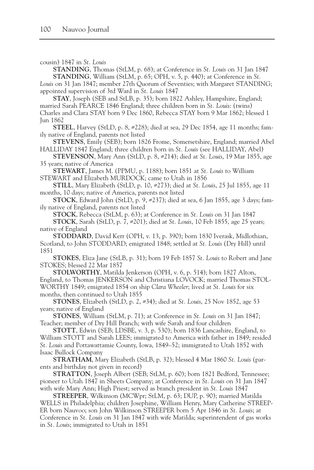```
cousin) 1847 in St. Louis
```
**STANDING**, Thomas (StLM, p. 68); at Conference in *St. Louis* on 31 Jan 1847 **STANDING**, William (StLM, p. 65; OPH, v. 5, p. 440); at Conference in *St. Louis* on 31 Jan 1847; member 27th Quorum of Seventies; with Margaret STANDING;

appointed supervision of 3rd Ward in *St. Louis* 1847 **STAY**, Joseph (SEB and StLB, p. 35); born 1822 Ashley, Hampshire, England; married Sarah PEARCE 1846 England; three children born in *St. Louis*: (twins) Charles and Clara STAY born 9 Dec 1860, Rebecca STAY born 9 Mar 1862; blessed 1 Jun 1862

**STEEL**, Harvey (StLD, p. 8, #228); died at sea, 29 Dec 1854, age 11 months; family native of England, parents not listed

**STEVENS**, Emily (SEB); born 1826 Frome, Somersetshire, England; married Abel HALLIDAY 1847 England; three children born in *St. Louis* (see HALLIDAY, Abel)

**STEVENSON**, Mary Ann (StLD, p. 8, #214); died at *St. Louis*, 19 Mar 1855, age 35 years; native of America

**STEWART**, James M. (PPMU, p. 1188); born 1851 at *St. Louis* to William STEWART and Elizabeth MURDOCK; came to Utah in 1856

**STILL**, Mary Elizabeth (StLD, p. 10, #273); died at *St. Louis*, 25 Jul 1855, age 11 months, 10 days; native of America, parents not listed

**STOCK**, Edward John (StLD, p. 9, #237); died at sea, 6 Jan 1855, age 3 days; family native of England, parents not listed

**STOCK**, Rebecca (StLM, p. 63); at Conference in *St. Louis* on 31 Jan 1847

**STOCK**, Sarah (StLD, p. 7, #201); died at *St. Louis*, 10 Feb 1855, age 25 years; native of England

**STODDARD**, David Kerr (OPH, v. 13, p. 390); born 1830 Iverask, Midlothian, Scotland, to John STODDARD; emigrated 1848; settled at *St. Louis* (Dry Hill) until 1851

**STOKES**, Eliza Jane (StLB, p. 31); born 19 Feb 1857 *St. Louis* to Robert and Jane STOKES; blessed 22 Mar 1857

**STOLWORTHY**, Matilda Jenkerson (OPH, v. 6, p. 514); born 1827 Alton, England, to Thomas JENKERSON and Christiana LOVOCK; married Thomas STOL-WORTHY 1849; emigrated 1854 on ship *Clara Wheeler*; lived at *St. Louis* for six months, then continued to Utah 1855

**STONES**, Elizabeth (StLD, p. 2, #34); died at *St. Louis*, 25 Nov 1852, age 53 years; native of England

**STONES**, William (StLM, p. 71); at Conference in *St. Louis* on 31 Jan 1847; Teacher; member of Dry Hill Branch; with wife Sarah and four children

**STOTT**, Edwin (SEB; LDSBE, v. 3, p. 530); born 1836 Lancashire, England, to William STOTT and Sarah LEES; immigrated to America with father in 1849; resided *St. Louis* and Pottawattamie County, Iowa, 1849–52; immigrated to Utah 1852 with Isaac Bullock Company

**STRATHAM**, Mary Elizabeth (StLB, p. 32); blessed 4 Mar 1860 *St. Louis* (parents and birthday not given in record)

**STRATTON**, Joseph Albert (SEB; StLM, p. 60); born 1821 Bedford, Tennessee; pioneer to Utah 1847 in Sheets Company; at Conference in *St. Louis* on 31 Jan 1847 with wife Mary Ann; High Priest; served as branch president in *St. Louis* 1847

**STREEPER**, Wilkinson (MCWpr; StLM, p. 63; DUP, p. 90); married Matilda WELLS in Philadelphia; children Josephine, William Henry, Mary Catherine STREEP-ER born Nauvoo; son John Wilkinson STREEPER born 5 Apr 1846 in *St. Louis*; at Conference in *St. Louis* on 31 Jan 1847 with wife Matilda; superintendent of gas works in *St. Louis*; immigrated to Utah in 1851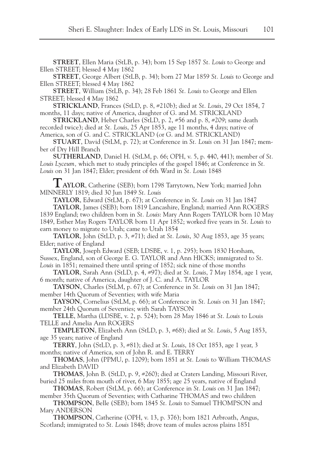**STREET**, Ellen Maria (StLB, p. 34); born 15 Sep 1857 *St. Louis* to George and Ellen STREET; blessed 4 May 1862

**STREET**, George Albert (StLB, p. 34); born 27 Mar 1859 *St. Louis* to George and Ellen STREET; blessed 4 May 1862

**STREET**, William (StLB, p. 34); 28 Feb 1861 *St. Louis* to George and Ellen STREET; blessed 4 May 1862

**STRICKLAND**, Frances (StLD, p. 8, #210b); died at *St. Louis*, 29 Oct 1854, 7 months, 11 days; native of America, daughter of G. and M. STRICKLAND

**STRICKLAND**, Heber Charles (StLD, p. 2, #56 and p. 8, #209; same death recorded twice); died at *St. Louis*, 25 Apr 1853, age 11 months, 4 days; native of America, son of G. and C. STRICKLAND (or G. and M. STRICKLAND)

**STUART**, David (StLM, p. 72); at Conference in *St. Louis* on 31 Jan 1847; member of Dry Hill Branch

**SUTHERLAND**, Daniel H. (StLM, p. 66; OPH, v. 5, p. 440, 441); member of *St. Louis Lyceum,* which met to study principles of the gospel 1846; at Conference in *St. Louis* on 31 Jan 1847; Elder; president of 6th Ward in *St. Louis* 1848

**TAYLOR**, Catherine (SEB); born 1798 Tarrytown, New York; married John MINNERLY 1819; died 30 Jun 1849 *St. Louis*

**TAYLOR**, Edward (StLM, p. 67); at Conference in *St. Louis* on 31 Jan 1847

**TAYLOR**, James (SEB); born 1819 Lancashire, England; married Ann ROGERS 1839 England; two children born in *St. Louis*: Mary Ann Rogers TAYLOR born 10 May 1849, Esther May Rogers TAYLOR born 11 Apr 1852; worked five years in *St. Louis* to earn money to migrate to Utah; came to Utah 1854

**TAYLOR**, John (StLD, p. 3, #71); died at *St. Louis*, 30 Aug 1853, age 35 years; Elder; native of England

**TAYLOR**, Joseph Edward (SEB; LDSBE, v. 1, p. 295); born 1830 Horsham, Sussex, England, son of George E. G. TAYLOR and Ann HICKS; immigrated to *St. Louis* in 1851; remained there until spring of 1852; sick nine of those months

**TAYLOR**, Sarah Ann (StLD, p. 4, #97); died at *St. Louis*, 7 May 1854, age 1 year, 6 month; native of America, daughter of J. C. and A. TAYLOR

**TAYSON**, Charles (StLM, p. 67); at Conference in *St. Louis* on 31 Jan 1847; member 14th Quorum of Seventies; with wife Maria

**TAYSON**, Cornelius (StLM, p. 66); at Conference in *St. Louis* on 31 Jan 1847; member 24th Quorum of Seventies; with Sarah TAYSON

**TELLE**, Martha (LDSBE, v. 2, p. 524); born 28 May 1846 at *St. Louis* to Louis TELLE and Amelia Ann ROGERS

**TEMPLETON**, Elizabeth Ann (StLD, p. 3, #68); died at *St. Louis*, 5 Aug 1853, age 35 years; native of England

**TERRY**, John (StLD, p. 3, #81); died at *St. Louis*, 18 Oct 1853, age 1 year, 3 months; native of America, son of John R. and E. TERRY

**THOMAS**, John (PPMU, p. 1209); born 1851 at *St. Louis* to William THOMAS and Elizabeth DAVID

**THOMAS**, John B. (StLD, p. 9, #260); died at Craters Landing, Missouri River, buried 25 miles from mouth of river, 6 May 1855; age 25 years, native of England

**THOMAS**, Robert (StLM, p. 66); at Conference in *St. Louis* on 31 Jan 1847; member 35th Quorum of Seventies; with Catharine THOMAS and two children

**THOMPSON**, Belle (SEB); born 1845 *St. Louis* to Samuel THOMPSON and Mary ANDERSON

**THOMPSON**, Catherine (OPH, v. 13, p. 376); born 1821 Arbroath, Angus, Scotland; immigrated to *St. Louis* 1848; drove team of mules across plains 1851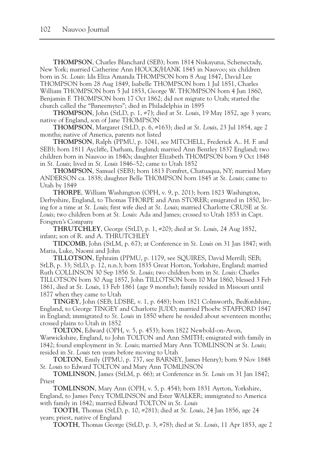**THOMPSON**, Charles Blanchard (SEB); born 1814 Niskayuna, Schenectady, New York; married Catherine Ann HOUCK/HANK 1845 in Nauvoo; six children born in *St. Louis*: Ida Eliza Amanda THOMPSON born 8 Aug 1847, David Lee THOMPSON born 28 Aug 1849, Isabelle THOMPSON born 1 Jul 1851, Charles William THOMPSON born 5 Jul 1853, George W. THOMPSON born 4 Jun 1860, Benjamin F. THOMPSON born 17 Oct 1862; did not migrate to Utah; started the church called the "Baneemytes"; died in Philadelphia in 1895

**THOMPSON**, John (StLD, p. 1, #7); died at *St. Louis*, 19 May 1852, age 3 years; native of England, son of Jane THOMPSON

**THOMPSON**, Margaret (StLD, p. 6, #163); died at *St. Louis*, 23 Jul 1854, age 2 months; native of America, parents not listed

**THOMPSON**, Ralph (PPMU, p. 1041, see MITCHELL, Frederick A.. H. F. and SEB); born 1811 Aycliffe, Durham, England; married Ann Bentley 1837 England; two children born in Nauvoo in 1840s; daughter Elizabeth THOMPSON born 9 Oct 1848 in *St. Louis*; lived in *St. Louis* 1846–52; came to Utah 1852

**THOMPSON**, Samuel (SEB); born 1813 Pomfret, Chatuaqua, NY; married Mary ANDERSON ca. 1838; daughter Belle THOMPSON born 1845 at *St. Louis*; came to Utah by 1849

**THORPE**, William Washington (OPH, v. 9, p. 201); born 1823 Washington, Derbyshire, England, to Thomas THORPE and Ann STORER; emigrated in 1850, living for a time at *St. Louis*; first wife died at *St. Louis*; married Charlotte CRUSE at *St. Louis*; two children born at *St. Louis*: Ada and James; crossed to Utah 1853 in Capt. Forsgren's Company

**THRUTCHLEY**, George (StLD, p. 1, #20); died at *St. Louis*, 24 Aug 1852, infant; son of R. and A. THRUTCHLEY

**TIDCOMB**, John (StLM, p. 67); at Conference in *St. Louis* on 31 Jan 1847; with Maria, Luke, Naomi and John

**TILLOTSON**, Ephraim (PPMU, p. 1179, see SQUIRES, David Merrill; SEB; StLB, p. 33; StLD, p. 12, n.n.); born 1835 Great Horton, Yorkshire, England; married Ruth COLLINSON 30 Sep 1856 *St. Louis*; two children born in *St. Louis*: Charles TILLOTSON born 30 Aug 1857, John TILLOTSON born 10 Mar 1860, blessed 3 Feb 1861, died at *St. Louis*, 13 Feb 1861 (age 9 months); family resided in Missouri until 1877 when they came to Utah

**TINGEY**, John (SEB; LDSBE, v. 1, p. 648); born 1821 Colmworth, Bedfordshire, England, to George TINGEY and Charlotte JUDD; married Phoebe STAFFORD 1847 in England; immigrated to *St. Louis* in 1850 where he resided about seventeen months; crossed plains to Utah in 1852

**TOLTON**, Edward (OPH, v. 5, p. 453); born 1822 Newbold-on-Avon, Warwickshire, England, to John TOLTON and Ann SMITH; emigrated with family in 1842; found employment in *St. Louis*; married Mary Ann TOMLINSON at *St. Louis*; resided in *St. Louis* ten years before moving to Utah

**TOLTON**, Emily (PPMU, p. 737, see BARNEY, James Henry); born 9 Nov 1848 *St. Louis* to Edward TOLTON and Mary Ann TOMLINSON

**TOMLINSON**, James (StLM, p. 66); at Conference in *St. Louis* on 31 Jan 1847; Priest

**TOMLINSON**, Mary Ann (OPH, v. 5, p. 454); born 1831 Ayrton, Yorkshire, England, to James Percy TOMLINSON and Ester WALKER; immigrated to America with family in 1842; married Edward TOLTON in *St. Louis*

**TOOTH**, Thomas (StLD, p. 10, #281); died at *St. Louis*, 24 Jan 1856, age 24 years; priest, native of England

**TOOTH**, Thomas George (StLD, p. 3, #78); died at *St. Louis*, 11 Apr 1853, age 2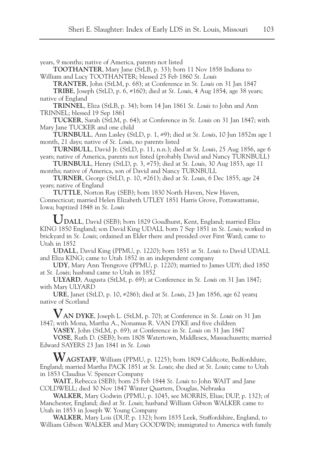years, 9 months; native of America, parents not listed

**TOOTHANTER**, Mary Jane (StLB, p. 33); born 11 Nov 1858 Indiana to William and Lucy TOOTHANTER; blessed 25 Feb 1860 *St. Louis*

**TRANTER**, John (StLM, p. 68); at Conference in *St. Louis* on 31 Jan 1847

**TRIBE**, Joseph (StLD, p. 6, #160); died at *St. Louis*, 4 Aug 1854, age 38 years; native of England

**TRINNEL**, Eliza (StLB, p. 34); born 14 Jan 1861 *St. Louis* to John and Ann TRINNEL; blessed 19 Sep 1861

**TUCKER**, Sarah (StLM, p. 64); at Conference in *St. Louis* on 31 Jan 1847; with Mary Jane TUCKER and one child

**TURNBULL**, Ann Lasley (StLD, p. 1, #9); died at *St. Louis*, 10 Jun 1852m age 1 month, 21 days; native of *St. Louis*, no parents listed

**TURNBULL**, David Jr. (StLD, p. 11, n.n.); died at *St. Louis*, 25 Aug 1856, age 6 years; native of America, parents not listed (probably David and Nancy TURNBULL)

**TURNBULL**, Henry (StLD, p. 3, #75); died at *St. Louis*, 30 Aug 1853, age 11 months; native of America, son of David and Nancy TURNBULL

**TURNER**, George (StLD, p. 10, #261); died at *St. Louis*, 6 Dec 1855, age 24 years; native of England

**TUTTLE**, Norton Ray (SEB); born 1830 North Haven, New Haven, Connecticut; married Helen Elizabeth UTLEY 1851 Harris Grove, Pottawattamie, Iowa; baptized 1848 in *St. Louis*

**UDALL**, David (SEB); born 1829 Goudhurst, Kent, England; married Eliza KING 1850 England; son David King UDALL born 7 Sep 1851 in *St. Louis*; worked in brickyard in *St. Louis*; ordained an Elder there and presided over First Ward; came to Utah in 1852

**UDALL**, David King (PPMU, p. 1220); born 1851 at *St. Louis* to David UDALL and Eliza KING; came to Utah 1852 in an independent company

**UDY**, Mary Ann Trengrove (PPMU, p. 1220); married to James UDY; died 1850 at *St. Louis*; husband came to Utah in 1852

**ULYARD**, Augusta (StLM, p. 69); at Conference in *St. Louis* on 31 Jan 1847; with Mary ULYARD

**URE**, Janet (StLD, p. 10, #286); died at *St. Louis*, 23 Jan 1856, age 62 years**;** native of Scotland

**VAN DYKE**, Joseph L. (StLM, p. 70); at Conference in *St. Louis* on 31 Jan 1847; with Mona, Martha A., Nonamus R. VAN DYKE and five children

**VASEY**, John (StLM, p. 69); at Conference in *St. Louis* on 31 Jan 1847

**VOSE**, Ruth D. (SEB); born 1808 Watertown, Middlesex, Massachusetts; married Edward SAYERS 23 Jan 1841 in *St. Louis*

**WAGSTAFF**, William (PPMU, p. 1225); born 1809 Caldicote, Bedfordshire, England; married Martha PACK 1851 at *St. Louis*; she died at *St. Louis*; came to Utah in 1853 Claudius V. Spencer Company

**WAIT**, Rebecca (SEB); born 25 Feb 1844 *St. Louis* to John WAIT and Jane COLDWELL; died 30 Nov 1847 Winter Quarters, Douglas, Nebraska

**WALKER**, Mary Godwin (PPMU, p. 1045, see MORRIS, Elias; DUP, p. 132); of Manchester, England; died at *St. Louis*; husband William Gibson WALKER came to Utah in 1853 in Joseph W. Young Company

**WALKER**, Mary Lois (DUP, p. 132); born 1835 Leek, Staffordshire, England, to William Gibson WALKER and Mary GOODWIN; immigrated to America with family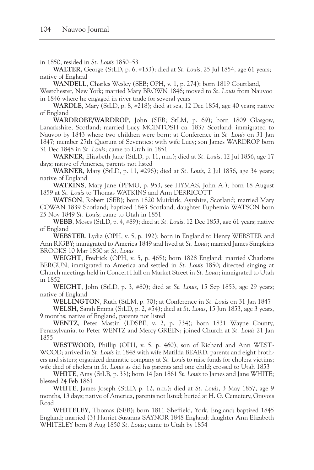in 1850; resided in *St. Louis* 1850–53

**WALTER**, George (StLD, p. 6, #153); died at *St. Louis*, 25 Jul 1854, age 61 years; native of England

**WANDELL**, Charles Wesley (SEB; OPH, v. 1, p. 274); born 1819 Courtland,

Westchester, New York; married Mary BROWN 1846; moved to *St. Louis* from Nauvoo in 1846 where he engaged in river trade for several years

**WARDLE**, Mary (StLD, p. 8, #218); died at sea, 12 Dec 1854, age 40 years; native of England

**WARDROBE/WARDROP**, John (SEB; StLM, p. 69); born 1809 Glasgow, Lanarkshire, Scotland; married Lucy MCINTOSH ca. 1837 Scotland; immigrated to Nauvoo by 1843 where two children were born; at Conference in *St. Louis* on 31 Jan 1847; member 27th Quorum of Seventies; with wife Lucy; son James WARDROP born 31 Dec 1848 in *St. Louis*; came to Utah in 1851

**WARNER**, Elizabeth Jane (StLD, p. 11, n.n.); died at *St. Louis*, 12 Jul 1856, age 17 days; native of America, parents not listed

**WARNER**, Mary (StLD, p. 11, #296); died at *St. Louis*, 2 Jul 1856, age 34 years; native of England

**WATKINS**, Mary Jane (PPMU, p. 953, see HYMAS, John A.); born 18 August 1859 at *St. Louis* to Thomas WATKINS and Ann DERRICOTT

**WATSON**, Robert (SEB); born 1820 Muirkirk, Ayrshire, Scotland; married Mary COWAN 1839 Scotland; baptized 1843 Scotland; daughter Euphemia WATSON born 25 Nov 1849 *St. Louis*; came to Utah in 1851

**WEBB**, Moses (StLD, p. 4, #89); died at *St. Louis*, 12 Dec 1853, age 61 years; native of England

**WEBSTER**, Lydia (OPH, v. 5, p. 192); born in England to Henry WEBSTER and Ann RIGBY; immigrated to America 1849 and lived at *St. Louis*; married James Simpkins BROOKS 10 Mar 1850 at *St. Louis*

**WEIGHT**, Fredrick (OPH, v. 5, p. 465); born 1828 England; married Charlotte BERGUN; immigrated to America and settled in *St. Louis* 1850; directed singing at Church meetings held in Concert Hall on Market Street in *St. Louis*; immigrated to Utah in 1852

**WEIGHT**, John (StLD, p. 3, #80); died at *St. Louis*, 15 Sep 1853, age 29 years; native of England

**WELLINGTON**, Ruth (StLM, p. 70); at Conference in *St. Louis* on 31 Jan 1847

**WELSH**, Sarah Emma (StLD, p. 2, #54); died at *St. Louis*, 15 Jun 1853, age 3 years, 9 months; native of England, parents not listed

**WENTZ**, Peter Mastin (LDSBE, v. 2, p. 734); born 1831 Wayne County, Pennsylvania, to Peter WENTZ and Mercy GREEN; joined Church at *St. Louis* 21 Jan 1855

**WESTWOOD**, Phillip (OPH, v. 5, p. 460); son of Richard and Ann WEST-WOOD; arrived in *St. Louis* in 1848 with wife Matilda BEARD, parents and eight brothers and sisters; organized dramatic company at *St. Louis* to raise funds for cholera victims; wife died of cholera in *St. Louis* as did his parents and one child; crossed to Utah 1853

**WHITE**, Amy (StLB, p. 33); born 14 Jan 1861 *St. Louis* to James and Jane WHITE; blessed 24 Feb 1861

**WHITE**, James Joseph (StLD, p. 12, n.n.); died at *St. Louis*, 3 May 1857, age 9 months, 13 days; native of America, parents not listed; buried at H. G. Cemetery, Gravois Road

**WHITELEY**, Thomas (SEB); born 1811 Sheffield, York, England; baptized 1845 England; married (3) Harriet Susanna SAYNOR 1848 England; daughter Ann Elizabeth WHITELEY born 8 Aug 1850 *St. Louis*; came to Utah by 1854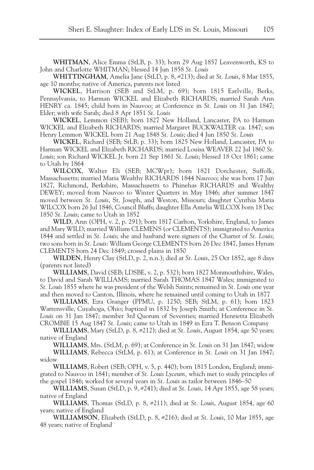**WHITMAN**, Alice Emma (StLB, p. 33); born 29 Aug 1857 Leavenworth, KS to John and Charlotte WHITMAN; blessed 14 Jun 1858 *St. Louis*

**WHITTINGHAM**, Amelia Jane (StLD, p. 8, #213); died at *St. Louis*, 8 Mar 1855, age 10 months; native of America, parents not listed

**WICKEL**, Harrison (SEB and StLM, p. 69); born 1815 Earlville, Berks, Pennsylvania, to Harman WICKEL and Elizabeth RICHARDS; married Sarah Ann HENRY ca. 1845; child born in Nauvoo; at Conference in *St. Louis* on 31 Jan 1847; Elder; with wife Sarah; died 8 Apr 1851 *St. Louis*

**WICKEL**, Lemmon (SEB); born 1827 New Holland, Lancaster, PA to Harman WICKEL and Elizabeth RICHARDS; married Margaret BUCKWALTER ca. 1847; son Henry Lemmon WICKEL born 21 Aug 1848 *St. Louis*; died 4 Jun 1850 *St. Louis*

**WICKEL**, Richard (SEB; StLB, p. 33); born 1825 New Holland, Lancaster, PA to Harman WICKEL and Elizabeth RICHARDS; married Louisa WEAVER 22 Jul 1860 *St. Louis*; son Richard WICKEL Jr. born 21 Sep 1861 *St. Louis*; blessed 18 Oct 1861; came to Utah by 1864

**WILCOX**, Walter Eli (SEB; MCWpr); born 1821 Dorchester, Suffolk, Massachusetts; married Maria Wealthy RICHARDS 1844 Nauvoo; she was born 17 Jun 1827, Richmond, Berkshire, Massachusetts to Phinehas RICHARDS and Wealthy DEWEY; moved from Nauvoo to Winter Quarters in May 1846; after summer 1847 moved between *St. Louis*, St. Joseph, and Weston, Missouri; daughter Cynthia Maria WILCOX born 26 Jul 1846, Council Bluffs; daughter Ella Amelia WILCOX born 18 Dec 1850 *St. Louis*; came to Utah in 1852

**WILD**, Ann (OPH, v. 2, p. 291); born 1817 Carlton, Yorkshire, England, to James and Mary WILD; married William CLEMENS (or CLEMENTS); immigrated to America 1844 and settled in *St. Louis*; she and husband were signers of the Charter of *St. Louis*; two sons born in *St. Louis*: William George CLEMENTS born 26 Dec 1847, James Hyrum CLEMENTS born 24 Dec 1849; crossed plains in 1850

**WILDEN**, Henry Clay (StLD, p. 2, n.n.); died at *St. Louis*, 25 Oct 1852, age 8 days (parents not listed)

**WILLIAMS**, David (SEB; LDSBE, v. 2, p. 532); born 1827 Monmouthshire, Wales, to David and Sarah WILLIAMS; married Sarah THOMAS 1847 Wales; immigrated to *St. Louis* 1855 where he was president of the Welsh Saints; remained in *St. Louis* one year and then moved to Canton, Illinois, where he remained until coming to Utah in 1877

**WILLIAMS**, Ezra Granger (PPMU, p. 1250; SEB; StLM, p. 61); born 1823 Warrensville, Cuyahoga, Ohio; baptized in 1832 by Joseph Smith; at Conference in *St. Louis* on 31 Jan 1847; member 3rd Quorum of Seventies; married Henrietta Elizabeth CROMBIE 15 Aug 1847 *St. Louis*; came to Utah in 1849 in Ezra T. Benson Company

**WILLIAMS**, Mary (StLD, p. 8, #212); died at *St. Louis*, August 1854, age 50 years; native of England

**WILLIAMS**, Mrs. (StLM, p. 69); at Conference in *St. Louis* on 31 Jan 1847; widow **WILLIAMS**, Rebecca (StLM, p. 61); at Conference in *St. Louis* on 31 Jan 1847;

widow

**WILLIAMS**, Robert (SEB; OPH, v. 5, p. 440); born 1815 London, England; immigrated to Nauvoo in 1841; member of *St. Louis Lyceum,* which met to study principles of the gospel 1846; worked for several years in *St. Louis* as tailor between 1846–50

**WILLIAMS**, Susan (StLD, p. 9, #241); died at *St. Louis*, 14 Apr 1855, age 58 years; native of England

**WILLIAMS**, Thomas (StLD, p. 8, #211); died at *St. Louis*, August 1854, age 60 years; native of England

**WILLIAMSON**, Elizabeth (StLD, p. 8, #216); died at *St. Louis*, 10 Mar 1855, age 48 years; native of England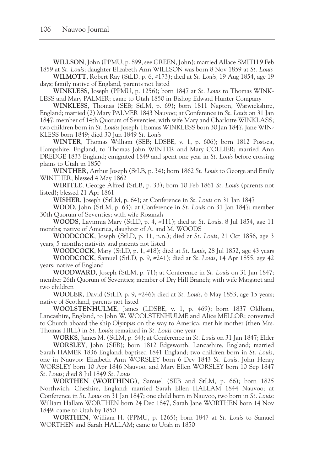**WILLSON**, John (PPMU, p. 899, see GREEN, John); married Allace SMITH 9 Feb 1859 at *St. Louis*; daughter Elizabeth Ann WILLSON was born 8 Nov 1859 at *St. Louis*

**WILMOTT**, Robert Ray (StLD, p. 6, #173); died at *St. Louis*, 19 Aug 1854, age 19 days; family native of England, parents not listed

**WINKLESS**, Joseph (PPMU, p. 1256); born 1847 at *St. Louis* to Thomas WINK-LESS and Mary PALMER; came to Utah 1850 in Bishop Edward Hunter Company

**WINKLESS**, Thomas (SEB; StLM, p. 69); born 1811 Napton, Warwickshire, England; married (2) Mary PALMER 1843 Nauvoo; at Conference in *St. Louis* on 31 Jan 1847; member of 14th Quorum of Seventies; with wife Mary and Charlotte WINKLASS; two children born in *St. Louis*: Joseph Thomas WINKLESS born 30 Jan 1847, Jane WIN-KLESS born 1849; died 30 Jun 1849 *St. Louis*

**WINTER**, Thomas William (SEB; LDSBE, v. 1, p. 606); born 1812 Postsea, Hampshire, England, to Thomas John WINTER and Mary COLLIER; married Ann DREDGE 1833 England; emigrated 1849 and spent one year in *St. Louis* before crossing plains to Utah in 1850

**WINTHER**, Arthur Joseph (StLB, p. 34); born 1862 *St. Louis* to George and Emily WINTHER; blessed 4 May 1862

**WIRITLE**, George Alfred (StLB, p. 33); born 10 Feb 1861 *St. Louis* (parents not listed); blessed 21 Apr 1861

**WISHER**, Joseph (StLM, p. 64); at Conference in *St. Louis* on 31 Jan 1847

**WOOD**, John (StLM, p. 63); at Conference in *St. Louis* on 31 Jan 1847; member 30th Quorum of Seventies; with wife Rosanah

**WOODS**, Lavinnia Mary (StLD, p. 4, #111); died at *St. Louis*, 8 Jul 1854, age 11 months; native of America, daughter of A. and M. WOODS

**WOODCOCK**, Joseph (StLD, p. 11, n.n.); died at *St. Louis*, 21 Oct 1856, age 3 years, 5 months; nativity and parents not listed

**WOODCOCK**, Mary (StLD, p. 1, #18); died at *St. Louis*, 28 Jul 1852, age 43 years **WOODCOCK**, Samuel (StLD, p. 9, #241); died at *St. Louis*, 14 Apr 1855, age 42 years; native of England

**WOODWARD**, Joseph (StLM, p. 71); at Conference in *St. Louis* on 31 Jan 1847; member 26th Quorum of Seventies; member of Dry Hill Branch; with wife Margaret and two children

**WOOLER**, David (StLD, p. 9, #246); died at *St. Louis*, 6 May 1853, age 15 years; native of Scotland, parents not listed

**WOOLSTENHULME**, James (LDSBE, v. 1, p. 469); born 1837 Oldham, Lancashire, England, to John W. WOOLSTENHULME and Alice MELLOR; converted to Church aboard the ship *Olympus* on the way to America; met his mother (then Mrs. Thomas HILL) in *St. Louis*; remained in *St. Louis* one year

**WORKS**, James M. (StLM, p. 64); at Conference in *St. Louis* on 31 Jan 1847; Elder **WORSLEY**, John (SEB); born 1812 Edgeworth, Lancashire, England; married Sarah HAMER 1836 England; baptized 1841 England; two children born in *St. Louis*, one in Nauvoo: Elizabeth Ann WORSLEY born 6 Dev 1843 *St. Louis*, John Henry WORSLEY born 10 Apr 1846 Nauvoo, and Mary Ellen WORSLEY born 10 Sep 1847 *St. Louis*; died 8 Jul 1849 *St. Louis*

**WORTHEN** (**WORTHING**), Samuel (SEB and StLM, p. 66); born 1825 Northwich, Cheshire, England; married Sarah Ellen HALLAM 1844 Nauvoo; at Conference in *St. Louis* on 31 Jan 1847; one child born in Nauvoo, two born in *St. Louis*: William Hallam WORTHEN born 24 Dec 1847, Sarah Jane WORTHEN born 14 Nov 1849; came to Utah by 1850

**WORTHEN**, William H. (PPMU, p. 1265); born 1847 at *St. Louis* to Samuel WORTHEN and Sarah HALLAM; came to Utah in 1850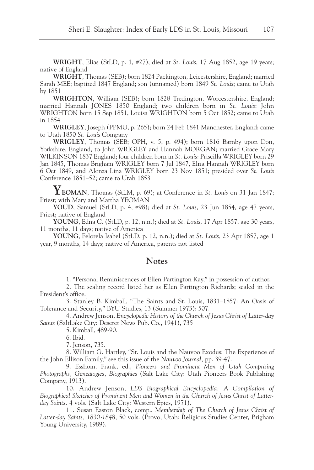**WRIGHT**, Elias (StLD, p. 1, #27); died at *St. Louis*, 17 Aug 1852, age 19 years; native of England

**WRIGHT**, Thomas (SEB); born 1824 Packington, Leicestershire, England; married Sarah MEE; baptized 1847 England; son (unnamed) born 1849 *St. Louis*; came to Utah by 1851

**WRIGHTON**, William (SEB); born 1828 Tredington, Worcestershire, England; married Hannah JONES 1850 England; two children born in *St. Louis*: John WRIGHTON born 15 Sep 1851, Louisa WRIGHTON born 5 Oct 1852; came to Utah in 1854

**WRIGLEY**, Joseph (PPMU, p. 265); born 24 Feb 1841 Manchester, England; came to Utah 1850 *St. Louis* Company

**WRIGLEY**, Thomas (SEB; OPH, v. 5, p. 494); born 1816 Barnby upon Don, Yorkshire, England, to John WRIGLEY and Hannah MORGAN; married Grace Mary WILKINSON 1837 England; four children born in *St. Louis*: Priscilla WRIGLEY born 29 Jan 1845, Thomas Brigham WRIGLEY born 7 Jul 1847, Eliza Hannah WRIGLEY born 6 Oct 1849, and Alonza Lina WRIGLEY born 23 Nov 1851; presided over *St. Louis* Conference 1851–52; came to Utah 1853

**YEOMAN**, Thomas (StLM, p. 69); at Conference in *St. Louis* on 31 Jan 1847; Priest; with Mary and Martha YEOMAN

**YOUD**, Samuel (StLD, p. 4, #98); died at *St. Louis*, 23 Jun 1854, age 47 years, Priest; native of England

**YOUNG**, Edna C. (StLD, p. 12, n.n.); died at *St. Louis*, 17 Apr 1857, age 30 years, 11 months, 11 days; native of America

**YOUNG**, Felorela Isabel (StLD, p. 12, n.n.); died at *St. Louis*, 23 Apr 1857, age 1 year, 9 months, 14 days; native of America, parents not listed

# **Notes**

1. "Personal Reminiscences of Ellen Partington Kay," in possession of author.

2. The sealing record listed her as Ellen Partington Richards; sealed in the President's office.

3. Stanley B. Kimball, "The Saints and St. Louis, 1831–1857: An Oasis of Tolerance and Security," BYU Studies, 13 (Summer 1973): 507.

4. Andrew Jenson, *Encyclopedic History of the Church of Jesus Christ of Latter-day Saints* (SaltLake City: Deseret News Pub. Co., 1941), 735

5. Kimball, 489-90.

6. Ibid.

7. Jenson, 735.

8. William G. Hartley, "St. Louis and the Nauvoo Exodus: The Experience of the John Ellison Family," see this issue of the *Nauvoo Journal,* pp. 39-47.

9. Esshom, Frank, ed., *Pioneers and Prominent Men of Utah Comprising Photographs, Genealogies, Biographies* (Salt Lake City: Utah Pioneers Book Publishing Company, 1913).

10. Andrew Jenson, *LDS Biographical Encyclopedia: A Compilation of Biographical Sketches of Prominent Men and Women in the Church of Jesus Christ of Latterday Saints.* 4 vols. (Salt Lake City: Western Epics, 1971).

11. Susan Easton Black, comp., *Membership of The Church of Jesus Christ of Latter-day Saints, 1830-1848*, 50 vols. (Provo, Utah: Religious Studies Center, Brigham Young University, 1989).